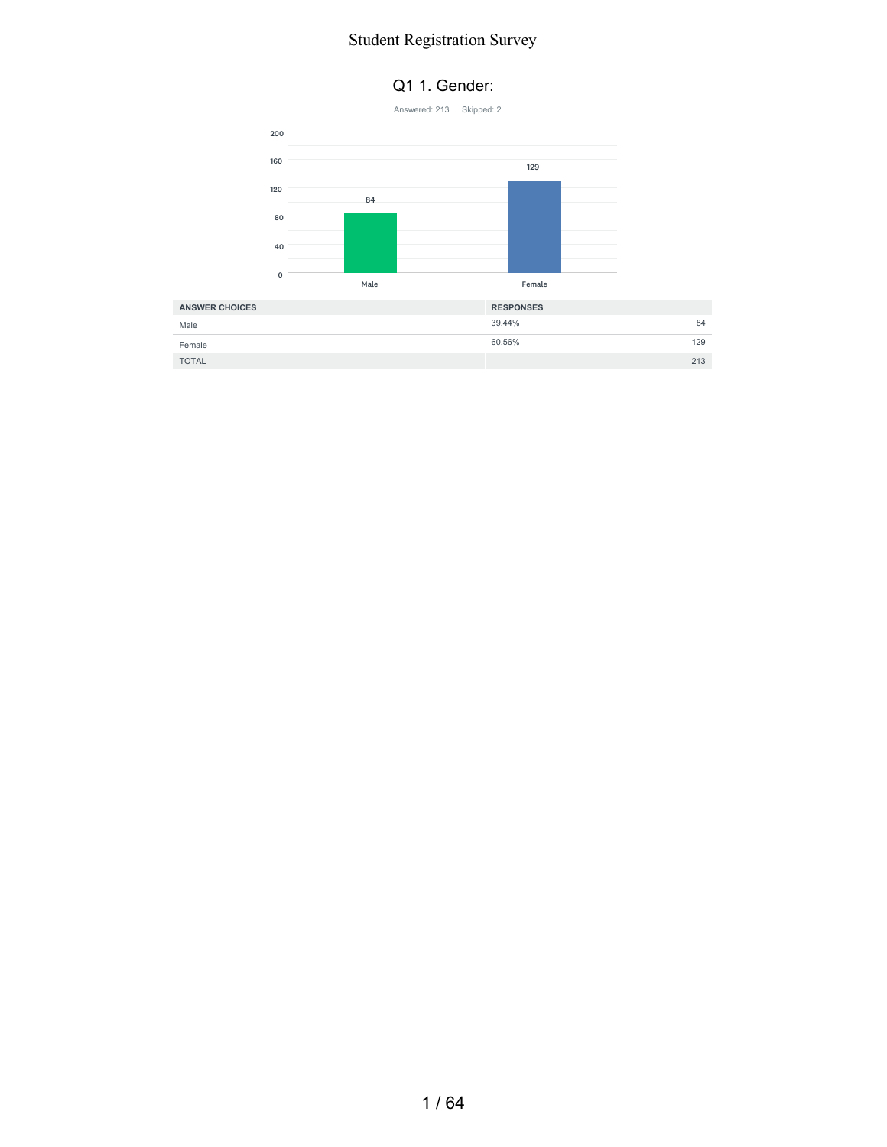#### Q1 1. Gender:



TOTAL 213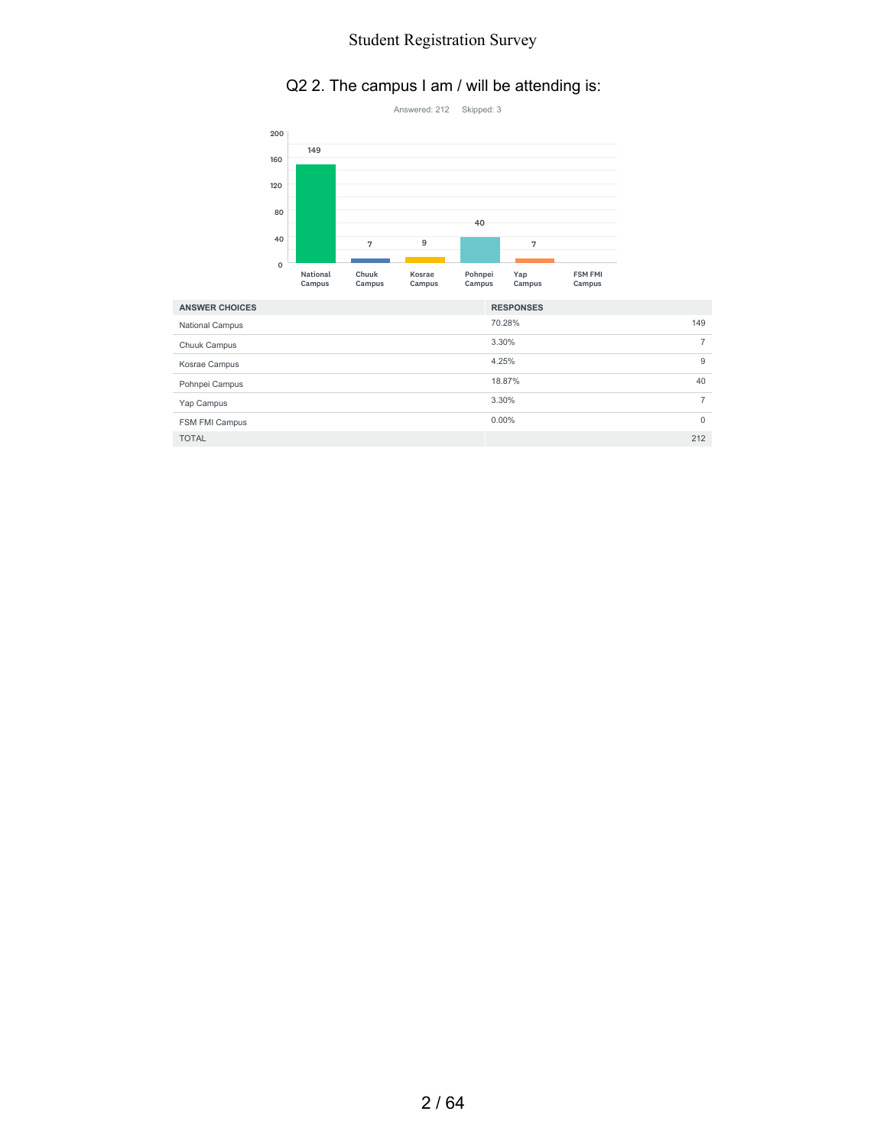# Q2 2. The campus I am / will be attending is:



| <b>ANSWER CHOICES</b>  | <b>RESPONSES</b> |          |
|------------------------|------------------|----------|
| <b>National Campus</b> | 70.28%           | 149      |
| Chuuk Campus           | 3.30%            |          |
| Kosrae Campus          | 4.25%            | 9        |
| Pohnpei Campus         | 18.87%           | 40       |
| Yap Campus             | 3.30%            |          |
| FSM FMI Campus         | $0.00\%$         | $\Omega$ |
| <b>TOTAL</b>           |                  | 212      |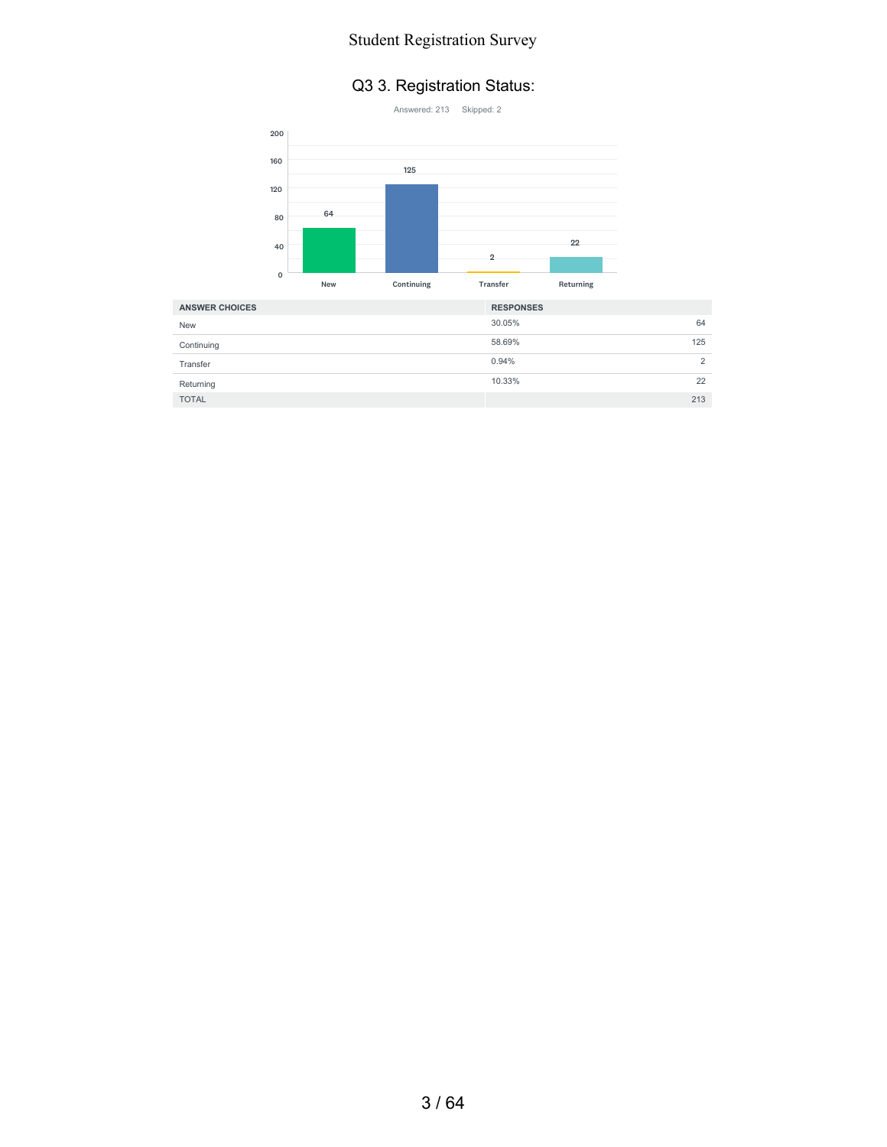#### Q3 3. Registration Status:



| <b>ANSWER CHOICES</b> | <b>RESPONSES</b> |
|-----------------------|------------------|
| <b>New</b>            | 30.05%<br>64     |
| Continuing            | 58.69%<br>125    |
| Transfer              | 0.94%<br>↷       |
| Returning             | 10.33%<br>22     |
| <b>TOTAL</b>          | 213              |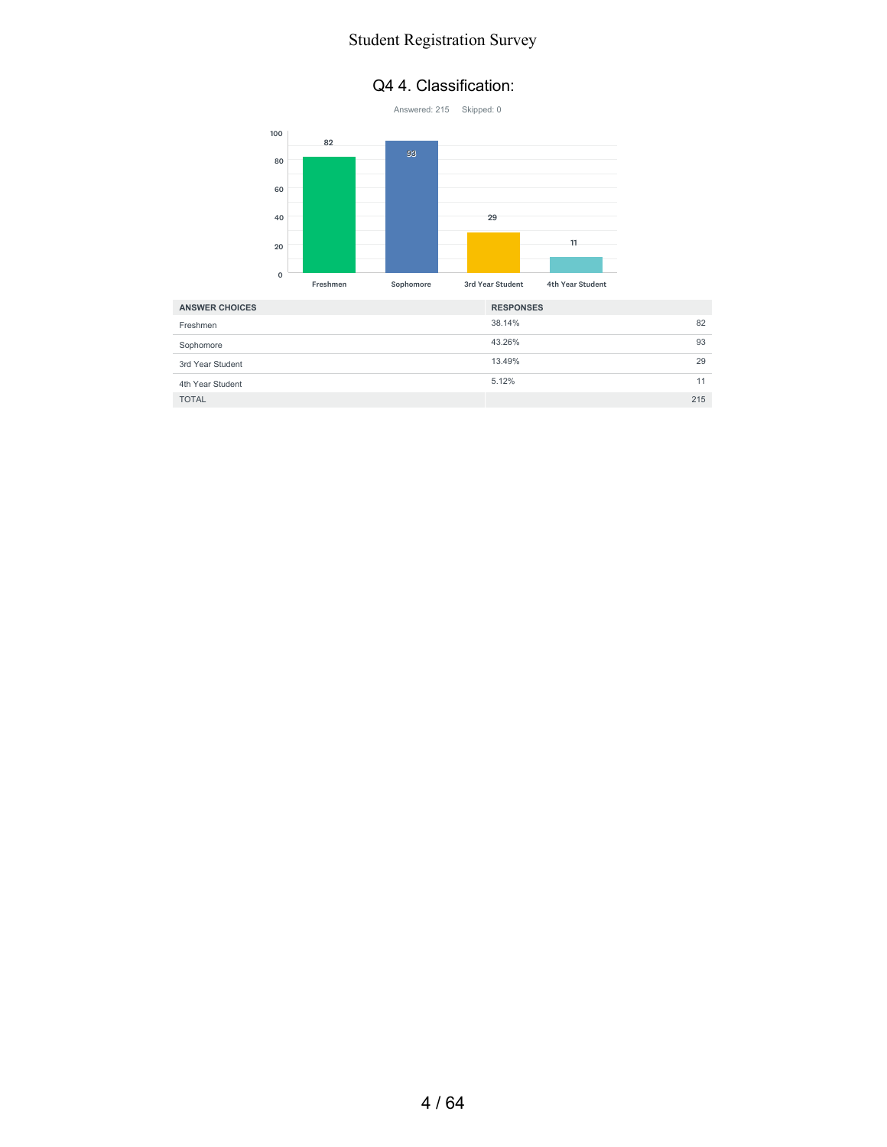#### Q4 4. Classification:



| <b>ANSWER CHOICES</b> | <b>RESPONSES</b> |     |
|-----------------------|------------------|-----|
| Freshmen              | 38.14%           | 82  |
| Sophomore             | 43.26%           | 93  |
| 3rd Year Student      | 13.49%           | 29  |
| 4th Year Student      | 5.12%            | 11  |
| <b>TOTAL</b>          |                  | 215 |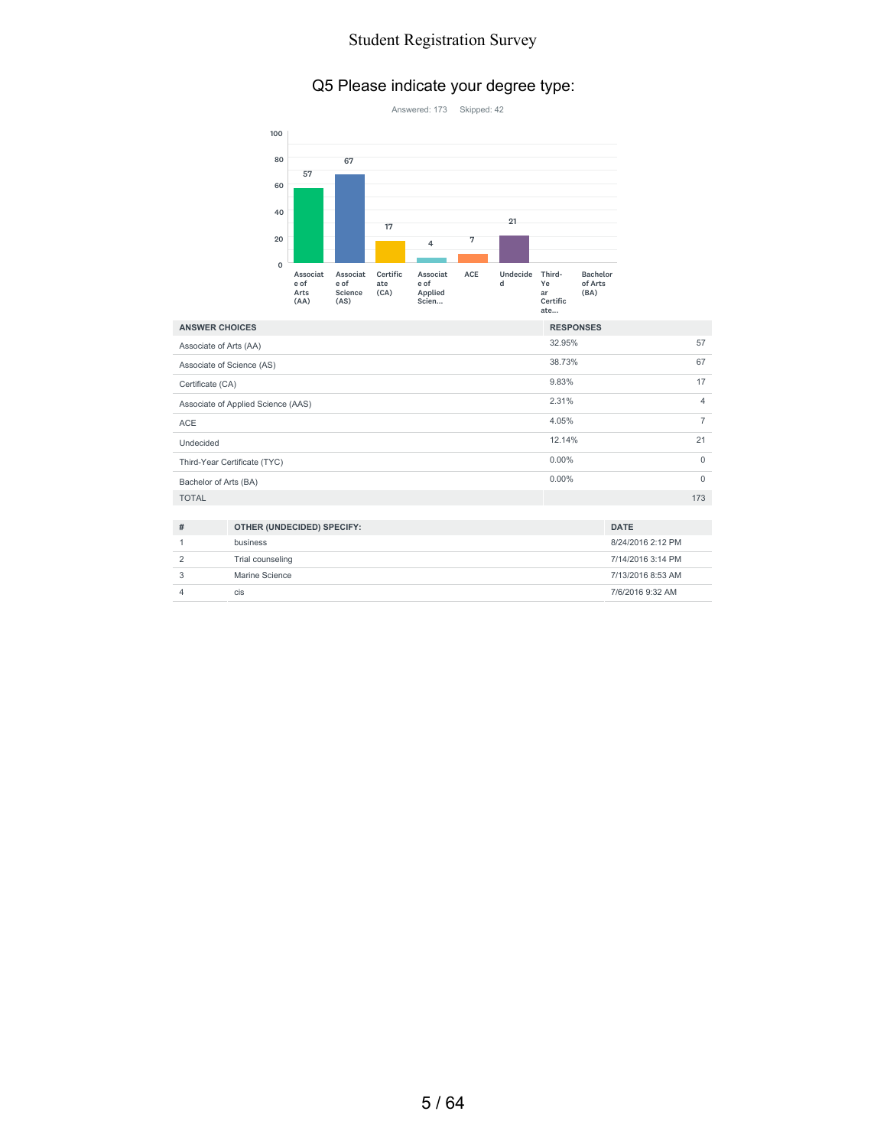# Q5 Please indicate your degree type:



| <b>ANSWER CHOICES</b>  |                                    | <b>RESPONSES</b> |                |
|------------------------|------------------------------------|------------------|----------------|
| Associate of Arts (AA) |                                    | 32.95%           | 57             |
|                        | Associate of Science (AS)          | 38.73%           | 67             |
| Certificate (CA)       |                                    |                  | 17             |
|                        | Associate of Applied Science (AAS) | 2.31%            | $\overline{4}$ |
| <b>ACE</b>             |                                    | 4.05%            | $\overline{7}$ |
| Undecided              |                                    | 12.14%           | 21             |
|                        | Third-Year Certificate (TYC)       | $0.00\%$         | $\Omega$       |
| Bachelor of Arts (BA)  |                                    | $0.00\%$         | $\Omega$       |
| <b>TOTAL</b>           |                                    |                  | 173            |
|                        |                                    |                  |                |
| #                      | OTHER (UNDECIDED) SPECIFY:         |                  | <b>DATE</b>    |

| # | OTHER (UNDECIDED) SPECIFY: | <b>DATE</b>       |
|---|----------------------------|-------------------|
|   | business                   | 8/24/2016 2:12 PM |
|   | Trial counseling           | 7/14/2016 3:14 PM |
|   | Marine Science             | 7/13/2016 8:53 AM |
|   | <b>CIS</b>                 | 7/6/2016 9:32 AM  |
|   |                            |                   |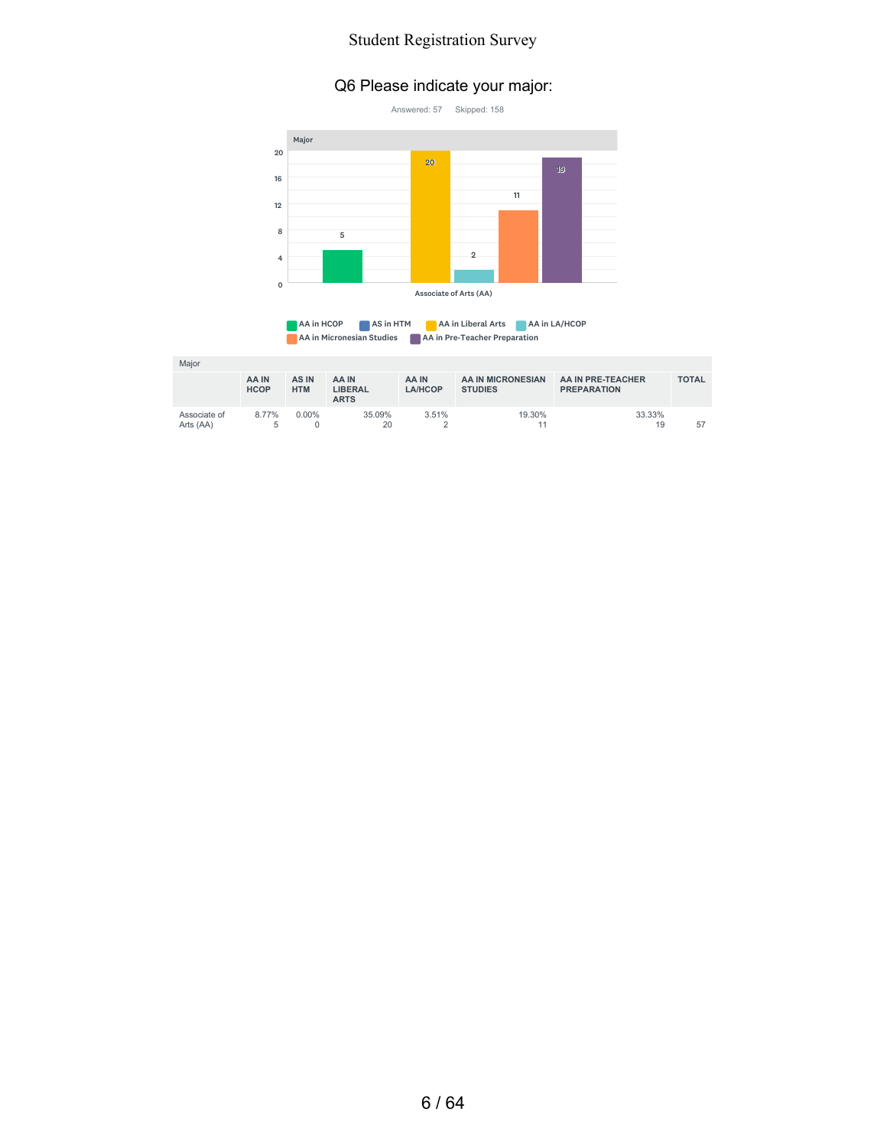#### Q6 Please indicate your major:





| Major                     |                      |                     |                                        |                  |                                     |                                         |              |
|---------------------------|----------------------|---------------------|----------------------------------------|------------------|-------------------------------------|-----------------------------------------|--------------|
|                           | AA IN<br><b>HCOP</b> | AS IN<br><b>HTM</b> | AA IN<br><b>LIBERAL</b><br><b>ARTS</b> | AA IN<br>LA/HCOP | AA IN MICRONESIAN<br><b>STUDIES</b> | AA IN PRE-TEACHER<br><b>PREPARATION</b> | <b>TOTAL</b> |
| Associate of<br>Arts (AA) | 8.77%<br>5           | $0.00\%$            | 35.09%<br>20                           | 3.51%            | 19.30%                              | 33.33%<br>19                            | 57           |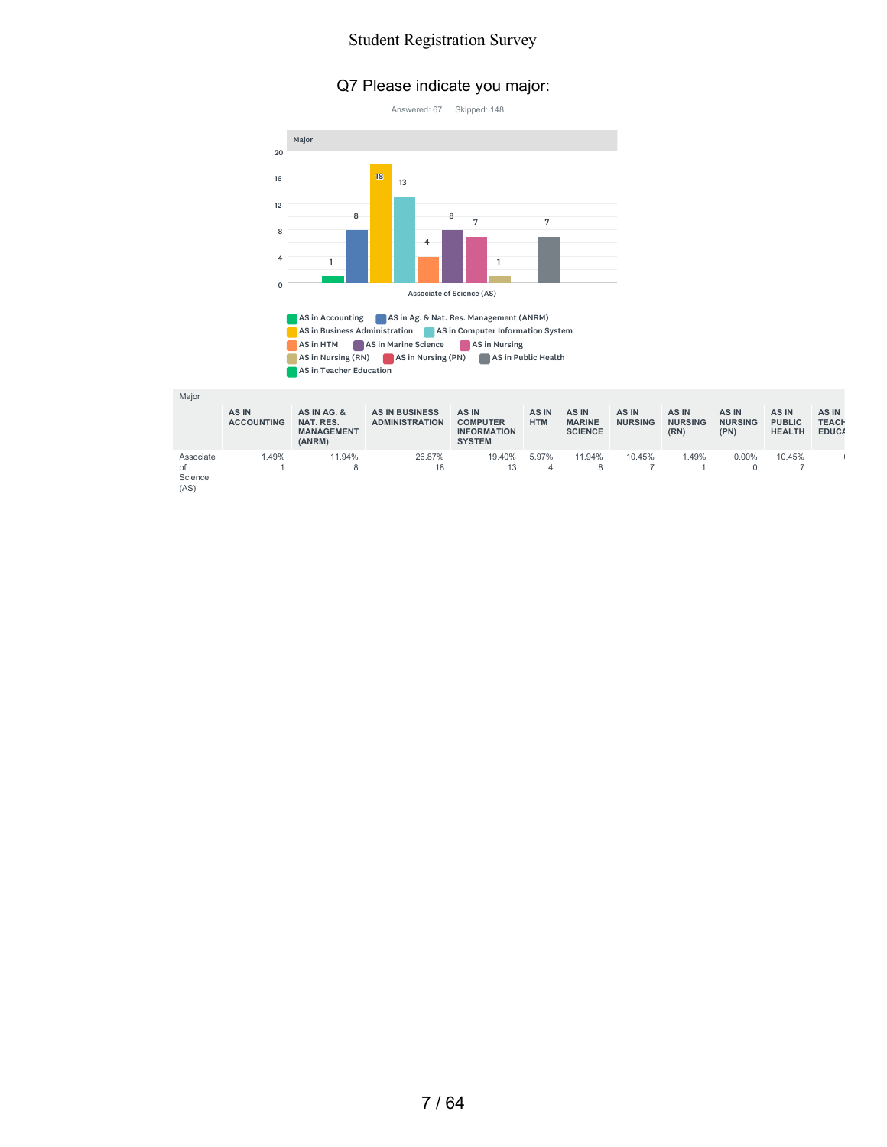#### Q7 Please indicate you major:





AS in Accounting AS in Ag. & Nat. Res. Management (ANRM) AS in Business Administration **AS in Computer Information System** AS in HTM AS in Marine Science AS in Nursing AS in Nursing (RN) AS in Nursing (PN) AS in Public Health AS in Teacher Education

Major

|                                    | AS IN<br><b>ACCOUNTING</b> | AS IN AG. &<br>NAT. RES.<br><b>MANAGEMENT</b><br>(ANRM) | <b>AS IN BUSINESS</b><br><b>ADMINISTRATION</b> | AS IN<br><b>COMPUTER</b><br><b>INFORMATION</b><br><b>SYSTEM</b> | AS IN<br><b>HTM</b> | AS IN<br><b>MARINE</b><br><b>SCIENCE</b> | AS IN<br><b>NURSING</b> | AS IN<br><b>NURSING</b><br>(RN) | AS IN<br><b>NURSING</b><br>(PN) | AS IN<br><b>PUBLIC</b><br><b>HEALTH</b> | AS IN<br><b>TEACH</b><br>EDUC/ |
|------------------------------------|----------------------------|---------------------------------------------------------|------------------------------------------------|-----------------------------------------------------------------|---------------------|------------------------------------------|-------------------------|---------------------------------|---------------------------------|-----------------------------------------|--------------------------------|
| Associate<br>of<br>Science<br>(AS) | 1.49%                      | 11.94%                                                  | 26.87%<br>18                                   | 19.40%<br>13                                                    | 5.97%<br>4          | 11.94%                                   | 10.45%                  | .49%                            | $0.00\%$                        | 10.45%                                  |                                |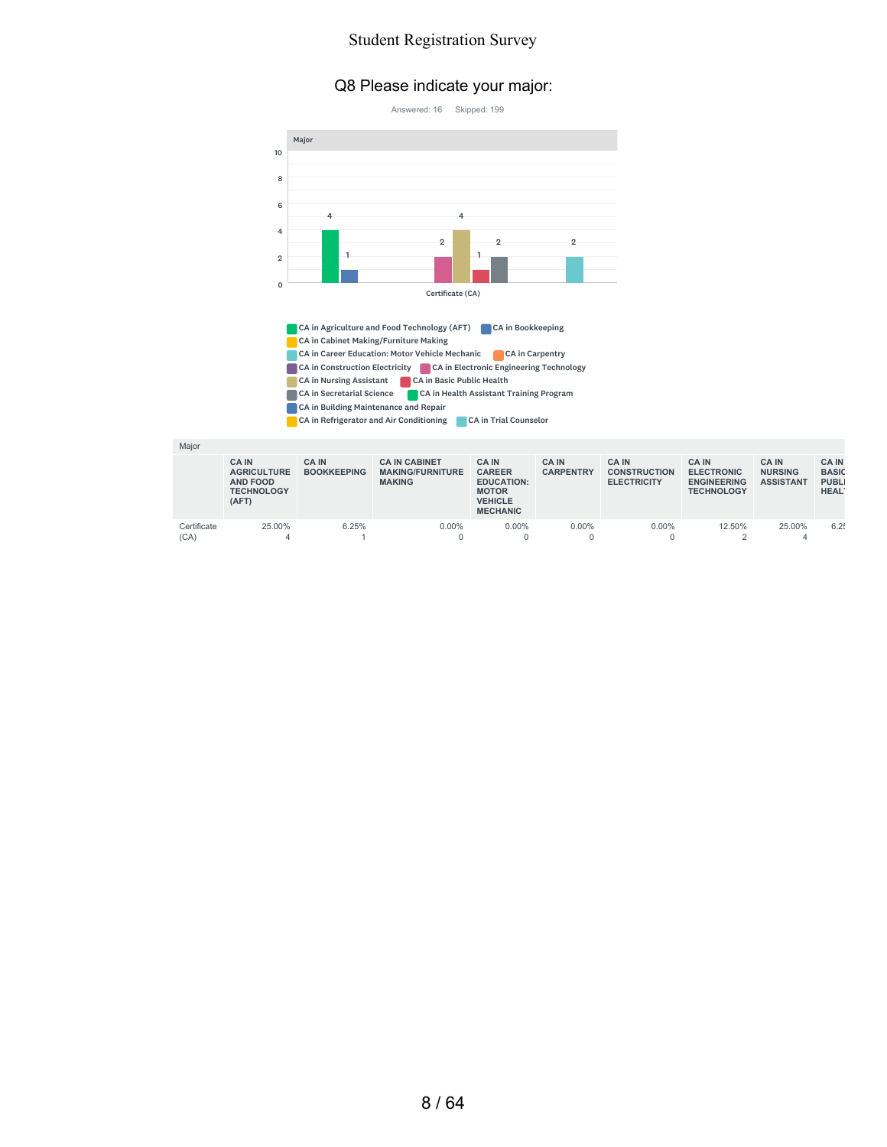#### Q8 Please indicate your major:



CA in Refrigerator and Air Conditioning CA in Trial Counselor

| Major               |                                                                              |                                    |                                                                  |                                                                                                         |                                  |                                                           |                                                                              |                                                   |                                                                  |
|---------------------|------------------------------------------------------------------------------|------------------------------------|------------------------------------------------------------------|---------------------------------------------------------------------------------------------------------|----------------------------------|-----------------------------------------------------------|------------------------------------------------------------------------------|---------------------------------------------------|------------------------------------------------------------------|
|                     | <b>CA IN</b><br><b>AGRICULTURE</b><br>AND FOOD<br><b>TECHNOLOGY</b><br>(AFT) | <b>CA IN</b><br><b>BOOKKEEPING</b> | <b>CA IN CABINET</b><br><b>MAKING/FURNITURE</b><br><b>MAKING</b> | <b>CA IN</b><br><b>CAREER</b><br><b>EDUCATION:</b><br><b>MOTOR</b><br><b>VEHICLE</b><br><b>MECHANIC</b> | <b>CA IN</b><br><b>CARPENTRY</b> | <b>CA IN</b><br><b>CONSTRUCTION</b><br><b>ELECTRICITY</b> | <b>CA IN</b><br><b>ELECTRONIC</b><br><b>ENGINEERING</b><br><b>TECHNOLOGY</b> | <b>CAIN</b><br><b>NURSING</b><br><b>ASSISTANT</b> | <b>CAIN</b><br><b>BASIC</b><br><b>PUBLI</b><br>HEAL <sup>®</sup> |
| Certificate<br>(CA) | 25.00%                                                                       | 6.25%                              | $0.00\%$                                                         | 0.00%                                                                                                   | 0.00%                            | $0.00\%$                                                  | 12.50%<br>$\sqrt{2}$                                                         | 25.00%                                            | 6.25                                                             |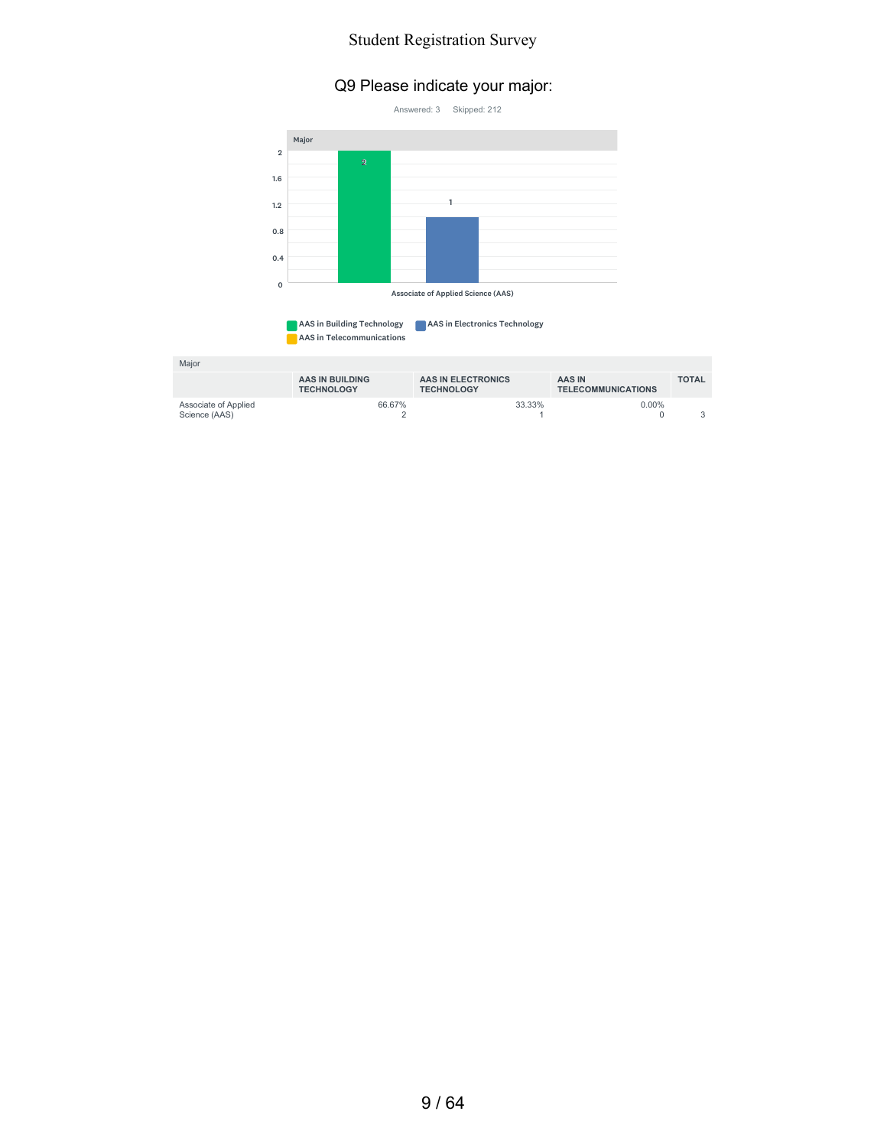#### Q9 Please indicate your major:





| Major                                 |                                      |                                         |                                     |              |
|---------------------------------------|--------------------------------------|-----------------------------------------|-------------------------------------|--------------|
|                                       | AAS IN BUILDING<br><b>TECHNOLOGY</b> | AAS IN ELECTRONICS<br><b>TECHNOLOGY</b> | AAS IN<br><b>TELECOMMUNICATIONS</b> | <b>TOTAL</b> |
| Associate of Applied<br>Science (AAS) | 66.67%                               | 33.33%                                  | $0.00\%$                            |              |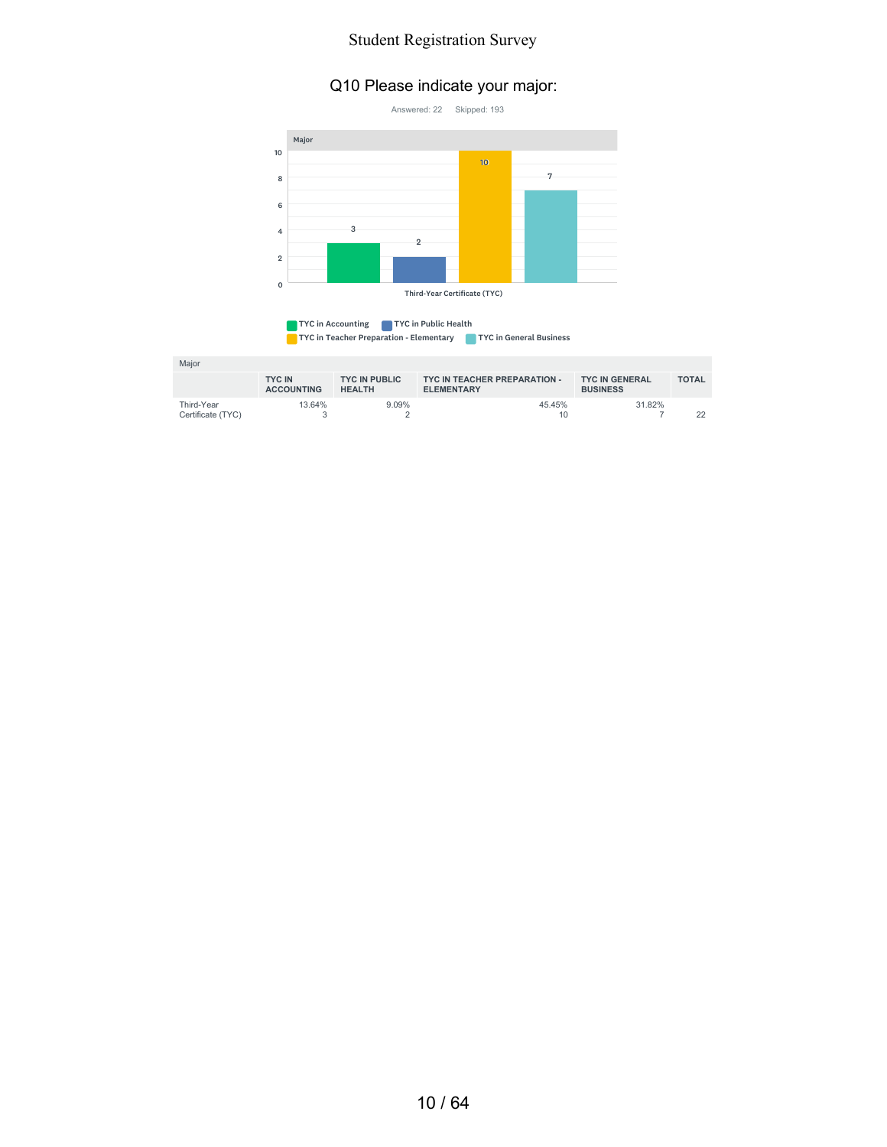# Q10 Please indicate your major:



| TYC in Teacher Preparation - Elementary<br>TYC in General Business | TYC in Accounting | TYC in Public Health |  |
|--------------------------------------------------------------------|-------------------|----------------------|--|
|                                                                    |                   |                      |  |

| Major                           |                                    |                                       |                                                   |                                          |              |
|---------------------------------|------------------------------------|---------------------------------------|---------------------------------------------------|------------------------------------------|--------------|
|                                 | <b>TYC IN</b><br><b>ACCOUNTING</b> | <b>TYC IN PUBLIC</b><br><b>HEALTH</b> | TYC IN TEACHER PREPARATION -<br><b>ELEMENTARY</b> | <b>TYC IN GENERAL</b><br><b>BUSINESS</b> | <b>TOTAL</b> |
| Third-Year<br>Certificate (TYC) | 13.64%                             | 9.09%                                 | 45.45%<br>10                                      | 31.82%                                   | 22           |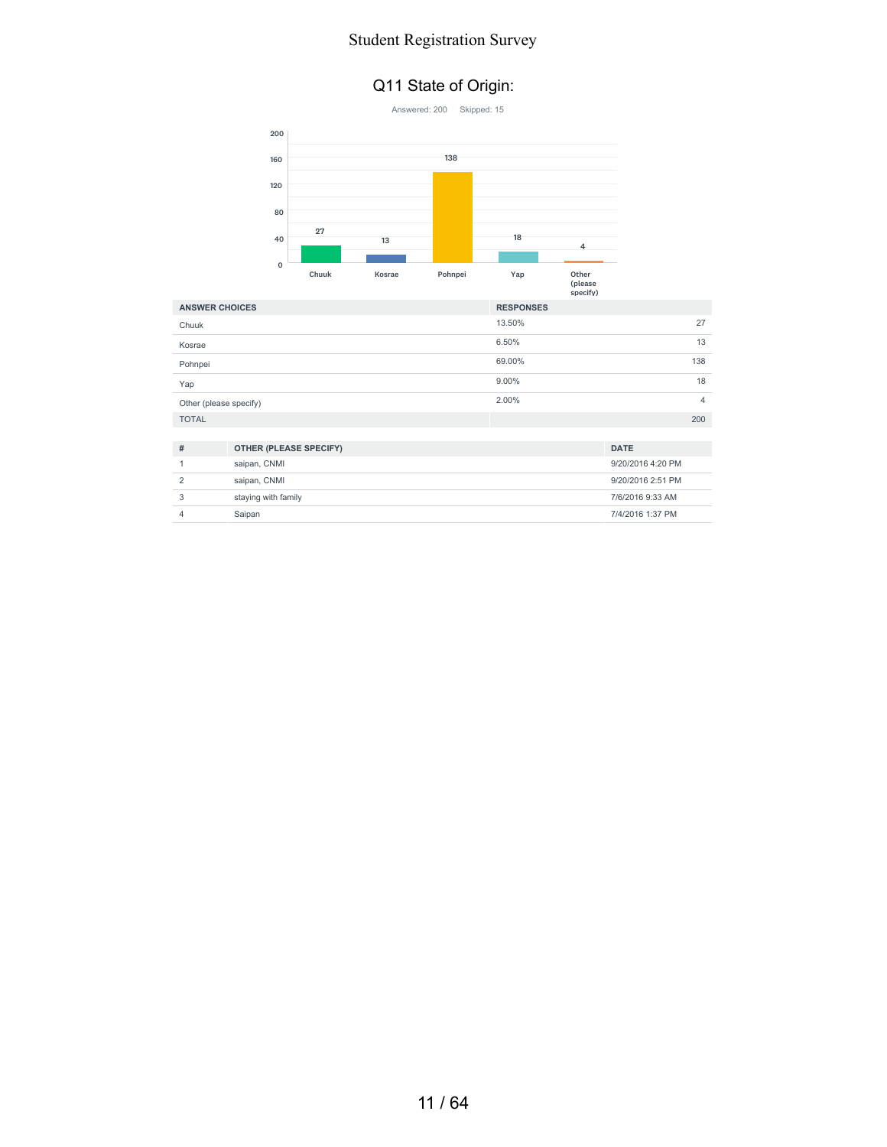#### Q11 State of Origin:



3 staying with family 7/6/2016 9:33 AM 4 Saipan 7/4/2016 1:37 PM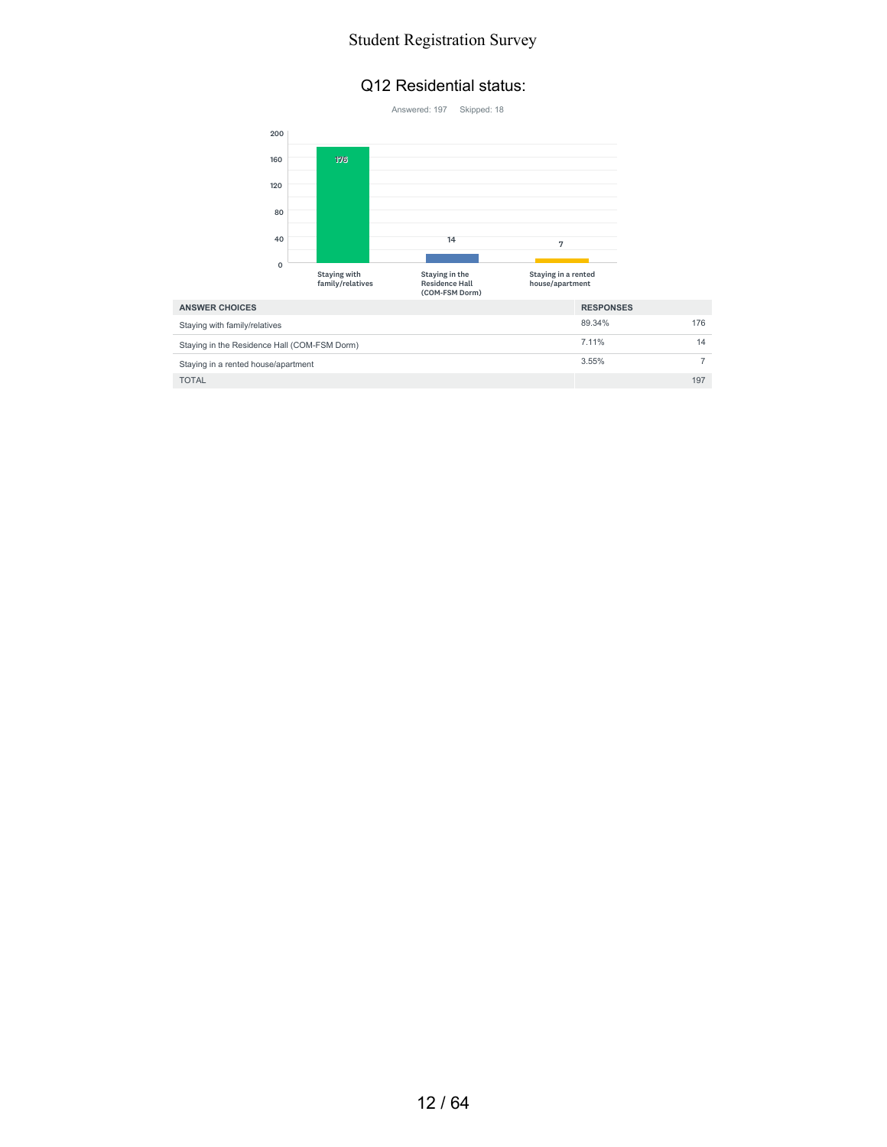#### Q12 Residential status:

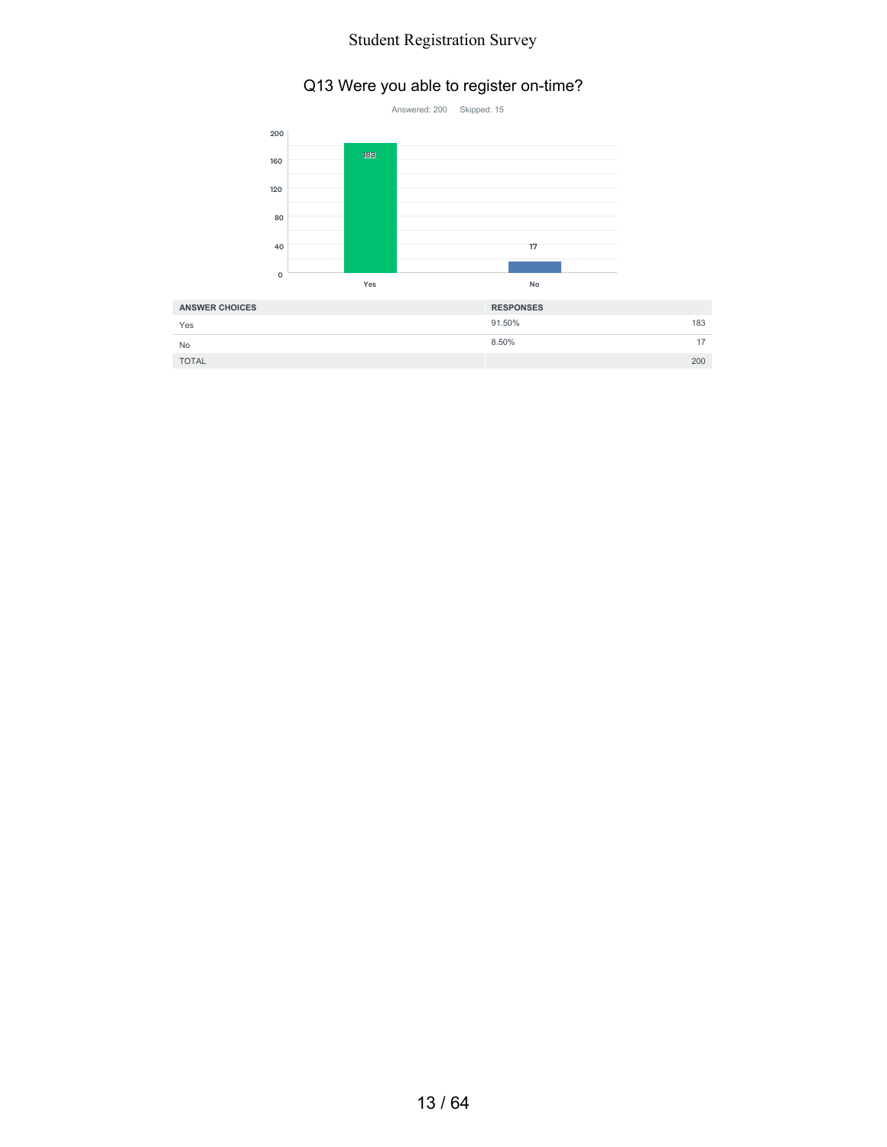#### Q13 Were you able to register on-time?



| Yes          | 91.50% | 183 |
|--------------|--------|-----|
| No           | 8.50%  | 17  |
| <b>TOTAL</b> |        | 200 |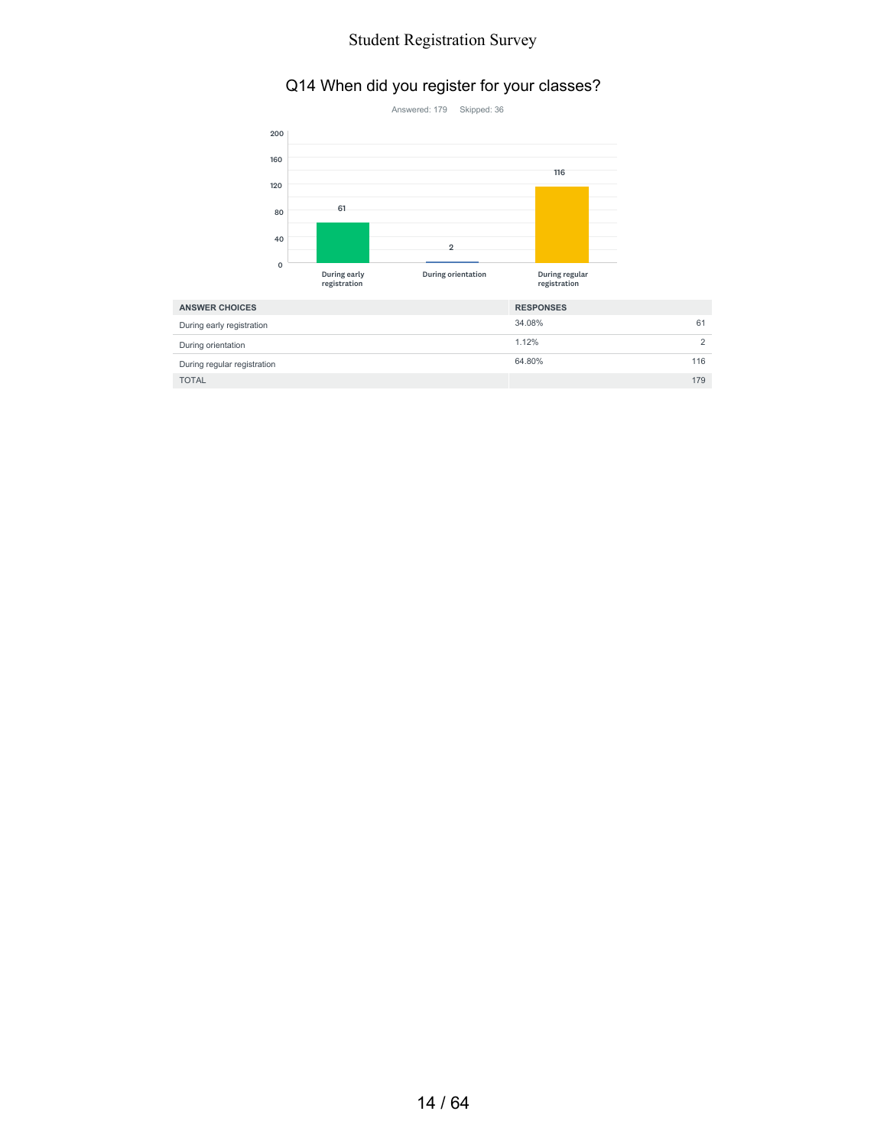#### Q14 When did you register for your classes?



| <b>ANSWER CHOICES</b>       | <b>RESPONSES</b> |
|-----------------------------|------------------|
| During early registration   | 34.08%<br>61     |
| During orientation          | 1.12%            |
| During regular registration | 116<br>64.80%    |
| <b>TOTAL</b>                | 179              |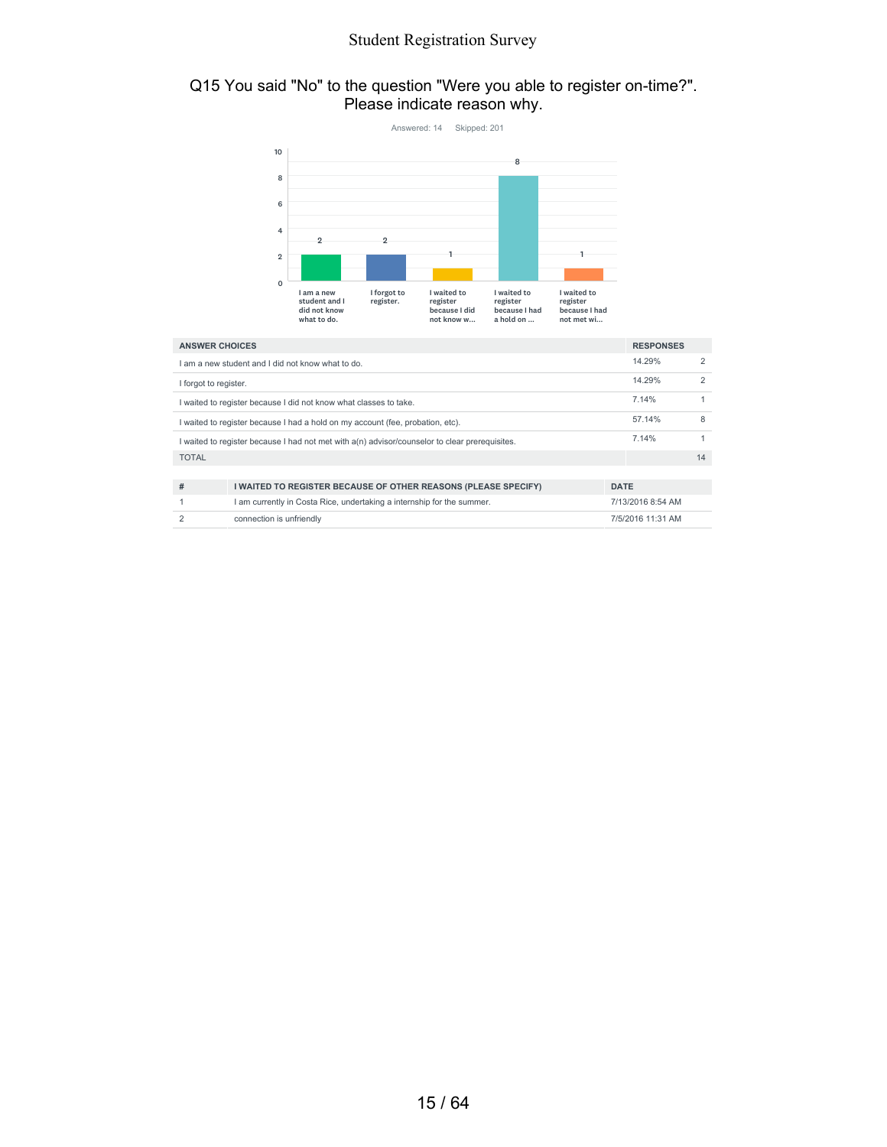#### Q15 You said "No" to the question "Were you able to register on-time?". Please indicate reason why.



|                                                                                                  | am a new student and I did not know what to do.                                |             | 14.29%            |    |
|--------------------------------------------------------------------------------------------------|--------------------------------------------------------------------------------|-------------|-------------------|----|
| I forgot to register.                                                                            |                                                                                |             | 14.29%            |    |
|                                                                                                  | I waited to register because I did not know what classes to take.              |             | 7.14%             |    |
|                                                                                                  | I waited to register because I had a hold on my account (fee, probation, etc). |             | 57.14%            | 8  |
| I waited to register because I had not met with $a(n)$ advisor/counselor to clear prerequisites. |                                                                                |             | 7.14%             |    |
| <b>TOTAL</b>                                                                                     |                                                                                |             |                   | 14 |
|                                                                                                  |                                                                                |             |                   |    |
| #                                                                                                | I WAITED TO REGISTER BECAUSE OF OTHER REASONS (PLEASE SPECIFY)                 | <b>DATE</b> |                   |    |
|                                                                                                  | I am currently in Costa Rice, undertaking a internship for the summer.         |             | 7/13/2016 8:54 AM |    |
|                                                                                                  | connection is unfriendly                                                       |             | 7/5/2016 11:31 AM |    |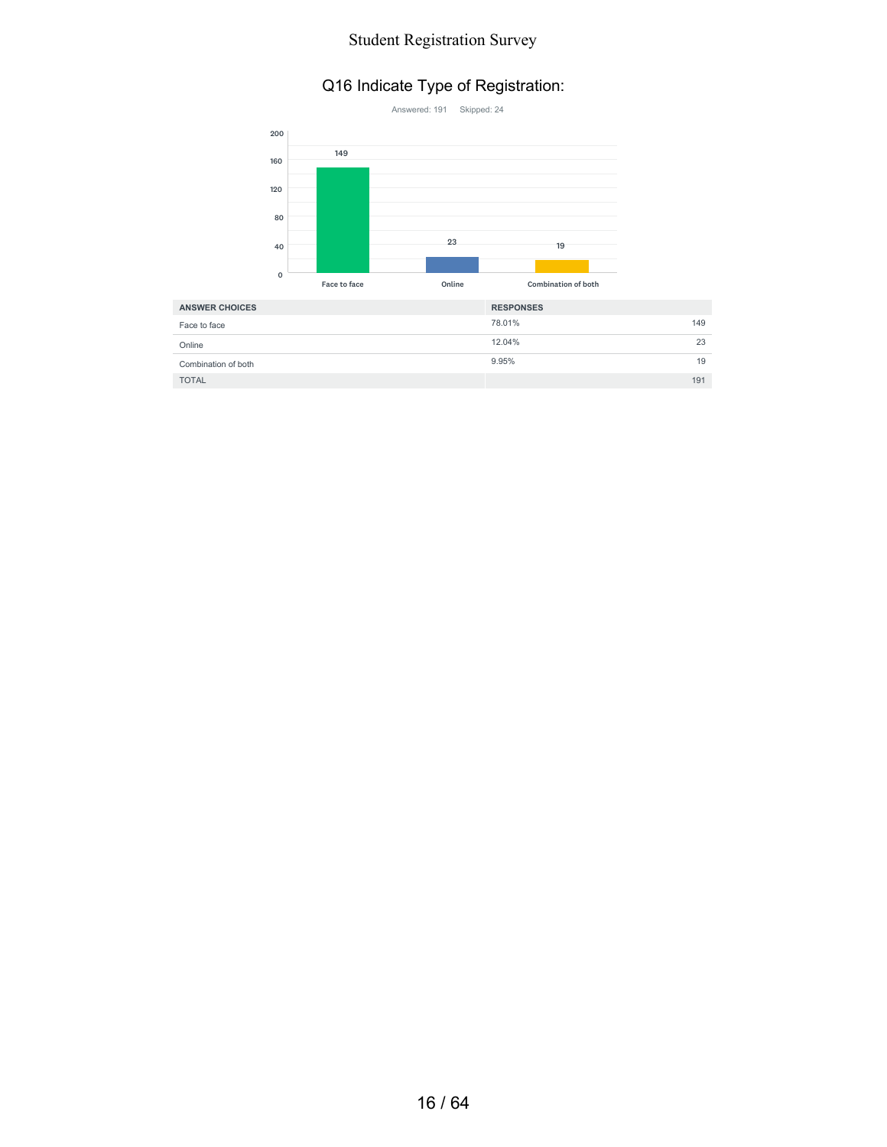# Q16 Indicate Type of Registration:



| <b>ANSWER CHOICES</b> | <b>RESPONSES</b> |
|-----------------------|------------------|
| Face to face          | 78.01%<br>149    |
| Online                | 12.04%<br>23     |
| Combination of both   | 9.95%<br>19      |
| <b>TOTAL</b>          | 191              |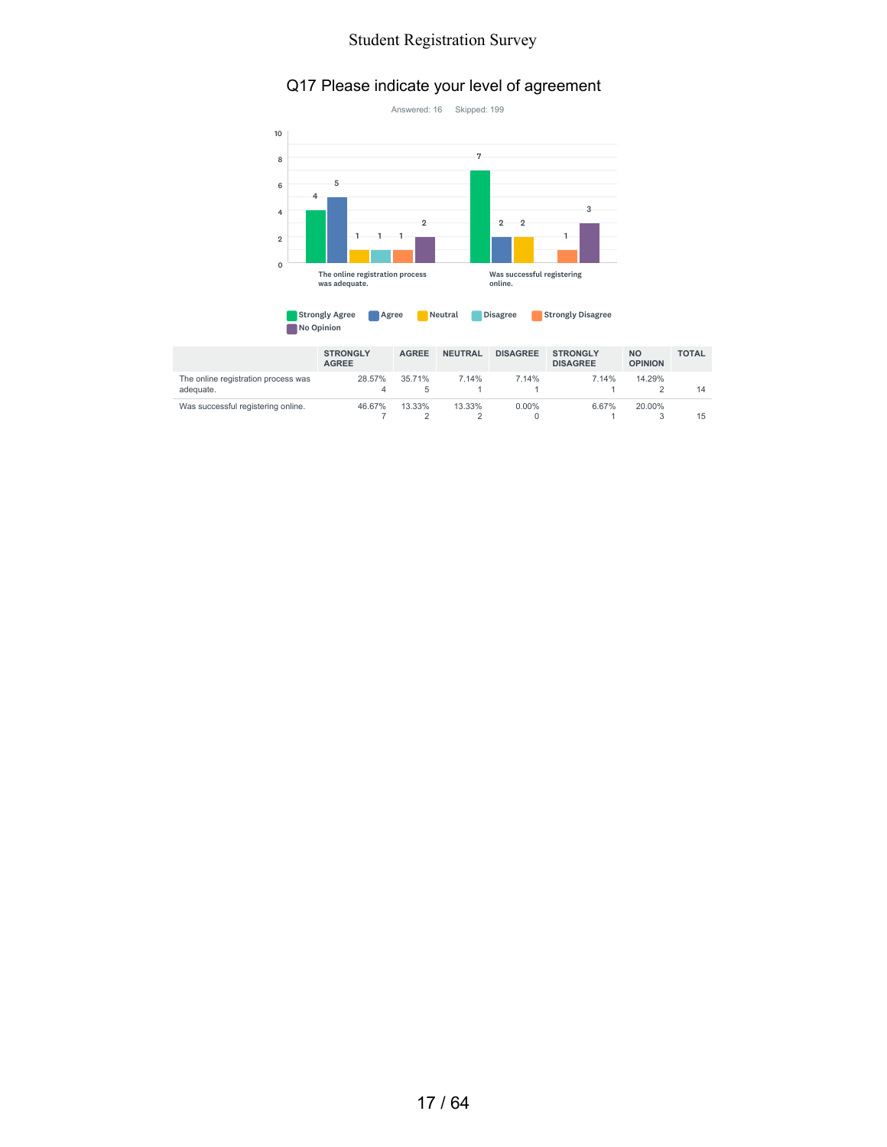#### Q17 Please indicate your level of agreement



| <b>Strongly Agree</b> | Agree | Neutral | <b>Disagree</b> | <b>Strongly Disagree</b> |
|-----------------------|-------|---------|-----------------|--------------------------|
| No Opinion            |       |         |                 |                          |

|                                                  | <b>STRONGLY</b><br><b>AGREE</b> | <b>AGREE</b> | <b>NEUTRAL</b> | <b>DISAGREE</b> | <b>STRONGLY</b><br><b>DISAGREE</b> | <b>NO</b><br><b>OPINION</b> | <b>TOTAL</b> |
|--------------------------------------------------|---------------------------------|--------------|----------------|-----------------|------------------------------------|-----------------------------|--------------|
| The online registration process was<br>adeguate. | 28.57%<br>4                     | 35.71%<br>5  | 7.14%          | 7.14%           | 7.14%                              | 14.29%                      | 14           |
| Was successful registering online.               | 46.67%                          | 13.33%       | 13.33%         | $0.00\%$        | 6.67%                              | 20.00%                      | 15           |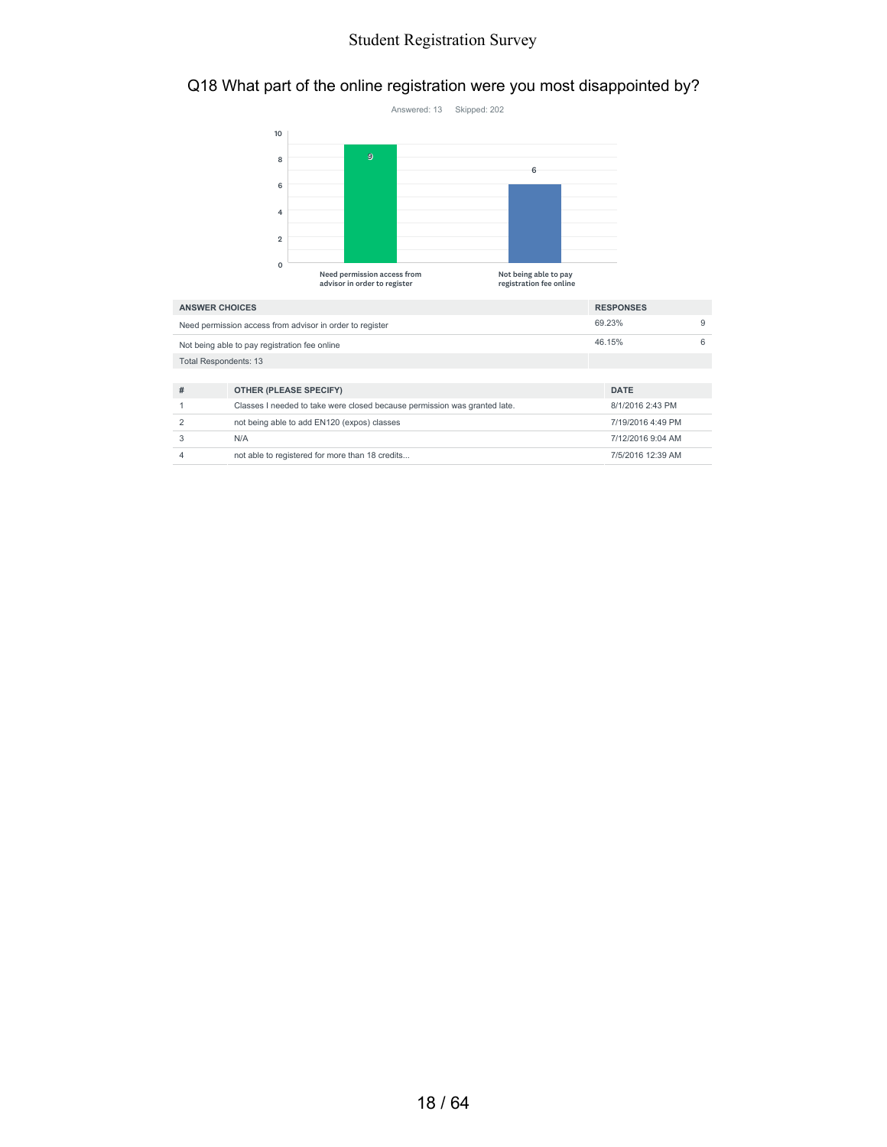# Q18 What part of the online registration were you most disappointed by?



| <b>ANSWER CHOICES</b>                         |                                                                           | <b>RESPONSES</b>  |   |
|-----------------------------------------------|---------------------------------------------------------------------------|-------------------|---|
|                                               | Need permission access from advisor in order to register                  | 69.23%            | 9 |
| Not being able to pay registration fee online |                                                                           | 46.15%            | 6 |
| <b>Total Respondents: 13</b>                  |                                                                           |                   |   |
|                                               |                                                                           |                   |   |
| #                                             | OTHER (PLEASE SPECIFY)                                                    | <b>DATE</b>       |   |
|                                               | Classes I needed to take were closed because permission was granted late. | 8/1/2016 2:43 PM  |   |
| 2                                             | not being able to add EN120 (expos) classes                               | 7/19/2016 4:49 PM |   |
|                                               | N/A                                                                       | 7/12/2016 9:04 AM |   |
|                                               | not able to registered for more than 18 credits                           | 7/5/2016 12:39 AM |   |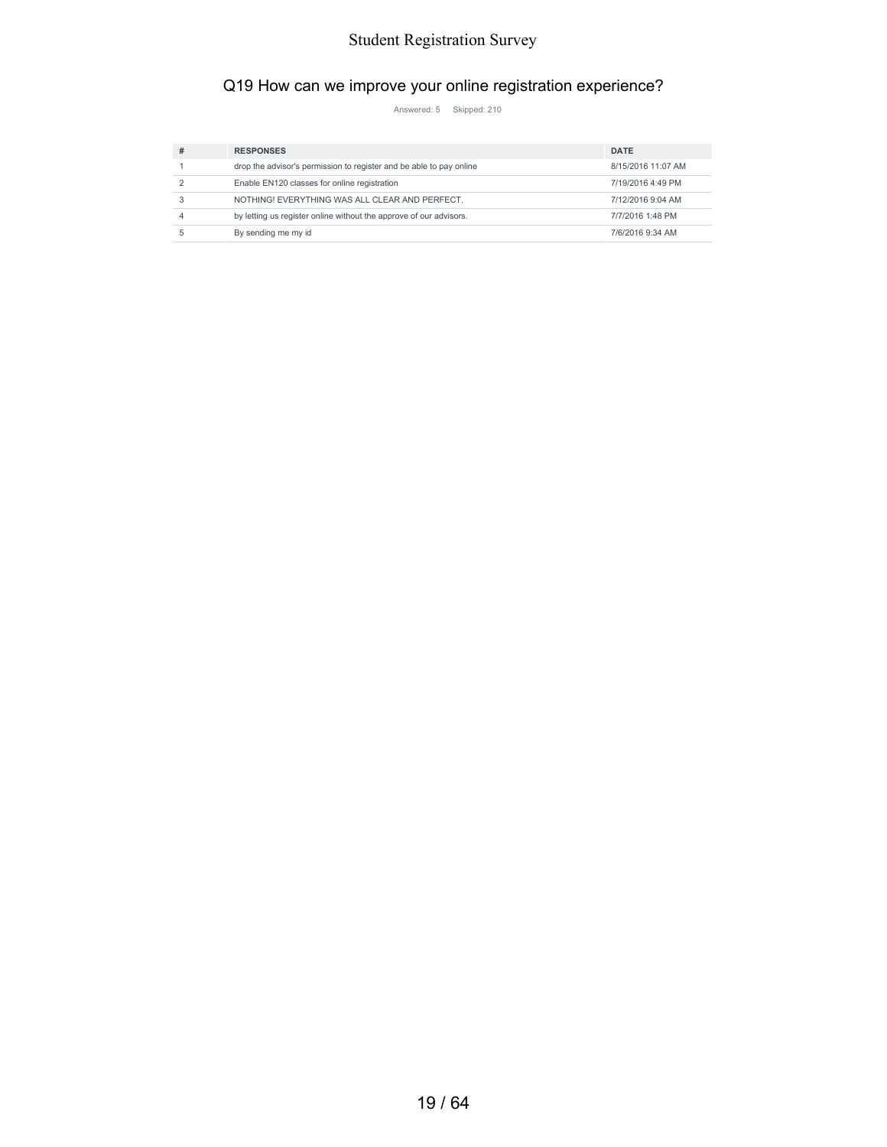# Q19 How can we improve your online registration experience?

Answered: 5 Skipped: 210

| $\boldsymbol{\mathcal{H}}$ | <b>RESPONSES</b>                                                    | <b>DATE</b>        |
|----------------------------|---------------------------------------------------------------------|--------------------|
|                            | drop the advisor's permission to register and be able to pay online | 8/15/2016 11:07 AM |
|                            | Enable EN120 classes for online registration                        | 7/19/2016 4:49 PM  |
|                            | NOTHING! EVERYTHING WAS ALL CLEAR AND PERFECT.                      | 7/12/2016 9:04 AM  |
|                            | by letting us register online without the approve of our advisors.  | 7/7/2016 1:48 PM   |
|                            | By sending me my id                                                 | 7/6/2016 9:34 AM   |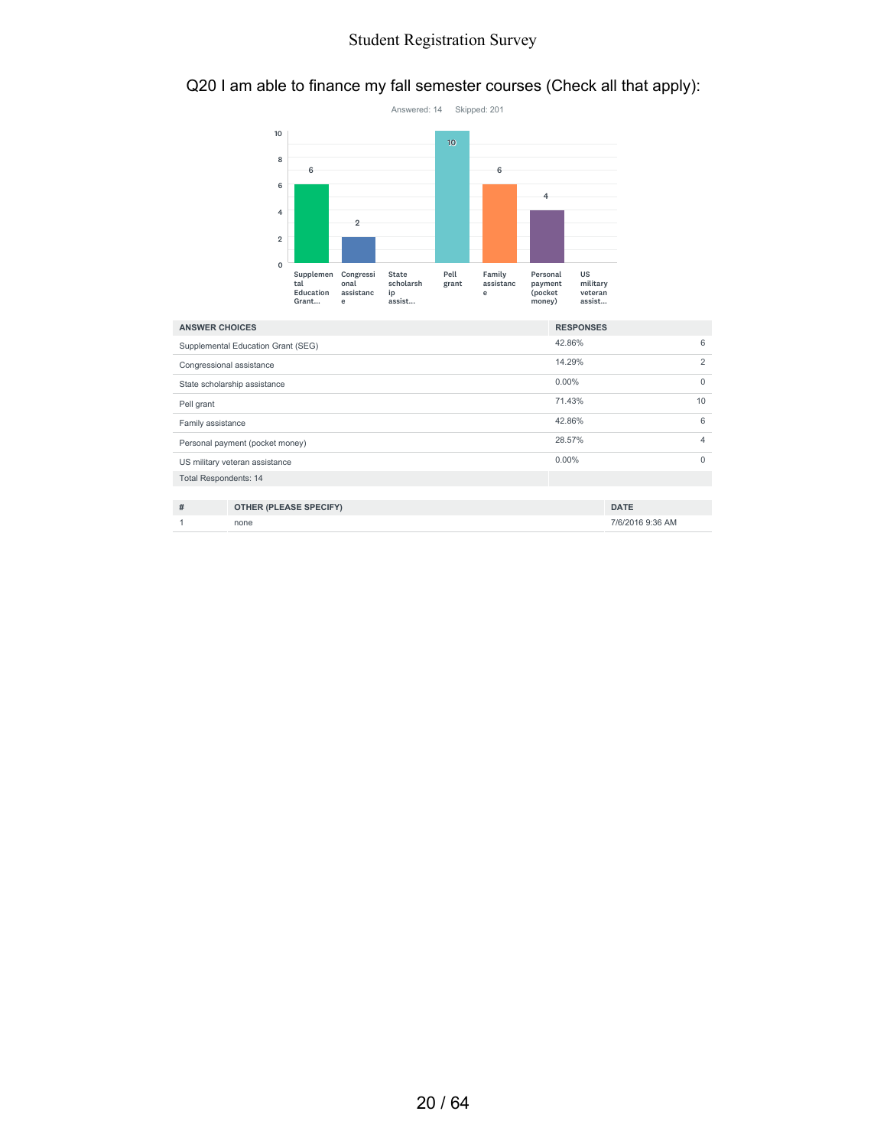# Q20 I am able to finance my fall semester courses (Check all that apply):



| <b>ANSWER CHOICES</b>           |                                    | <b>RESPONSES</b> |                |
|---------------------------------|------------------------------------|------------------|----------------|
|                                 | Supplemental Education Grant (SEG) | 42.86%           | 6              |
| Congressional assistance        |                                    | 14.29%           | $\overline{2}$ |
| State scholarship assistance    |                                    | $0.00\%$         | $\Omega$       |
| Pell grant                      |                                    | 71.43%           | 10             |
| Family assistance               |                                    | 42.86%           | 6              |
| Personal payment (pocket money) |                                    | 28.57%           | 4              |
|                                 | US military veteran assistance     | $0.00\%$         | $\Omega$       |
| <b>Total Respondents: 14</b>    |                                    |                  |                |
|                                 |                                    |                  |                |
| #                               | <b>OTHER (PLEASE SPECIFY)</b>      |                  | <b>DATE</b>    |

1 none 7/6/2016 9:36 AM

20 / 64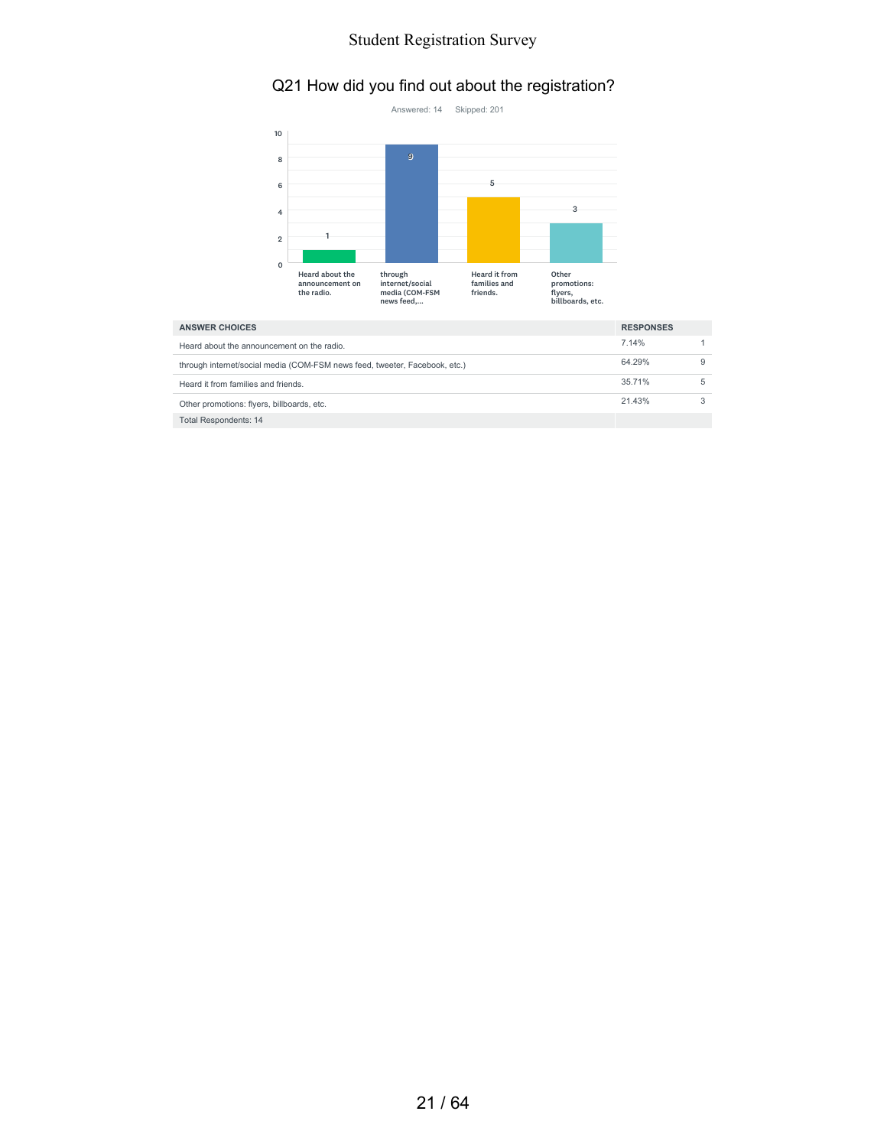# Q21 How did you find out about the registration?



| <b>ANSWER CHOICES</b>                                                      | <b>RESPONSES</b> |   |
|----------------------------------------------------------------------------|------------------|---|
| Heard about the announcement on the radio.                                 | 7.14%            |   |
| through internet/social media (COM-FSM news feed, tweeter, Facebook, etc.) | 64.29%           | 9 |
| Heard it from families and friends.                                        | 35.71%           | 5 |
| Other promotions: flyers, billboards, etc.                                 | 21.43%           |   |
| <b>Total Respondents: 14</b>                                               |                  |   |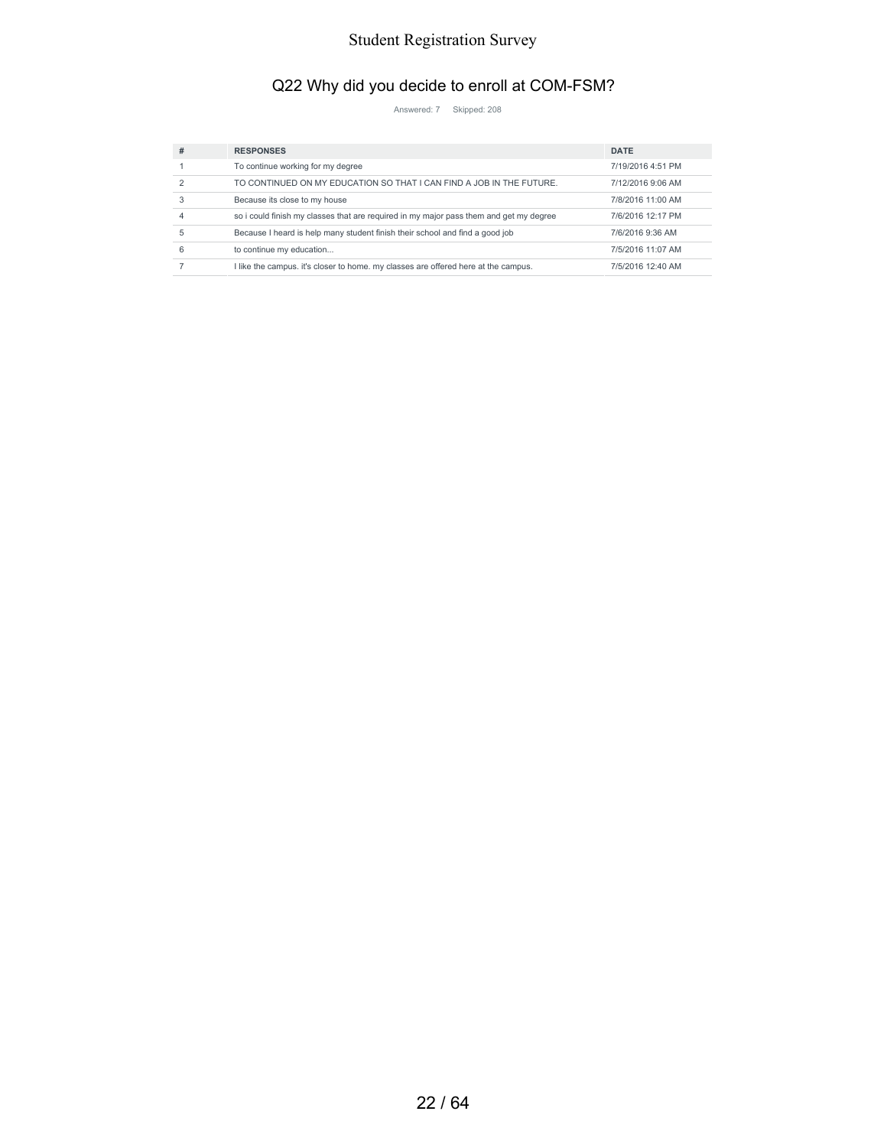# Q22 Why did you decide to enroll at COM-FSM?

Answered: 7 Skipped: 208

| # | <b>RESPONSES</b>                                                                       | <b>DATE</b>       |
|---|----------------------------------------------------------------------------------------|-------------------|
|   | To continue working for my degree                                                      | 7/19/2016 4:51 PM |
|   | TO CONTINUED ON MY EDUCATION SO THAT I CAN FIND A JOB IN THE FUTURE.                   | 7/12/2016 9:06 AM |
| 3 | Because its close to my house                                                          | 7/8/2016 11:00 AM |
|   | so i could finish my classes that are required in my major pass them and get my degree | 7/6/2016 12:17 PM |
| 5 | Because I heard is help many student finish their school and find a good job           | 7/6/2016 9:36 AM  |
| 6 | to continue my education                                                               | 7/5/2016 11:07 AM |
|   | I like the campus, it's closer to home, my classes are offered here at the campus.     | 7/5/2016 12:40 AM |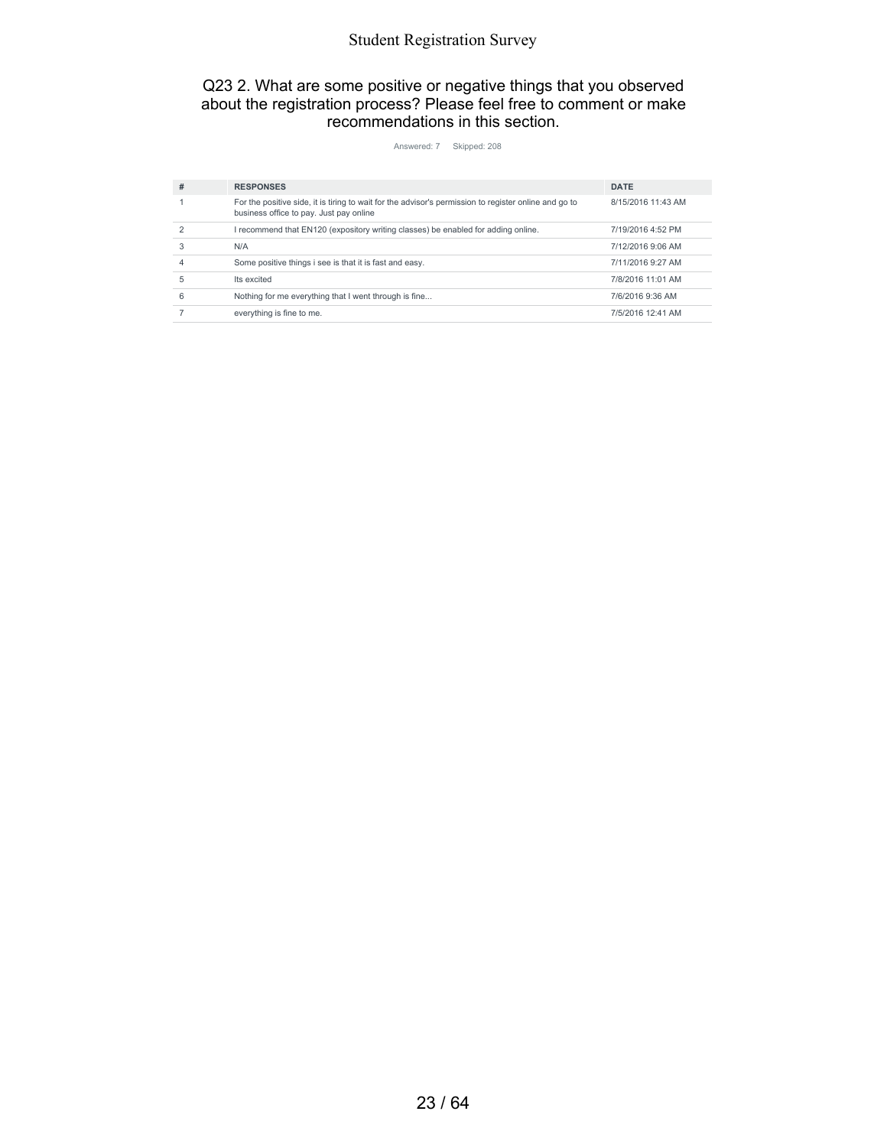#### Q23 2. What are some positive or negative things that you observed about the registration process? Please feel free to comment or make recommendations in this section.

Answered: 7 Skipped: 208

| #          | <b>RESPONSES</b>                                                                                                                                 | <b>DATE</b>        |
|------------|--------------------------------------------------------------------------------------------------------------------------------------------------|--------------------|
|            | For the positive side, it is tiring to wait for the advisor's permission to register online and go to<br>business office to pay. Just pay online | 8/15/2016 11:43 AM |
| 2          | I recommend that EN120 (expository writing classes) be enabled for adding online.                                                                | 7/19/2016 4:52 PM  |
|            | N/A                                                                                                                                              | 7/12/2016 9:06 AM  |
|            | Some positive things i see is that it is fast and easy.                                                                                          | 7/11/2016 9:27 AM  |
| 5          | Its excited                                                                                                                                      | 7/8/2016 11:01 AM  |
| $\epsilon$ | Nothing for me everything that I went through is fine                                                                                            | 7/6/2016 9:36 AM   |
|            | everything is fine to me.                                                                                                                        | 7/5/2016 12:41 AM  |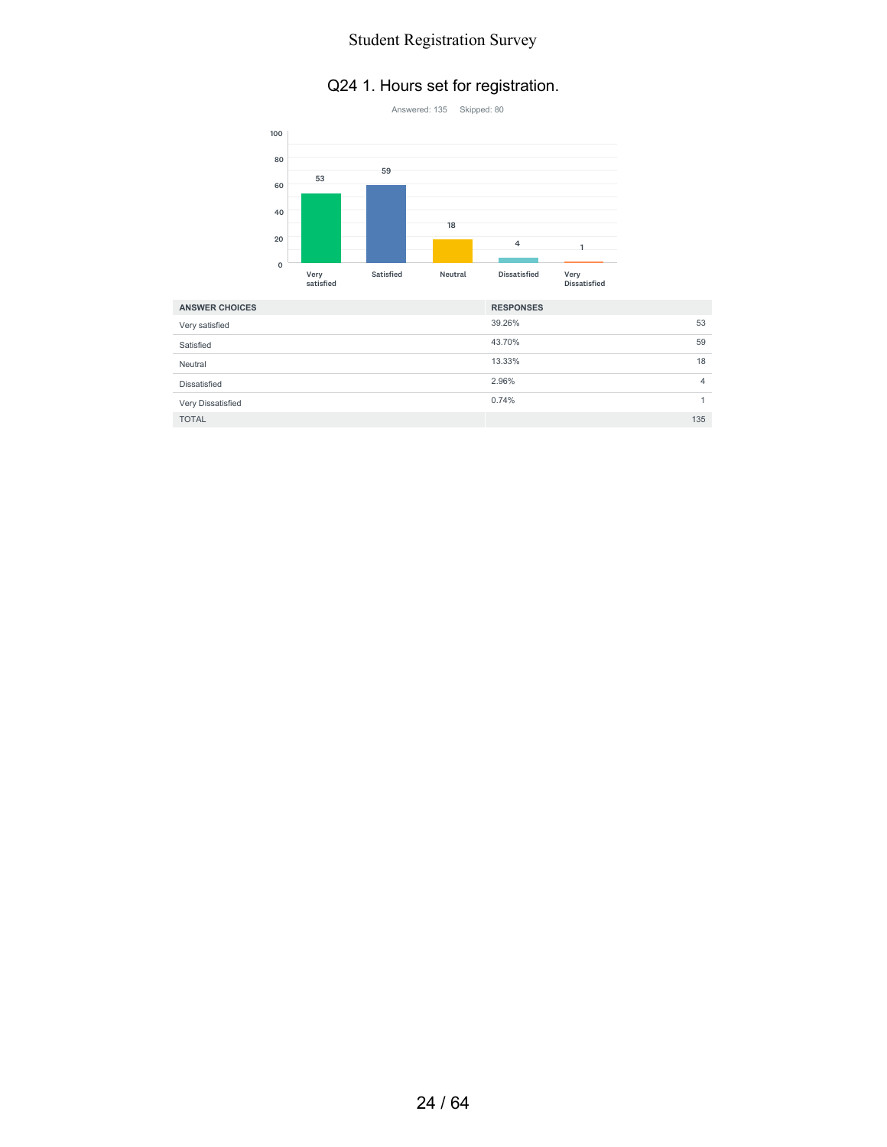#### Q24 1. Hours set for registration.



| <b>ANSWER CHOICES</b> | <b>RESPONSES</b> |    |
|-----------------------|------------------|----|
| Very satisfied        | 39.26%           | 53 |
| Satisfied             | 43.70%           | 59 |
| Neutral               | 13.33%           | 18 |
| Dissatisfied          | 2.96%            | 4  |
| Very Dissatisfied     | 0.74%            |    |
| <b>TOTAL</b>          | 135              |    |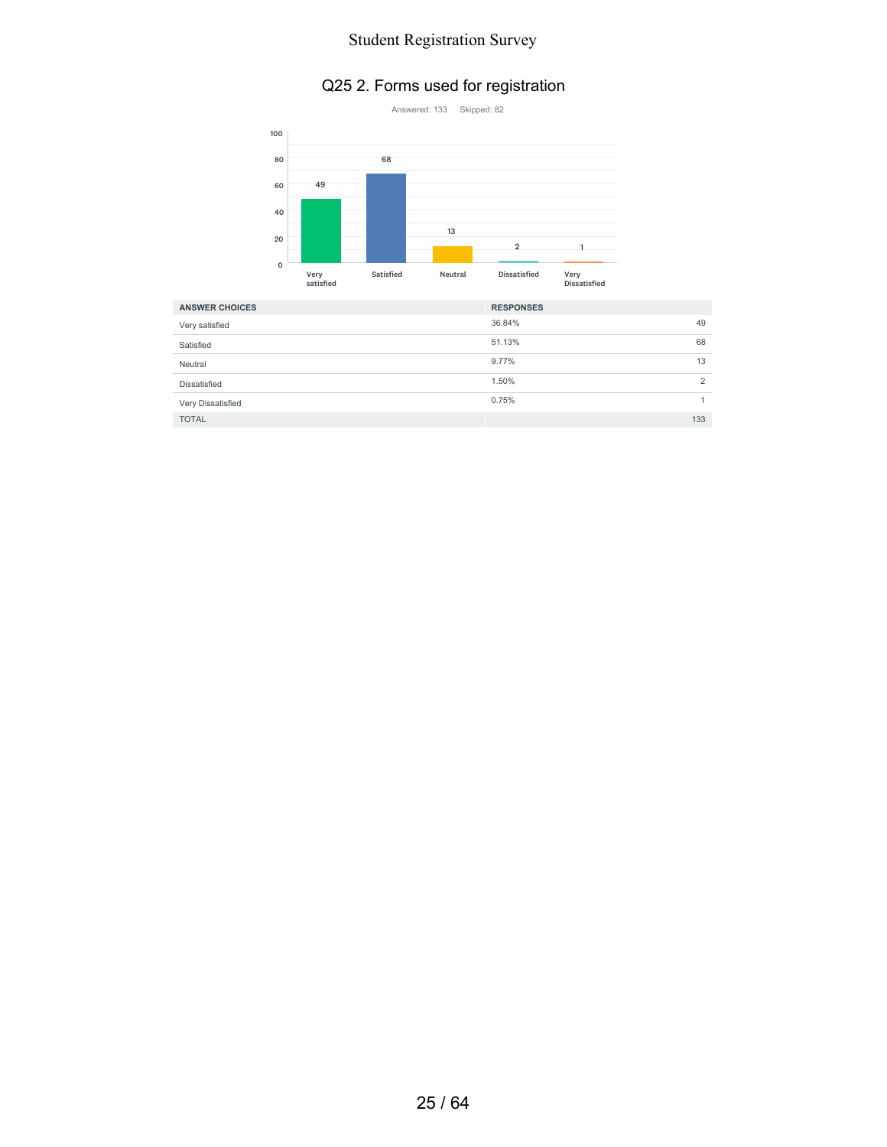#### Q25 2. Forms used for registration



| <b>ANSWER CHOICES</b> | <b>RESPONSES</b> |                |
|-----------------------|------------------|----------------|
| Very satisfied        | 36.84%           | 49             |
| Satisfied             | 51.13%           | 68             |
| Neutral               | 9.77%            | 13             |
| Dissatisfied          | 1.50%            | $\overline{2}$ |
| Very Dissatisfied     | 0.75%            |                |
| <b>TOTAL</b>          |                  | 133            |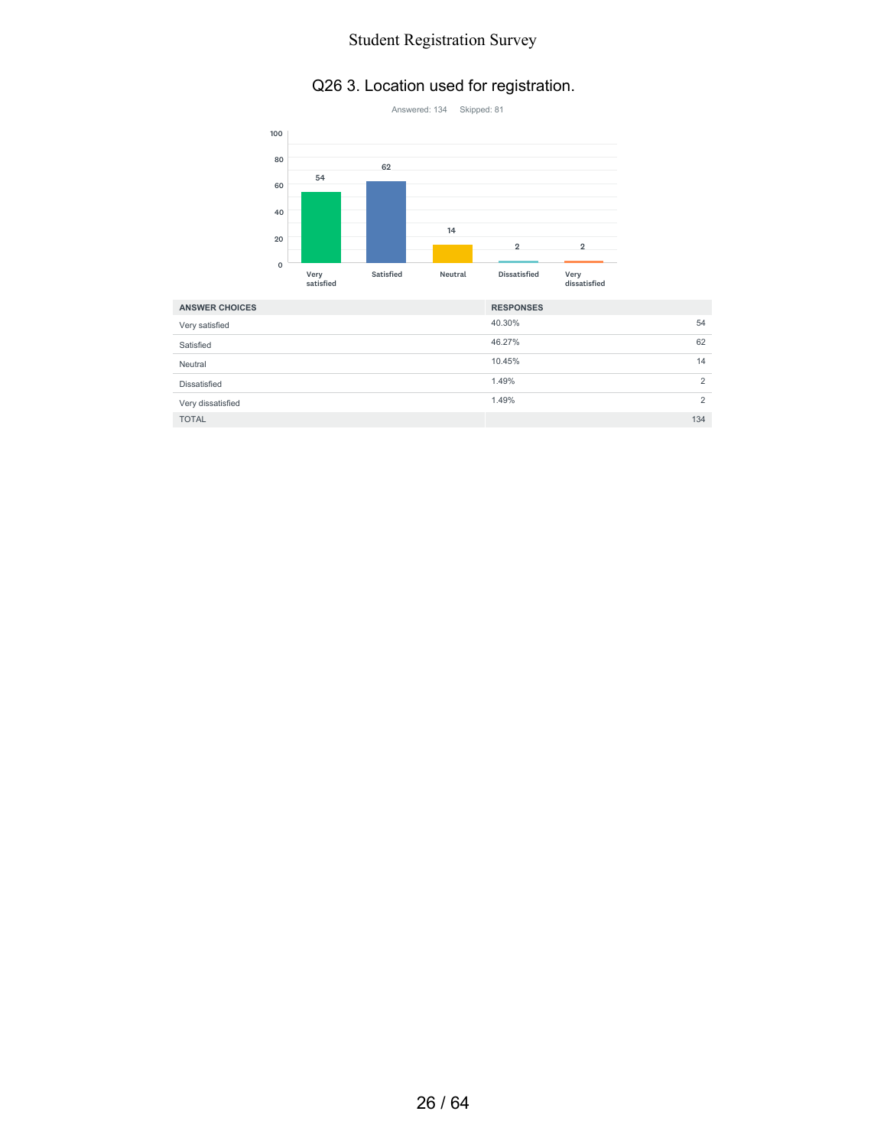#### Q26 3. Location used for registration.



| <b>ANSWER CHOICES</b> | <b>RESPONSES</b> |                |
|-----------------------|------------------|----------------|
| Very satisfied        | 40.30%           | 54             |
| Satisfied             | 46.27%           | 62             |
| Neutral               | 10.45%           | 14             |
| Dissatisfied          | 1.49%            | $\overline{2}$ |
| Very dissatisfied     | 1.49%            | $\overline{2}$ |
| <b>TOTAL</b>          |                  | 134            |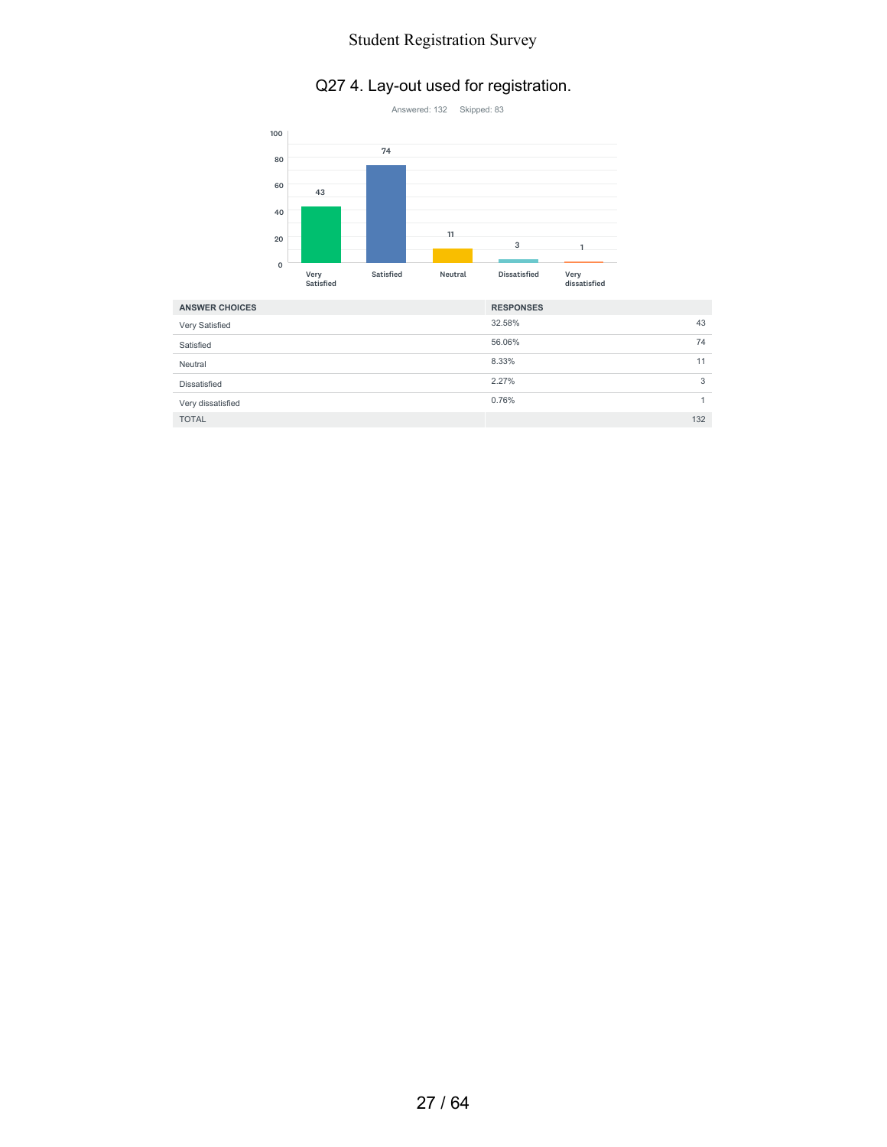# Q27 4. Lay-out used for registration.



| <b>ANSWER CHOICES</b> | <b>RESPONSES</b> |     |
|-----------------------|------------------|-----|
| Very Satisfied        | 32.58%           | 43  |
| Satisfied             | 56.06%           | 74  |
| Neutral               | 8.33%            | 11  |
| <b>Dissatisfied</b>   | 2.27%            | 3   |
| Very dissatisfied     | 0.76%            |     |
| <b>TOTAL</b>          |                  | 132 |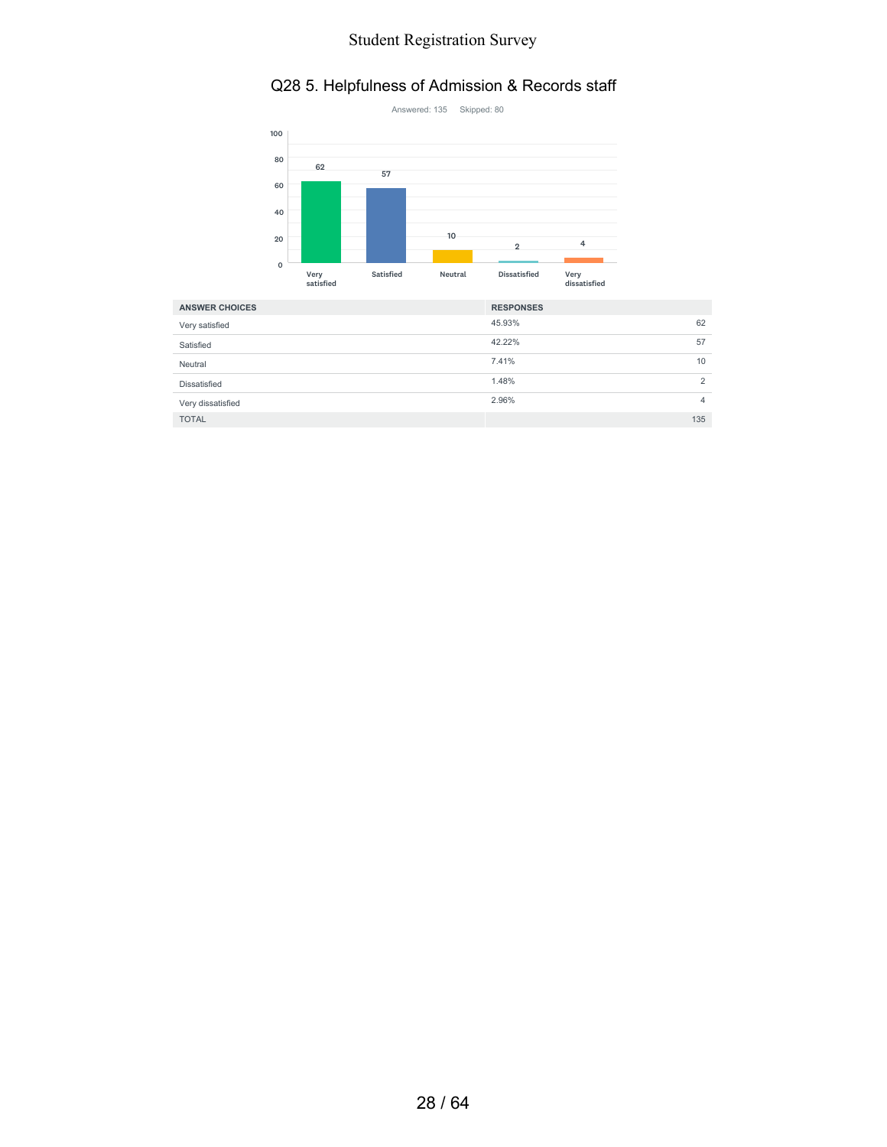#### Q28 5. Helpfulness of Admission & Records staff



| <b>ANSWER CHOICES</b> | <b>RESPONSES</b> |     |
|-----------------------|------------------|-----|
| Very satisfied        | 45.93%           | 62  |
| Satisfied             | 42.22%           | 57  |
| Neutral               | 7.41%            | 10  |
| <b>Dissatisfied</b>   | 1.48%            | 2   |
| Very dissatisfied     | 2.96%            | 4   |
| <b>TOTAL</b>          |                  | 135 |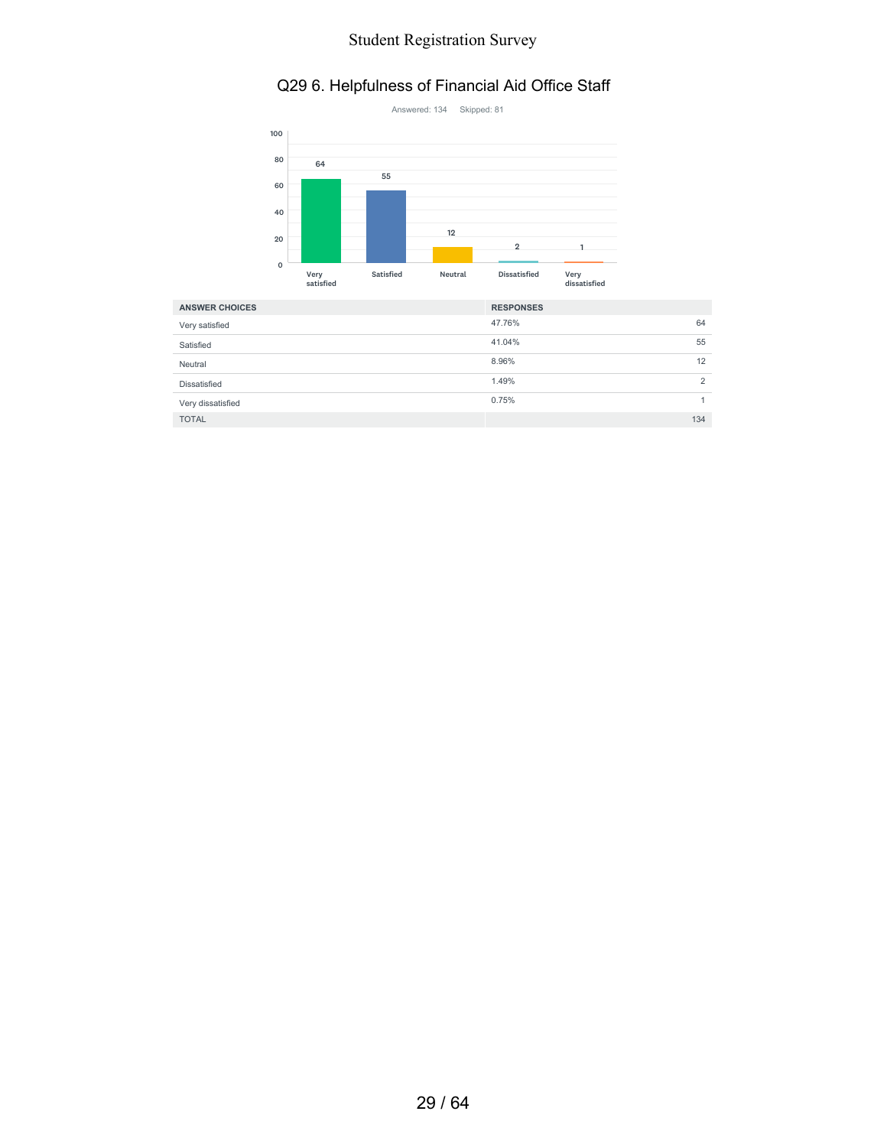#### Q29 6. Helpfulness of Financial Aid Office Staff



| <b>ANSWER CHOICES</b> | <b>RESPONSES</b> |     |
|-----------------------|------------------|-----|
| Very satisfied        | 47.76%           | 64  |
| Satisfied             | 41.04%           | 55  |
| Neutral               | 8.96%            | 12  |
| <b>Dissatisfied</b>   | 1.49%            | 2   |
| Very dissatisfied     | 0.75%            |     |
| <b>TOTAL</b>          |                  | 134 |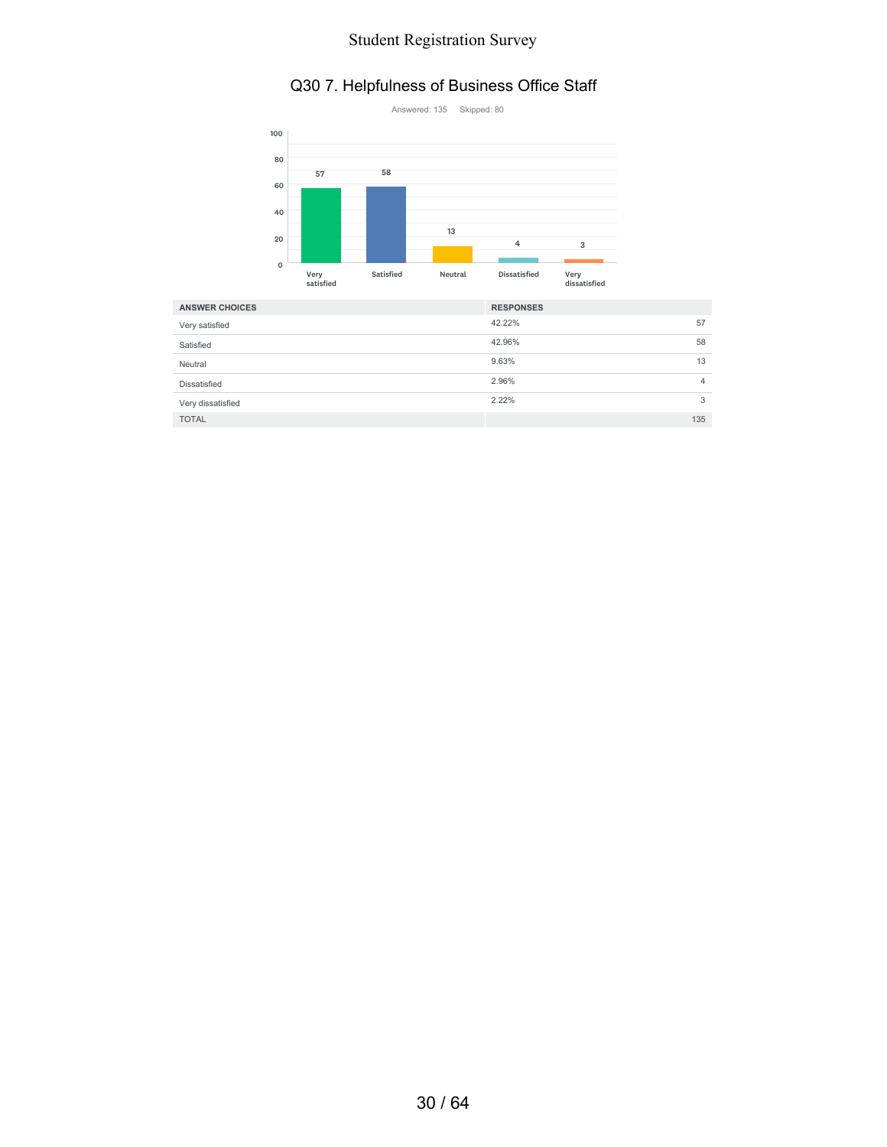#### Q30 7. Helpfulness of Business Office Staff



| <b>ANSWER CHOICES</b> | <b>RESPONSES</b> |     |
|-----------------------|------------------|-----|
| Very satisfied        | 42.22%           | 57  |
| Satisfied             | 42.96%           | 58  |
| Neutral               | 9.63%            | 13  |
| <b>Dissatisfied</b>   | 2.96%            | 4   |
| Very dissatisfied     | 2.22%            | 3   |
| <b>TOTAL</b>          |                  | 135 |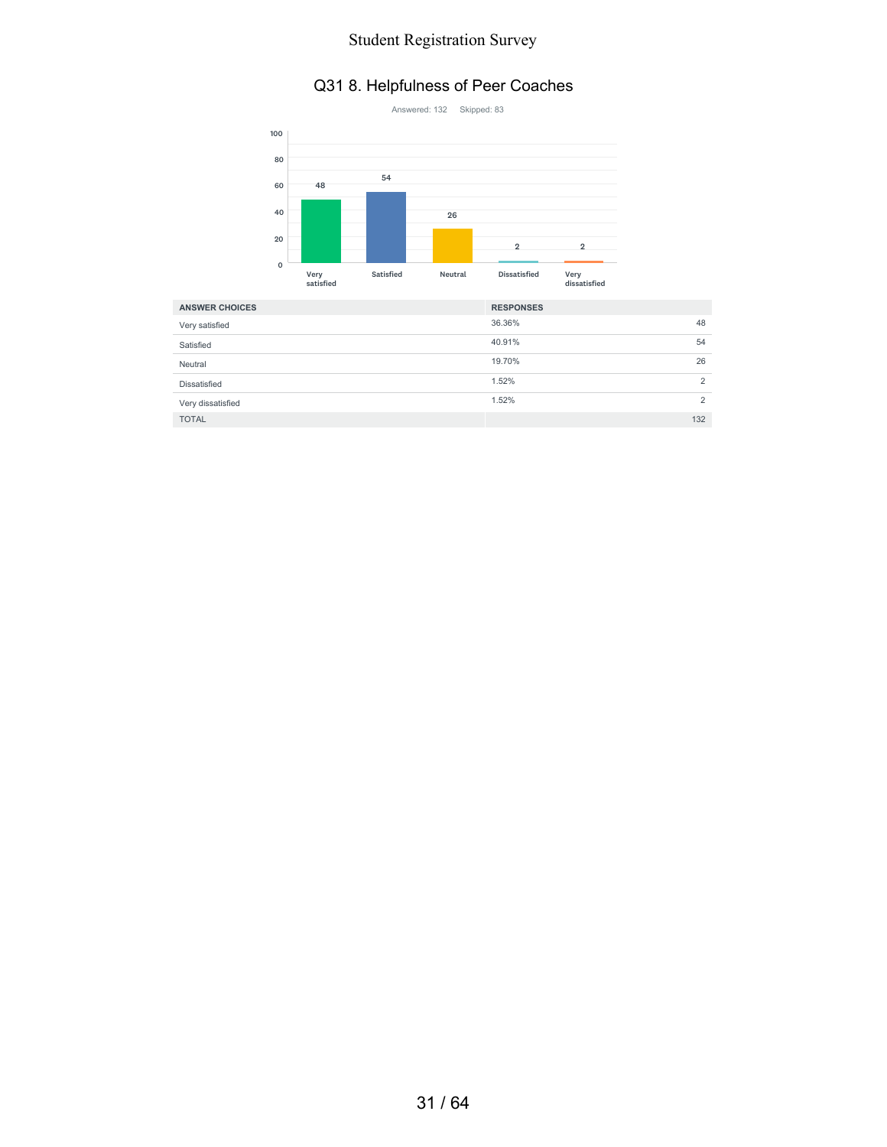# Q31 8. Helpfulness of Peer Coaches



| <b>ANSWER CHOICES</b> | <b>RESPONSES</b> |                |
|-----------------------|------------------|----------------|
| Very satisfied        | 36.36%           | 48             |
| Satisfied             | 40.91%           | 54             |
| Neutral               | 19.70%           | 26             |
| Dissatisfied          | 1.52%            | $\overline{2}$ |
| Very dissatisfied     | 1.52%            | $\overline{2}$ |
| <b>TOTAL</b>          |                  | 132            |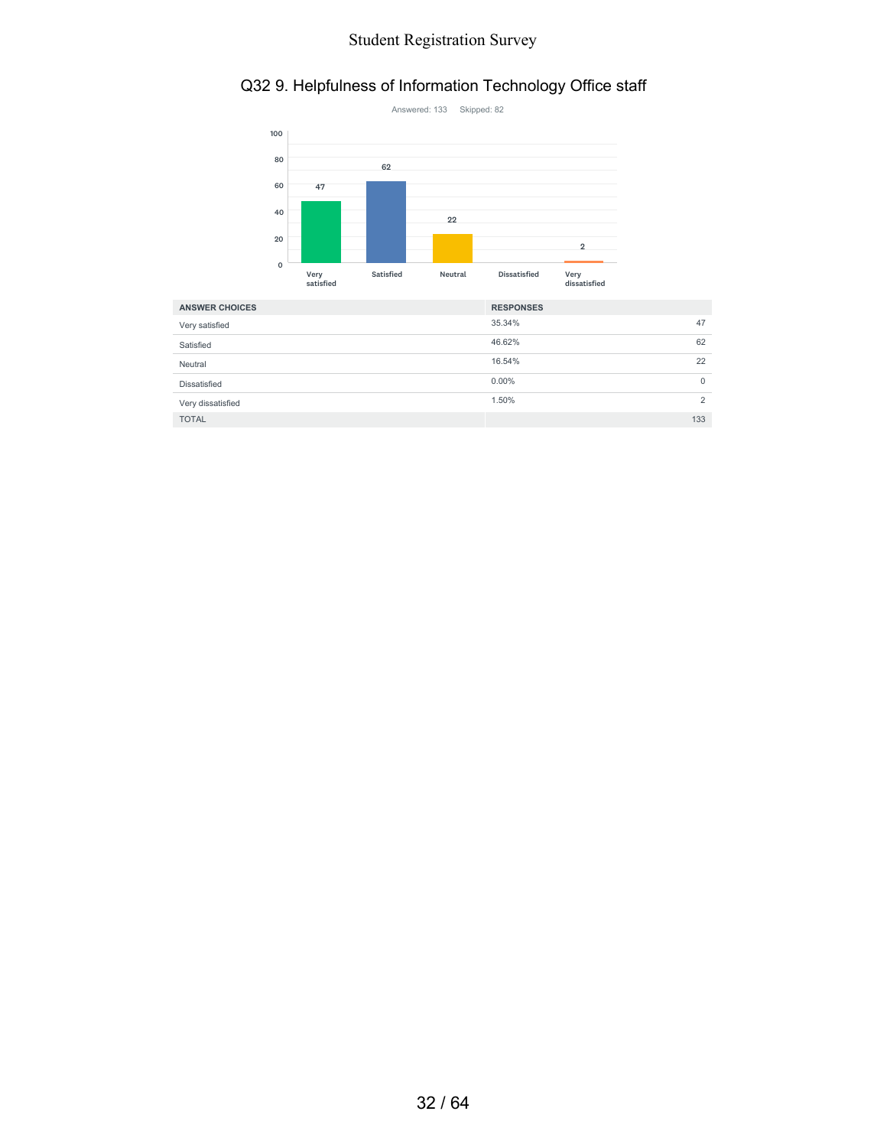# Q32 9. Helpfulness of Information Technology Office staff



| <b>ANSWER CHOICES</b> | <b>RESPONSES</b> |                |
|-----------------------|------------------|----------------|
| Very satisfied        | 35.34%           | 47             |
| Satisfied             | 46.62%           | 62             |
| Neutral               | 16.54%           | 22             |
| <b>Dissatisfied</b>   | $0.00\%$         | 0              |
| Very dissatisfied     | 1.50%            | $\overline{2}$ |
| <b>TOTAL</b>          |                  | 133            |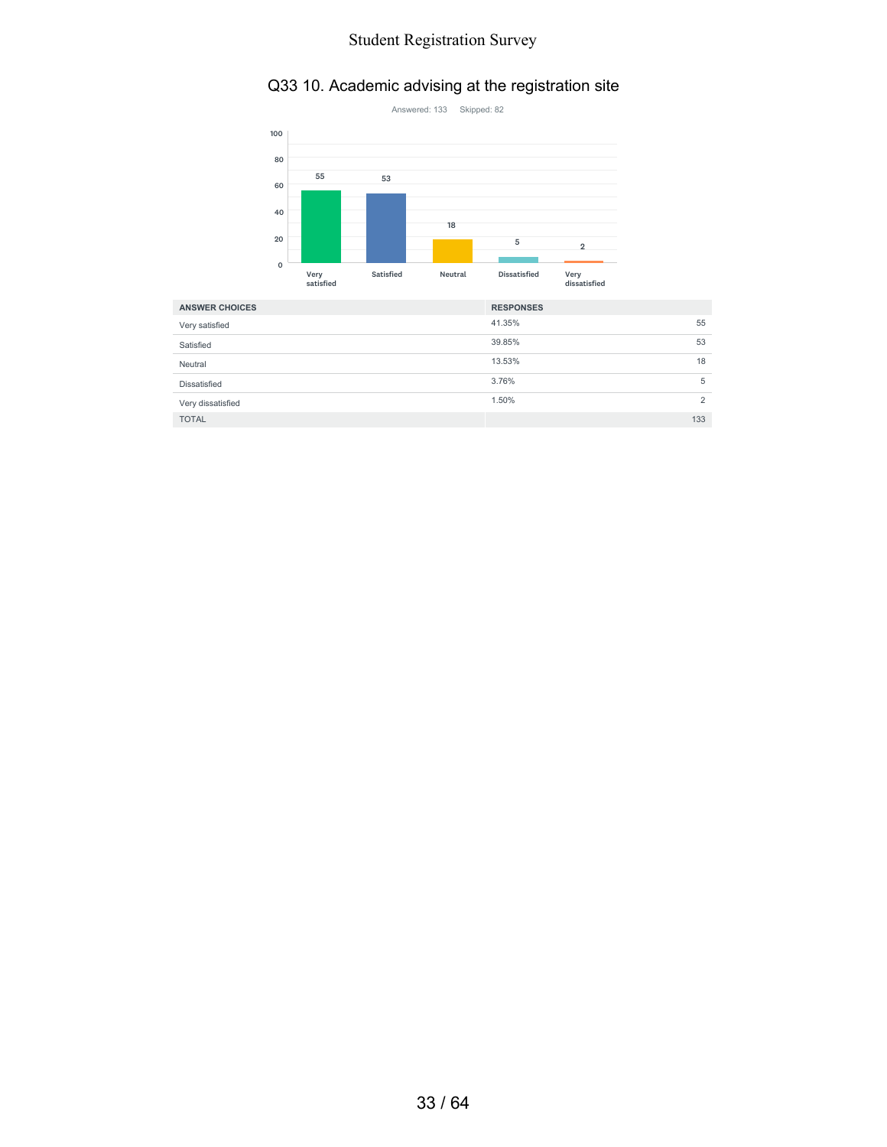#### Q33 10. Academic advising at the registration site



| <b>ANSWER CHOICES</b> | <b>RESPONSES</b> |     |
|-----------------------|------------------|-----|
| Very satisfied        | 41.35%           | 55  |
| Satisfied             | 39.85%           | 53  |
| Neutral               | 13.53%           | 18  |
| Dissatisfied          | 3.76%            | 5   |
| Very dissatisfied     | 1.50%            | 2   |
| <b>TOTAL</b>          |                  | 133 |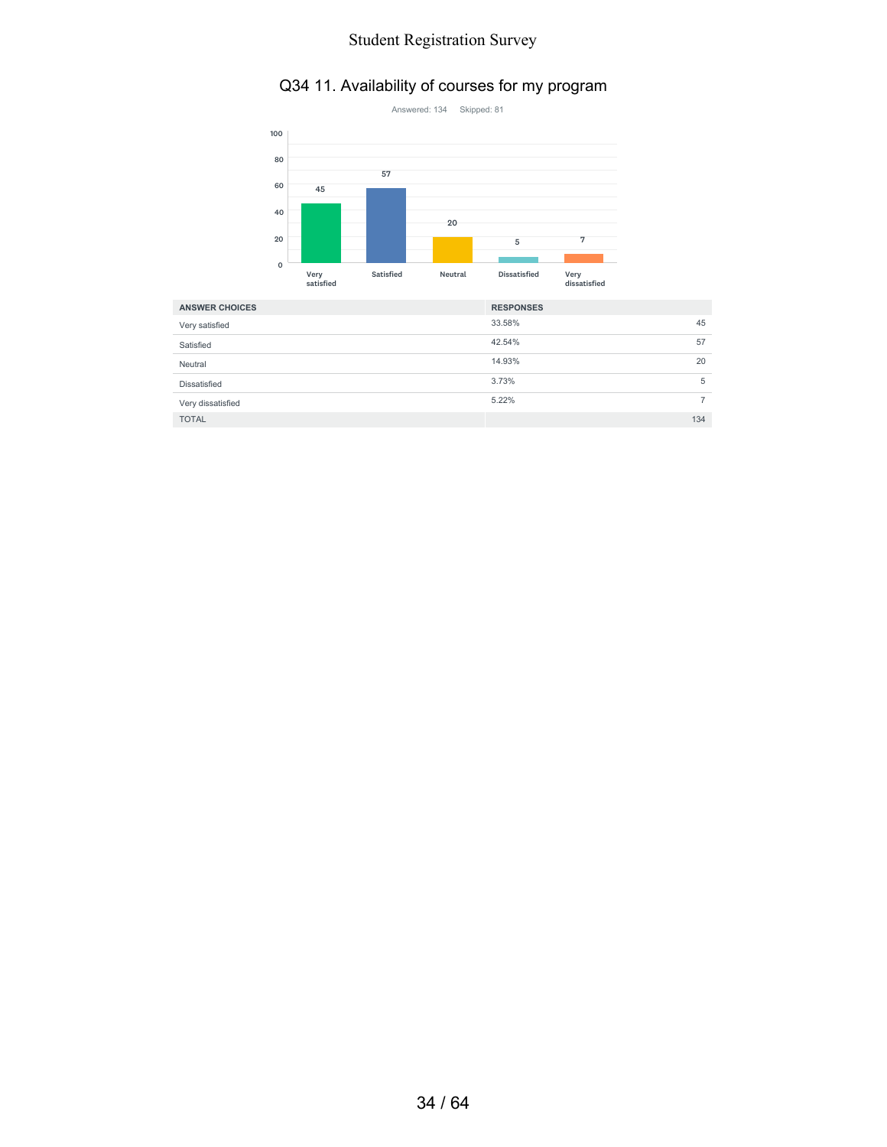# Q34 11. Availability of courses for my program



| <b>ANSWER CHOICES</b> | <b>RESPONSES</b> |   |
|-----------------------|------------------|---|
| Very satisfied        | 33.58%<br>45     |   |
| Satisfied             | 42.54%<br>57     |   |
| Neutral               | 14.93%<br>20     |   |
| Dissatisfied          | 3.73%            | 5 |
| Very dissatisfied     | 5.22%            |   |
| <b>TOTAL</b>          | 134              |   |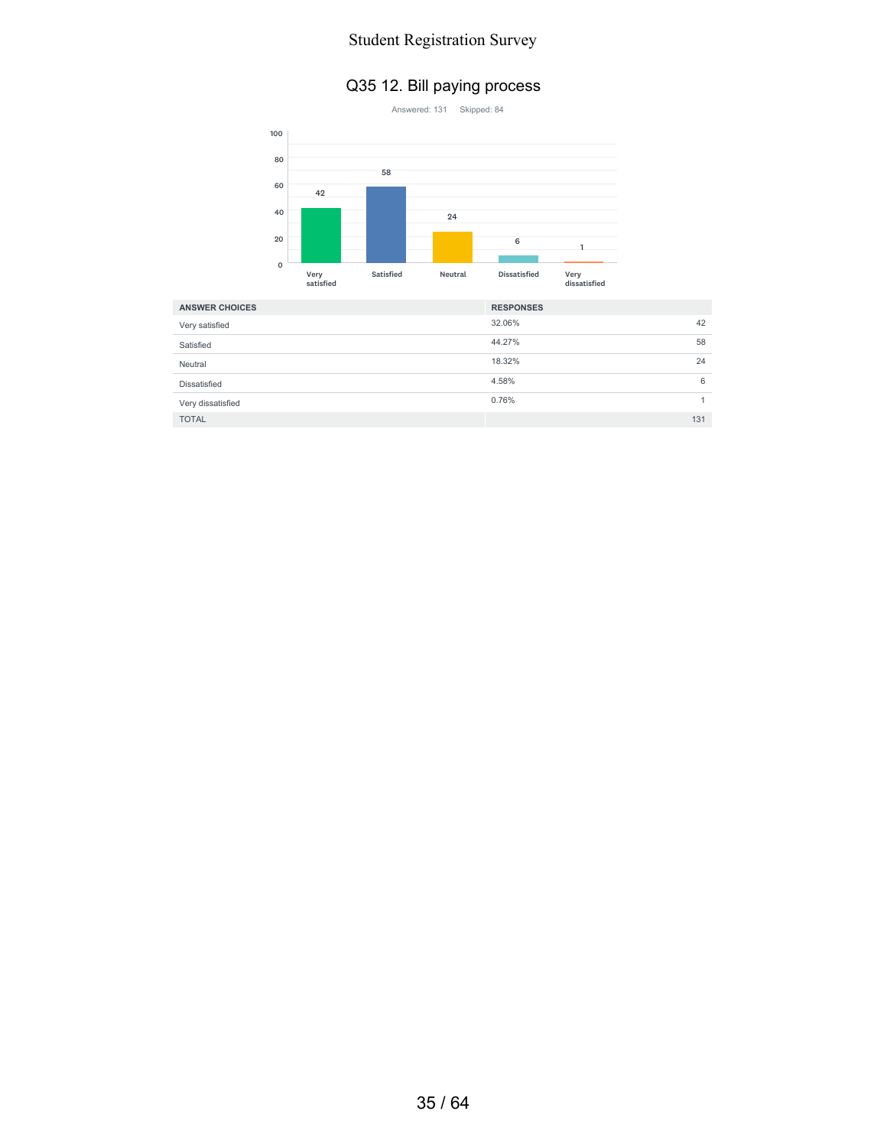#### Q35 12. Bill paying process



| <b>ANSWER CHOICES</b> | <b>RESPONSES</b> |
|-----------------------|------------------|
| Very satisfied        | 32.06%<br>42     |
| Satisfied             | 44.27%<br>58     |
| Neutral               | 18.32%<br>24     |
| <b>Dissatisfied</b>   | 6<br>4.58%       |
| Very dissatisfied     | 0.76%            |
| <b>TOTAL</b>          | 131              |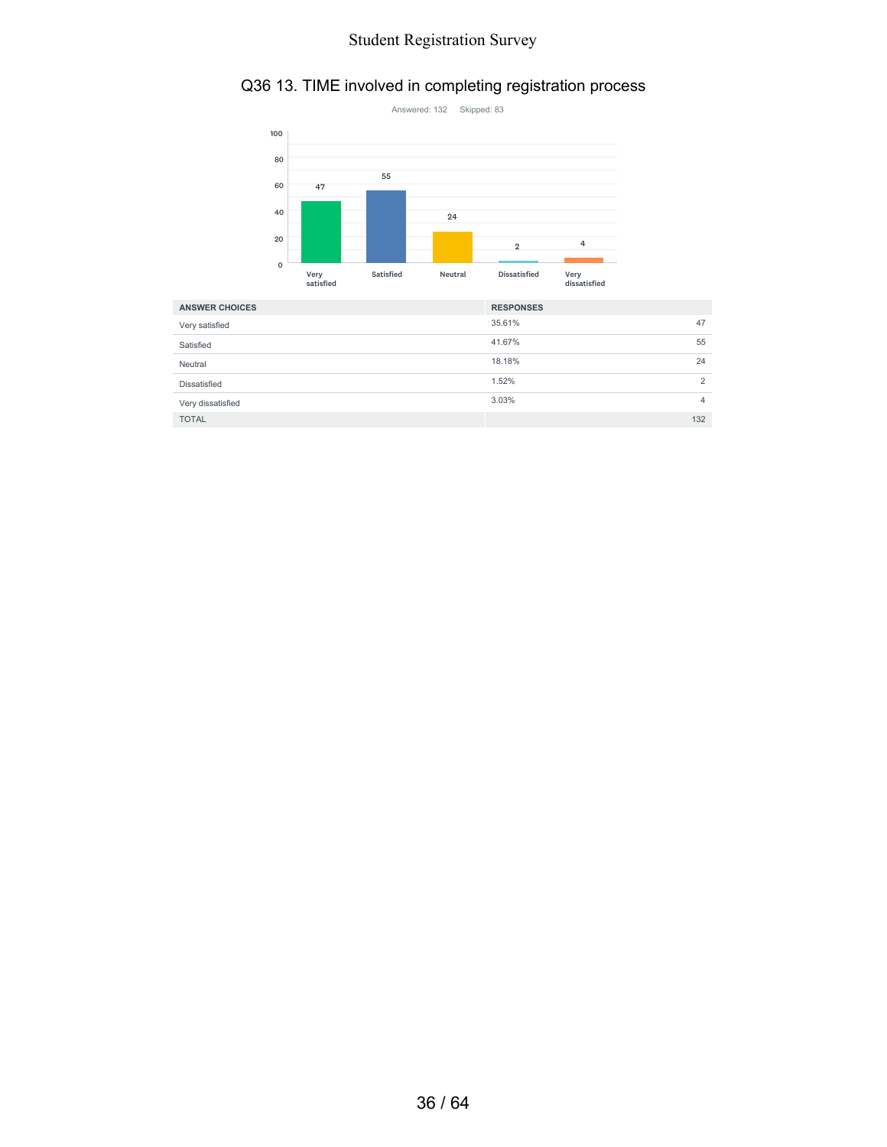# Q36 13. TIME involved in completing registration process



| <b>ANSWER CHOICES</b> | <b>RESPONSES</b> |                |
|-----------------------|------------------|----------------|
| Very satisfied        | 35.61%           | 47             |
| Satisfied             | 41.67%           | 55             |
| Neutral               | 18.18%           | 24             |
| Dissatisfied          | 1.52%            | $\overline{2}$ |
| Very dissatisfied     | 3.03%            | 4              |
| <b>TOTAL</b>          |                  | 132            |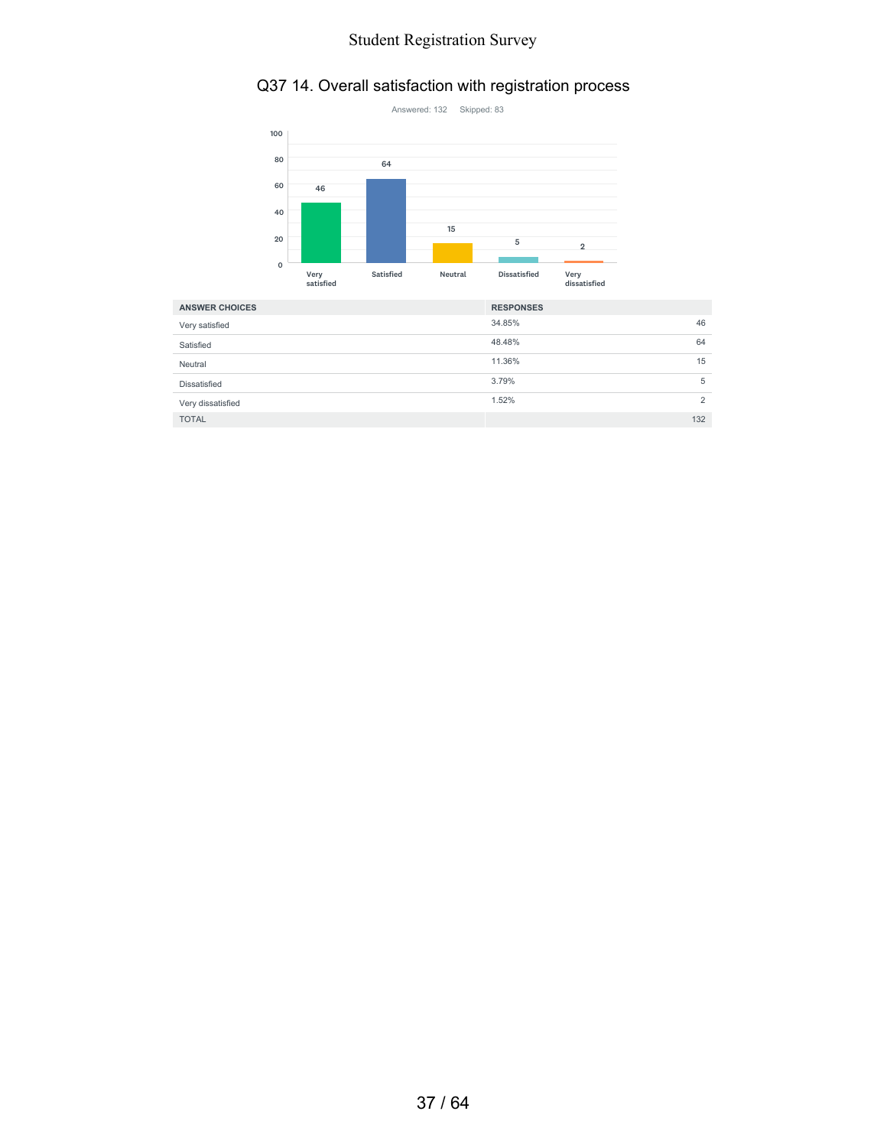# Q37 14. Overall satisfaction with registration process



| <b>ANSWER CHOICES</b> | <b>RESPONSES</b> |                |
|-----------------------|------------------|----------------|
| Very satisfied        | 34.85%           | 46             |
| Satisfied             | 48.48%           | 64             |
| Neutral               | 11.36%           | 15             |
| Dissatisfied          | 3.79%            | 5              |
| Very dissatisfied     | 1.52%            | $\overline{2}$ |
| <b>TOTAL</b>          | 132              |                |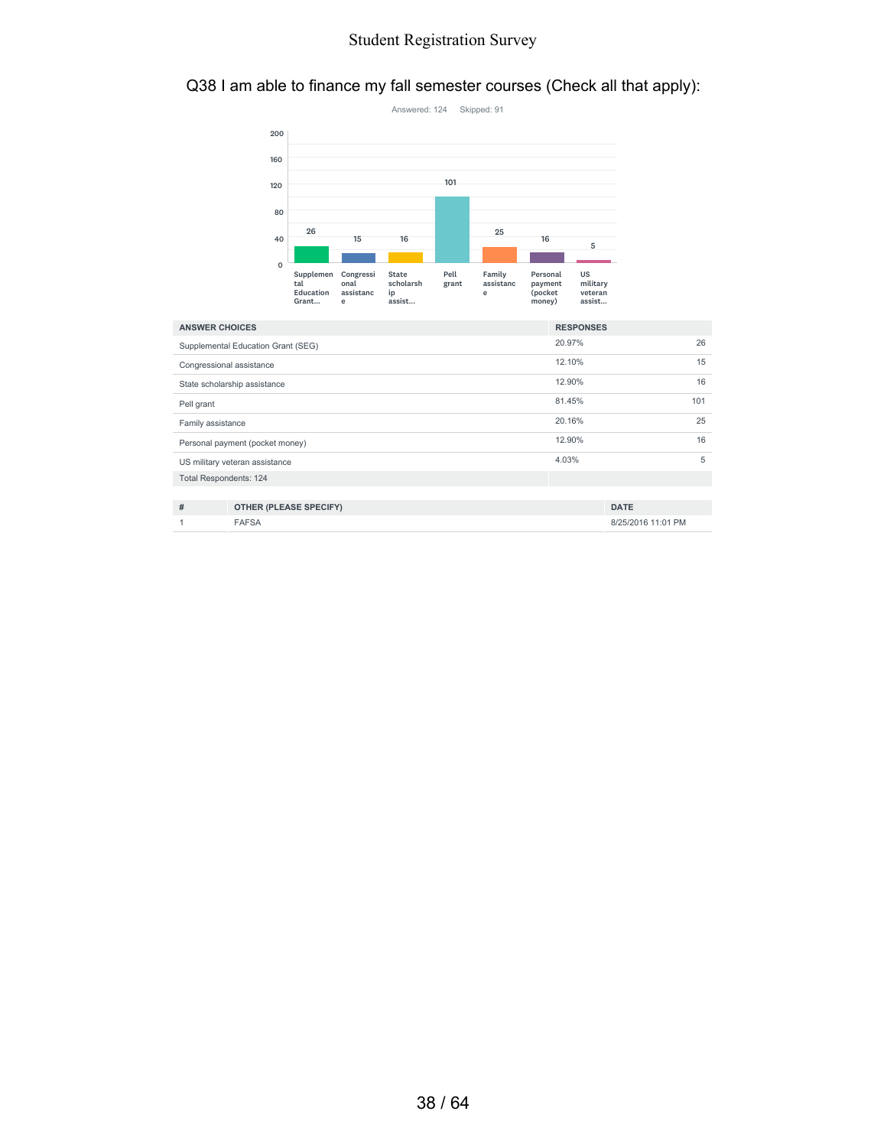#### Q38 I am able to finance my fall semester courses (Check all that apply):



| <b>ANSWER CHOICES</b>         |                                    | <b>RESPONSES</b> |     |
|-------------------------------|------------------------------------|------------------|-----|
|                               | Supplemental Education Grant (SEG) | 20.97%           | 26  |
|                               | Congressional assistance           | 12.10%           | 15  |
|                               | State scholarship assistance       | 12.90%           | 16  |
| Pell grant                    |                                    | 81.45%           | 101 |
| Family assistance             |                                    | 20.16%           | 25  |
|                               | Personal payment (pocket money)    | 12.90%           | 16  |
|                               | US military veteran assistance     | 4.03%            | 5   |
| <b>Total Respondents: 124</b> |                                    |                  |     |
|                               |                                    |                  |     |
| #                             | OTHER (PLEASE SPECIFY)             | <b>DATE</b>      |     |

| -- |  |
|----|--|
|    |  |
|    |  |

1 FAFSA 8/25/2016 11:01 PM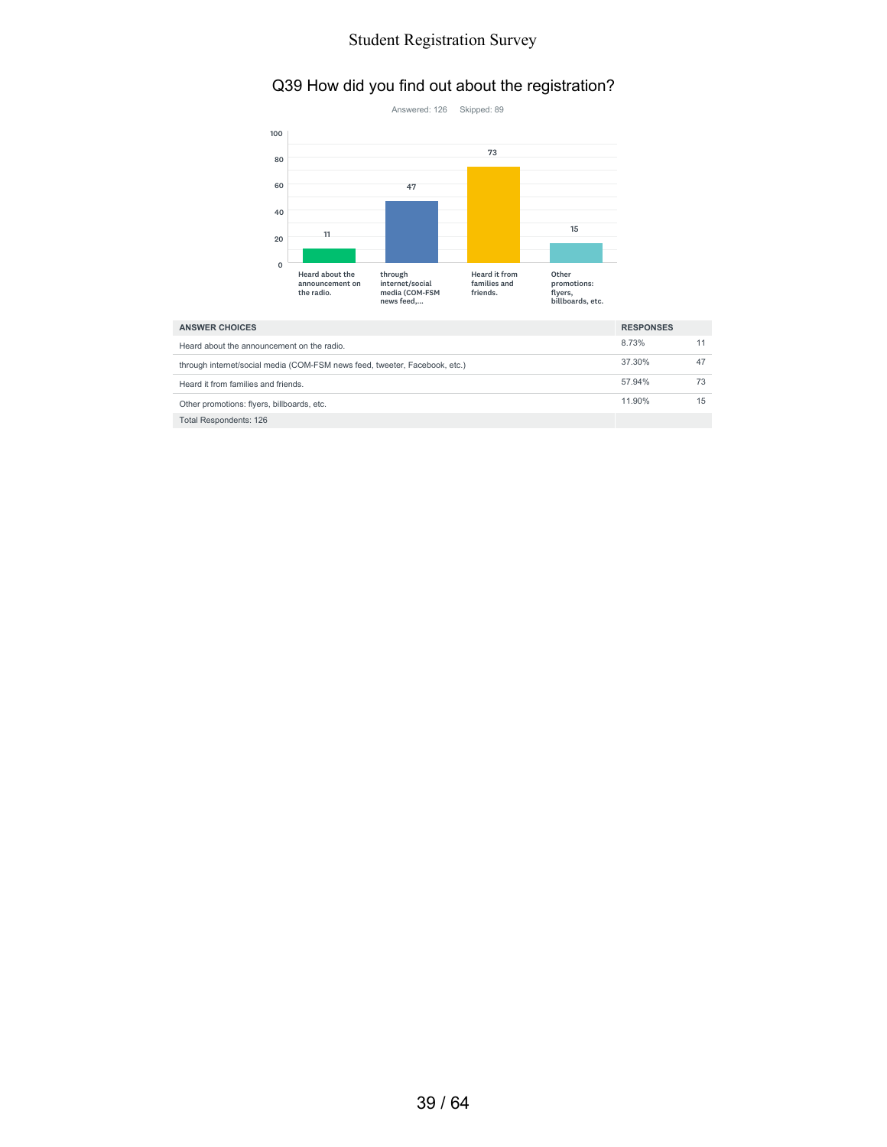#### Q39 How did you find out about the registration?



| <b>ANSWER CHOICES</b>                                                      |        |    |
|----------------------------------------------------------------------------|--------|----|
| Heard about the announcement on the radio.                                 | 8.73%  |    |
| through internet/social media (COM-FSM news feed, tweeter, Facebook, etc.) | 37.30% | 47 |
| Heard it from families and friends.                                        | 57.94% | 73 |
| Other promotions: flyers, billboards, etc.                                 | 11.90% | 15 |
| Total Respondents: 126                                                     |        |    |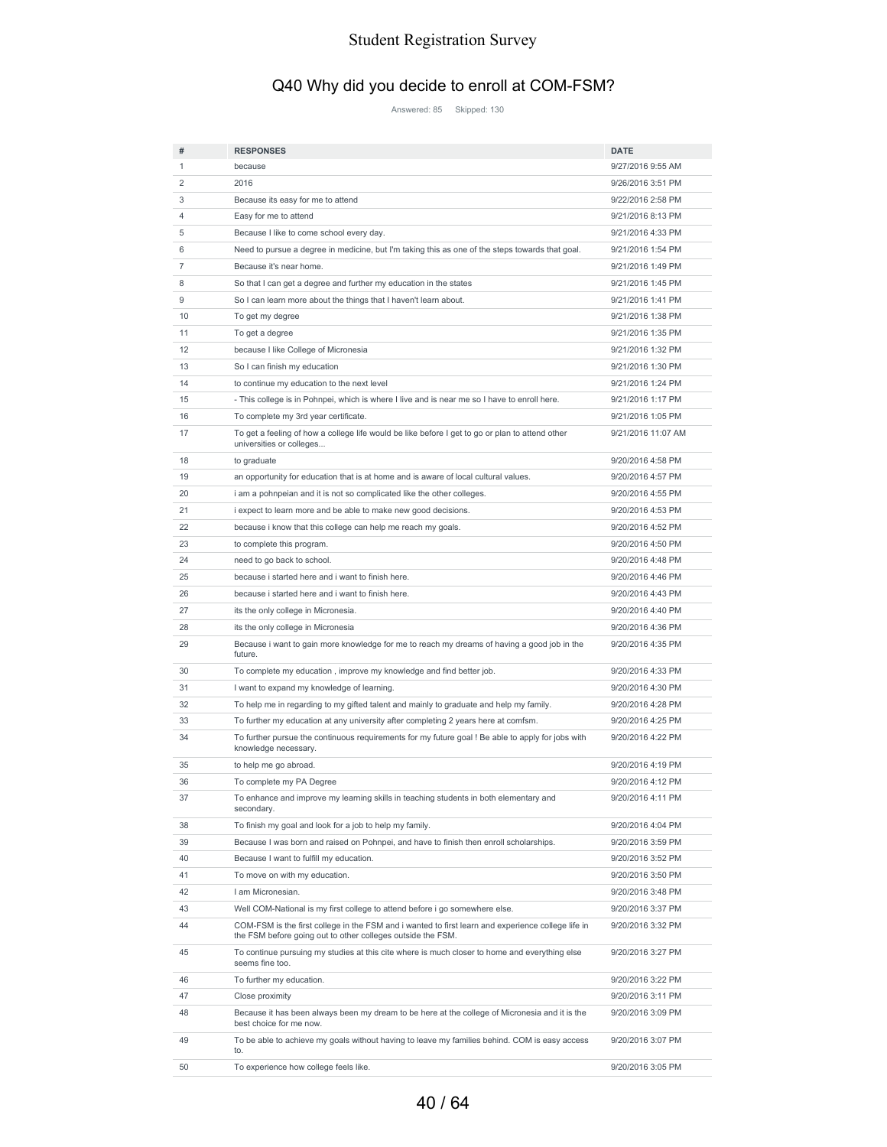# Q40 Why did you decide to enroll at COM-FSM?

Answered: 85 Skipped: 130

| #                 | <b>RESPONSES</b>                                                                                                                                                  | <b>DATE</b>        |
|-------------------|-------------------------------------------------------------------------------------------------------------------------------------------------------------------|--------------------|
| 1                 | because                                                                                                                                                           | 9/27/2016 9:55 AM  |
| 2                 | 2016                                                                                                                                                              | 9/26/2016 3:51 PM  |
| 3                 | Because its easy for me to attend                                                                                                                                 | 9/22/2016 2:58 PM  |
| 4                 | Easy for me to attend                                                                                                                                             | 9/21/2016 8:13 PM  |
| 5                 | Because I like to come school every day.                                                                                                                          | 9/21/2016 4:33 PM  |
| 6                 | Need to pursue a degree in medicine, but I'm taking this as one of the steps towards that goal.                                                                   | 9/21/2016 1:54 PM  |
| 7                 | Because it's near home.                                                                                                                                           | 9/21/2016 1:49 PM  |
| 8                 | So that I can get a degree and further my education in the states                                                                                                 | 9/21/2016 1:45 PM  |
| 9                 | So I can learn more about the things that I haven't learn about.                                                                                                  | 9/21/2016 1:41 PM  |
| 10                | To get my degree                                                                                                                                                  | 9/21/2016 1:38 PM  |
| 11                | To get a degree                                                                                                                                                   | 9/21/2016 1:35 PM  |
| $12 \overline{ }$ | because I like College of Micronesia                                                                                                                              | 9/21/2016 1:32 PM  |
| 13                | So I can finish my education                                                                                                                                      | 9/21/2016 1:30 PM  |
| 14                | to continue my education to the next level                                                                                                                        | 9/21/2016 1:24 PM  |
| 15                | - This college is in Pohnpei, which is where I live and is near me so I have to enroll here.                                                                      | 9/21/2016 1:17 PM  |
| 16                | To complete my 3rd year certificate.                                                                                                                              | 9/21/2016 1:05 PM  |
| 17                | To get a feeling of how a college life would be like before I get to go or plan to attend other<br>universities or colleges                                       | 9/21/2016 11:07 AM |
| 18                | to graduate                                                                                                                                                       | 9/20/2016 4:58 PM  |
| 19                | an opportunity for education that is at home and is aware of local cultural values.                                                                               | 9/20/2016 4:57 PM  |
| 20                | i am a pohnpeian and it is not so complicated like the other colleges.                                                                                            | 9/20/2016 4:55 PM  |
| 21                | i expect to learn more and be able to make new good decisions.                                                                                                    | 9/20/2016 4:53 PM  |
| 22                | because i know that this college can help me reach my goals.                                                                                                      | 9/20/2016 4:52 PM  |
| 23                |                                                                                                                                                                   | 9/20/2016 4:50 PM  |
|                   | to complete this program.                                                                                                                                         |                    |
| 24                | need to go back to school.                                                                                                                                        | 9/20/2016 4:48 PM  |
| 25                | because i started here and i want to finish here.                                                                                                                 | 9/20/2016 4:46 PM  |
| 26                | because i started here and i want to finish here.                                                                                                                 | 9/20/2016 4:43 PM  |
| 27                | its the only college in Micronesia.                                                                                                                               | 9/20/2016 4:40 PM  |
| 28                | its the only college in Micronesia                                                                                                                                | 9/20/2016 4:36 PM  |
| 29                | Because i want to gain more knowledge for me to reach my dreams of having a good job in the<br>future.                                                            | 9/20/2016 4:35 PM  |
| 30                | To complete my education, improve my knowledge and find better job.                                                                                               | 9/20/2016 4:33 PM  |
| 31                | I want to expand my knowledge of learning.                                                                                                                        | 9/20/2016 4:30 PM  |
| 32                | To help me in regarding to my gifted talent and mainly to graduate and help my family.                                                                            | 9/20/2016 4:28 PM  |
| 33                | To further my education at any university after completing 2 years here at comfsm.                                                                                | 9/20/2016 4:25 PM  |
| 34                | To further pursue the continuous requirements for my future goal ! Be able to apply for jobs with<br>knowledge necessary.                                         | 9/20/2016 4:22 PM  |
| 35                | to help me go abroad.                                                                                                                                             | 9/20/2016 4:19 PM  |
| 36                | To complete my PA Degree                                                                                                                                          | 9/20/2016 4:12 PM  |
| 37                | To enhance and improve my learning skills in teaching students in both elementary and<br>secondary.                                                               | 9/20/2016 4:11 PM  |
| 38                | To finish my goal and look for a job to help my family.                                                                                                           | 9/20/2016 4:04 PM  |
| 39                | Because I was born and raised on Pohnpei, and have to finish then enroll scholarships.                                                                            | 9/20/2016 3:59 PM  |
| 40                | Because I want to fulfill my education.                                                                                                                           | 9/20/2016 3:52 PM  |
| 41                | To move on with my education.                                                                                                                                     | 9/20/2016 3:50 PM  |
| 42                | I am Micronesian.                                                                                                                                                 | 9/20/2016 3:48 PM  |
| 43                | Well COM-National is my first college to attend before i go somewhere else.                                                                                       | 9/20/2016 3:37 PM  |
| 44                | COM-FSM is the first college in the FSM and i wanted to first learn and experience college life in<br>the FSM before going out to other colleges outside the FSM. | 9/20/2016 3:32 PM  |
| 45                | To continue pursuing my studies at this cite where is much closer to home and everything else<br>seems fine too.                                                  | 9/20/2016 3:27 PM  |
| 46                | To further my education.                                                                                                                                          | 9/20/2016 3:22 PM  |
| 47                | Close proximity                                                                                                                                                   | 9/20/2016 3:11 PM  |
| 48                | Because it has been always been my dream to be here at the college of Micronesia and it is the<br>best choice for me now.                                         | 9/20/2016 3:09 PM  |
| 49                | To be able to achieve my goals without having to leave my families behind. COM is easy access<br>to.                                                              | 9/20/2016 3:07 PM  |
| 50                | To experience how college feels like.                                                                                                                             | 9/20/2016 3:05 PM  |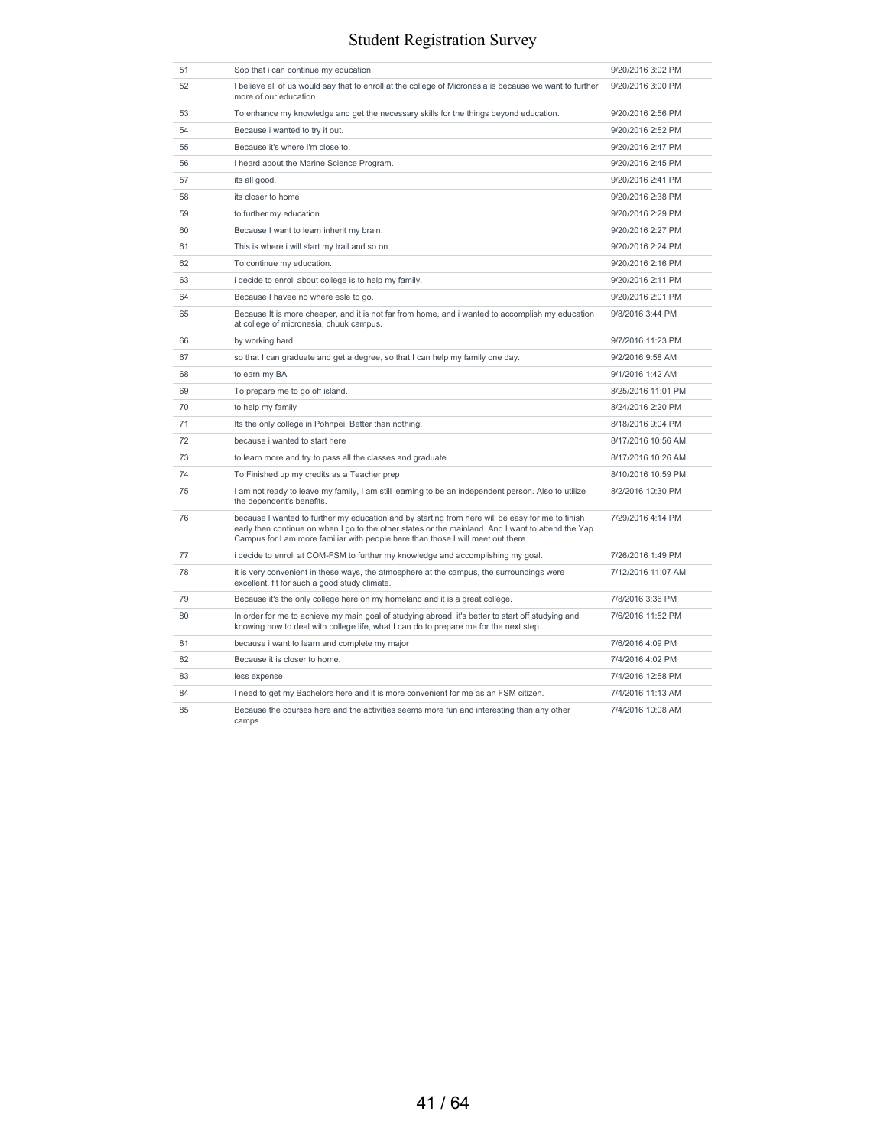| 51 | Sop that i can continue my education.                                                                                                                                                                                                                                                      | 9/20/2016 3:02 PM  |
|----|--------------------------------------------------------------------------------------------------------------------------------------------------------------------------------------------------------------------------------------------------------------------------------------------|--------------------|
| 52 | I believe all of us would say that to enroll at the college of Micronesia is because we want to further<br>more of our education.                                                                                                                                                          | 9/20/2016 3:00 PM  |
| 53 | To enhance my knowledge and get the necessary skills for the things beyond education.                                                                                                                                                                                                      | 9/20/2016 2:56 PM  |
| 54 | Because i wanted to try it out.                                                                                                                                                                                                                                                            | 9/20/2016 2:52 PM  |
| 55 | Because it's where I'm close to.                                                                                                                                                                                                                                                           | 9/20/2016 2:47 PM  |
| 56 | I heard about the Marine Science Program.                                                                                                                                                                                                                                                  | 9/20/2016 2:45 PM  |
| 57 | its all good.                                                                                                                                                                                                                                                                              | 9/20/2016 2:41 PM  |
| 58 | its closer to home                                                                                                                                                                                                                                                                         | 9/20/2016 2:38 PM  |
| 59 | to further my education                                                                                                                                                                                                                                                                    | 9/20/2016 2:29 PM  |
| 60 | Because I want to learn inherit my brain.                                                                                                                                                                                                                                                  | 9/20/2016 2:27 PM  |
| 61 | This is where i will start my trail and so on.                                                                                                                                                                                                                                             | 9/20/2016 2:24 PM  |
| 62 | To continue my education.                                                                                                                                                                                                                                                                  | 9/20/2016 2:16 PM  |
| 63 | i decide to enroll about college is to help my family.                                                                                                                                                                                                                                     | 9/20/2016 2:11 PM  |
| 64 | Because I havee no where esle to go.                                                                                                                                                                                                                                                       | 9/20/2016 2:01 PM  |
| 65 | Because It is more cheeper, and it is not far from home, and i wanted to accomplish my education<br>at college of micronesia, chuuk campus.                                                                                                                                                | 9/8/2016 3:44 PM   |
| 66 | by working hard                                                                                                                                                                                                                                                                            | 9/7/2016 11:23 PM  |
| 67 | so that I can graduate and get a degree, so that I can help my family one day.                                                                                                                                                                                                             | 9/2/2016 9:58 AM   |
| 68 | to earn my BA                                                                                                                                                                                                                                                                              | 9/1/2016 1:42 AM   |
| 69 | To prepare me to go off island.                                                                                                                                                                                                                                                            | 8/25/2016 11:01 PM |
| 70 | to help my family                                                                                                                                                                                                                                                                          | 8/24/2016 2:20 PM  |
| 71 | Its the only college in Pohnpei. Better than nothing.                                                                                                                                                                                                                                      | 8/18/2016 9:04 PM  |
| 72 | because i wanted to start here                                                                                                                                                                                                                                                             | 8/17/2016 10:56 AM |
| 73 | to learn more and try to pass all the classes and graduate                                                                                                                                                                                                                                 | 8/17/2016 10:26 AM |
| 74 | To Finished up my credits as a Teacher prep                                                                                                                                                                                                                                                | 8/10/2016 10:59 PM |
| 75 | I am not ready to leave my family, I am still learning to be an independent person. Also to utilize<br>the dependent's benefits.                                                                                                                                                           | 8/2/2016 10:30 PM  |
| 76 | because I wanted to further my education and by starting from here will be easy for me to finish<br>early then continue on when I go to the other states or the mainland. And I want to attend the Yap<br>Campus for I am more familiar with people here than those I will meet out there. | 7/29/2016 4:14 PM  |
| 77 | i decide to enroll at COM-FSM to further my knowledge and accomplishing my goal.                                                                                                                                                                                                           | 7/26/2016 1:49 PM  |
| 78 | it is very convenient in these ways, the atmosphere at the campus, the surroundings were<br>excellent, fit for such a good study climate.                                                                                                                                                  | 7/12/2016 11:07 AM |
| 79 | Because it's the only college here on my homeland and it is a great college.                                                                                                                                                                                                               | 7/8/2016 3:36 PM   |
| 80 | In order for me to achieve my main goal of studying abroad, it's better to start off studying and<br>knowing how to deal with college life, what I can do to prepare me for the next step                                                                                                  | 7/6/2016 11:52 PM  |
| 81 | because i want to learn and complete my major                                                                                                                                                                                                                                              | 7/6/2016 4:09 PM   |
| 82 | Because it is closer to home.                                                                                                                                                                                                                                                              | 7/4/2016 4:02 PM   |
| 83 | less expense                                                                                                                                                                                                                                                                               | 7/4/2016 12:58 PM  |
| 84 | I need to get my Bachelors here and it is more convenient for me as an FSM citizen.                                                                                                                                                                                                        | 7/4/2016 11:13 AM  |
| 85 | Because the courses here and the activities seems more fun and interesting than any other<br>camps.                                                                                                                                                                                        | 7/4/2016 10:08 AM  |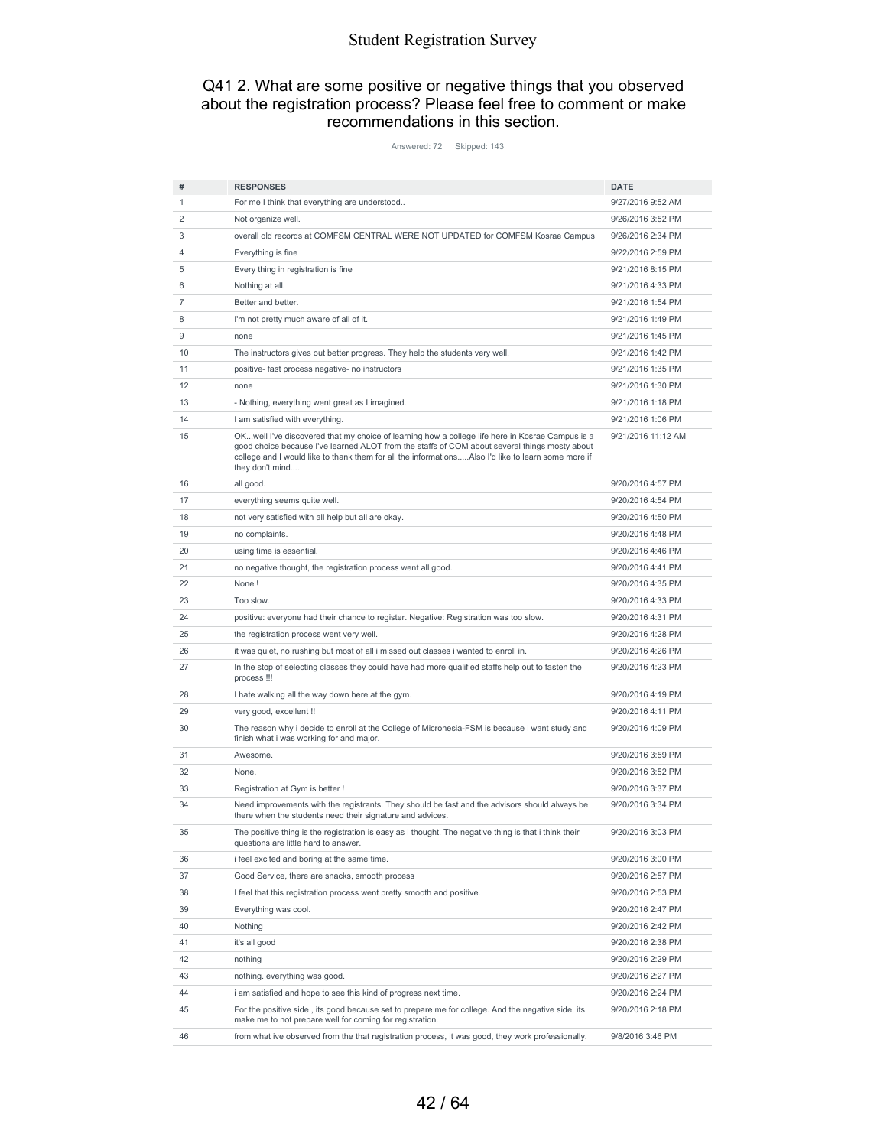#### Q41 2. What are some positive or negative things that you observed about the registration process? Please feel free to comment or make recommendations in this section.

Answered: 72 Skipped: 143

| #  | <b>RESPONSES</b>                                                                                                                                                                                                       | <b>DATE</b>        |
|----|------------------------------------------------------------------------------------------------------------------------------------------------------------------------------------------------------------------------|--------------------|
| 1  | For me I think that everything are understood                                                                                                                                                                          | 9/27/2016 9:52 AM  |
| 2  | Not organize well.                                                                                                                                                                                                     | 9/26/2016 3:52 PM  |
| 3  | overall old records at COMFSM CENTRAL WERE NOT UPDATED for COMFSM Kosrae Campus                                                                                                                                        | 9/26/2016 2:34 PM  |
| 4  | Everything is fine                                                                                                                                                                                                     | 9/22/2016 2:59 PM  |
| 5  | Every thing in registration is fine                                                                                                                                                                                    | 9/21/2016 8:15 PM  |
| 6  | Nothing at all.                                                                                                                                                                                                        | 9/21/2016 4:33 PM  |
| 7  | Better and better.                                                                                                                                                                                                     | 9/21/2016 1:54 PM  |
| 8  | I'm not pretty much aware of all of it.                                                                                                                                                                                | 9/21/2016 1:49 PM  |
| 9  | none                                                                                                                                                                                                                   | 9/21/2016 1:45 PM  |
| 10 | The instructors gives out better progress. They help the students very well.                                                                                                                                           | 9/21/2016 1:42 PM  |
| 11 | positive- fast process negative- no instructors                                                                                                                                                                        | 9/21/2016 1:35 PM  |
| 12 | none                                                                                                                                                                                                                   | 9/21/2016 1:30 PM  |
| 13 | - Nothing, everything went great as I imagined.                                                                                                                                                                        | 9/21/2016 1:18 PM  |
| 14 | I am satisfied with everything.                                                                                                                                                                                        | 9/21/2016 1:06 PM  |
| 15 | OKwell I've discovered that my choice of learning how a college life here in Kosrae Campus is a                                                                                                                        | 9/21/2016 11:12 AM |
|    | good choice because I've learned ALOT from the staffs of COM about several things mosty about<br>college and I would like to thank them for all the informationsAlso I'd like to learn some more if<br>they don't mind |                    |
| 16 | all good.                                                                                                                                                                                                              | 9/20/2016 4:57 PM  |
| 17 | everything seems quite well.                                                                                                                                                                                           | 9/20/2016 4:54 PM  |
| 18 | not very satisfied with all help but all are okay.                                                                                                                                                                     | 9/20/2016 4:50 PM  |
| 19 | no complaints.                                                                                                                                                                                                         | 9/20/2016 4:48 PM  |
| 20 | using time is essential.                                                                                                                                                                                               | 9/20/2016 4:46 PM  |
| 21 | no negative thought, the registration process went all good.                                                                                                                                                           | 9/20/2016 4:41 PM  |
| 22 | None!                                                                                                                                                                                                                  | 9/20/2016 4:35 PM  |
| 23 | Too slow.                                                                                                                                                                                                              | 9/20/2016 4:33 PM  |
| 24 | positive: everyone had their chance to register. Negative: Registration was too slow.                                                                                                                                  | 9/20/2016 4:31 PM  |
| 25 | the registration process went very well.                                                                                                                                                                               | 9/20/2016 4:28 PM  |
| 26 | it was quiet, no rushing but most of all i missed out classes i wanted to enroll in.                                                                                                                                   | 9/20/2016 4:26 PM  |
| 27 | In the stop of selecting classes they could have had more qualified staffs help out to fasten the<br>process !!!                                                                                                       | 9/20/2016 4:23 PM  |
| 28 | I hate walking all the way down here at the gym.                                                                                                                                                                       | 9/20/2016 4:19 PM  |
| 29 | very good, excellent !!                                                                                                                                                                                                | 9/20/2016 4:11 PM  |
| 30 | The reason why i decide to enroll at the College of Micronesia-FSM is because i want study and<br>finish what i was working for and major.                                                                             | 9/20/2016 4:09 PM  |
| 31 | Awesome.                                                                                                                                                                                                               | 9/20/2016 3:59 PM  |
| 32 | None.                                                                                                                                                                                                                  | 9/20/2016 3:52 PM  |
| 33 | Registration at Gym is better !                                                                                                                                                                                        | 9/20/2016 3:37 PM  |
| 34 | Need improvements with the registrants. They should be fast and the advisors should always be<br>there when the students need their signature and advices.                                                             | 9/20/2016 3:34 PM  |
| 35 | The positive thing is the registration is easy as i thought. The negative thing is that i think their<br>questions are little hard to answer.                                                                          | 9/20/2016 3:03 PM  |
| 36 | i feel excited and boring at the same time.                                                                                                                                                                            | 9/20/2016 3:00 PM  |
| 37 | Good Service, there are snacks, smooth process                                                                                                                                                                         | 9/20/2016 2:57 PM  |
| 38 | I feel that this registration process went pretty smooth and positive.                                                                                                                                                 | 9/20/2016 2:53 PM  |
| 39 | Everything was cool.                                                                                                                                                                                                   | 9/20/2016 2:47 PM  |
| 40 | Nothing                                                                                                                                                                                                                | 9/20/2016 2:42 PM  |
| 41 | it's all good                                                                                                                                                                                                          | 9/20/2016 2:38 PM  |
| 42 | nothing                                                                                                                                                                                                                | 9/20/2016 2:29 PM  |
| 43 | nothing. everything was good.                                                                                                                                                                                          | 9/20/2016 2:27 PM  |
| 44 | i am satisfied and hope to see this kind of progress next time.                                                                                                                                                        | 9/20/2016 2:24 PM  |
| 45 | For the positive side, its good because set to prepare me for college. And the negative side, its<br>make me to not prepare well for coming for registration.                                                          | 9/20/2016 2:18 PM  |
| 46 | from what ive observed from the that registration process, it was good, they work professionally.                                                                                                                      | 9/8/2016 3:46 PM   |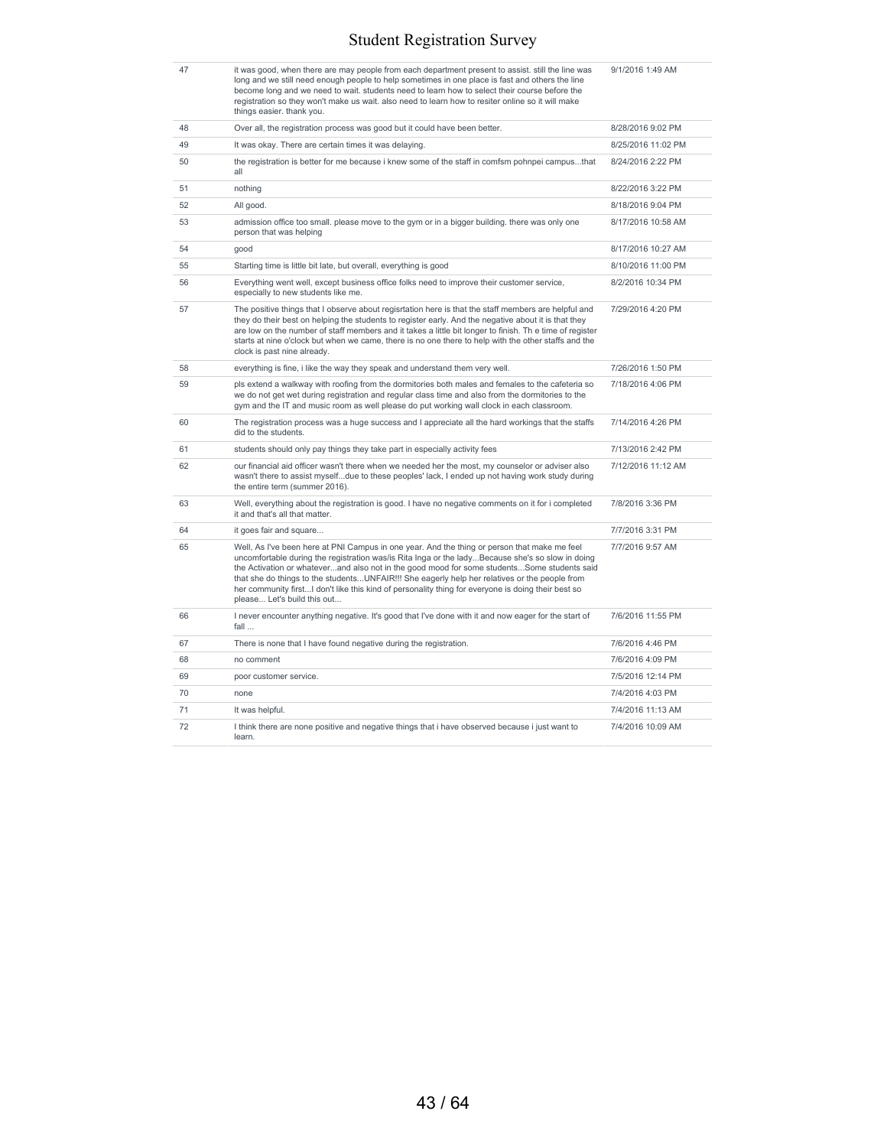| 47 | it was good, when there are may people from each department present to assist. still the line was<br>long and we still need enough people to help sometimes in one place is fast and others the line<br>become long and we need to wait. students need to learn how to select their course before the<br>registration so they won't make us wait. also need to learn how to resiter online so it will make<br>things easier. thank you.                                                                                               | 9/1/2016 1:49 AM   |
|----|---------------------------------------------------------------------------------------------------------------------------------------------------------------------------------------------------------------------------------------------------------------------------------------------------------------------------------------------------------------------------------------------------------------------------------------------------------------------------------------------------------------------------------------|--------------------|
| 48 | Over all, the registration process was good but it could have been better.                                                                                                                                                                                                                                                                                                                                                                                                                                                            | 8/28/2016 9:02 PM  |
| 49 | It was okay. There are certain times it was delaying.                                                                                                                                                                                                                                                                                                                                                                                                                                                                                 | 8/25/2016 11:02 PM |
| 50 | the registration is better for me because i knew some of the staff in comfsm pohnpei campusthat<br>all                                                                                                                                                                                                                                                                                                                                                                                                                                | 8/24/2016 2:22 PM  |
| 51 | nothing                                                                                                                                                                                                                                                                                                                                                                                                                                                                                                                               | 8/22/2016 3:22 PM  |
| 52 | All good.                                                                                                                                                                                                                                                                                                                                                                                                                                                                                                                             | 8/18/2016 9:04 PM  |
| 53 | admission office too small. please move to the gym or in a bigger building. there was only one<br>person that was helping                                                                                                                                                                                                                                                                                                                                                                                                             | 8/17/2016 10:58 AM |
| 54 | good                                                                                                                                                                                                                                                                                                                                                                                                                                                                                                                                  | 8/17/2016 10:27 AM |
| 55 | Starting time is little bit late, but overall, everything is good                                                                                                                                                                                                                                                                                                                                                                                                                                                                     | 8/10/2016 11:00 PM |
| 56 | Everything went well, except business office folks need to improve their customer service,<br>especially to new students like me.                                                                                                                                                                                                                                                                                                                                                                                                     | 8/2/2016 10:34 PM  |
| 57 | The positive things that I observe about regisrtation here is that the staff members are helpful and<br>they do their best on helping the students to register early. And the negative about it is that they<br>are low on the number of staff members and it takes a little bit longer to finish. The time of register<br>starts at nine o'clock but when we came, there is no one there to help with the other staffs and the<br>clock is past nine already.                                                                        | 7/29/2016 4:20 PM  |
| 58 | everything is fine, i like the way they speak and understand them very well.                                                                                                                                                                                                                                                                                                                                                                                                                                                          | 7/26/2016 1:50 PM  |
| 59 | pls extend a walkway with roofing from the dormitories both males and females to the cafeteria so<br>we do not get wet during registration and regular class time and also from the dormitories to the<br>gym and the IT and music room as well please do put working wall clock in each classroom.                                                                                                                                                                                                                                   | 7/18/2016 4:06 PM  |
| 60 | The registration process was a huge success and I appreciate all the hard workings that the staffs<br>did to the students.                                                                                                                                                                                                                                                                                                                                                                                                            | 7/14/2016 4:26 PM  |
| 61 | students should only pay things they take part in especially activity fees                                                                                                                                                                                                                                                                                                                                                                                                                                                            | 7/13/2016 2:42 PM  |
| 62 | our financial aid officer wasn't there when we needed her the most, my counselor or adviser also<br>wasn't there to assist myselfdue to these peoples' lack, I ended up not having work study during<br>the entire term (summer 2016).                                                                                                                                                                                                                                                                                                | 7/12/2016 11:12 AM |
| 63 | Well, everything about the registration is good. I have no negative comments on it for i completed<br>it and that's all that matter.                                                                                                                                                                                                                                                                                                                                                                                                  | 7/8/2016 3:36 PM   |
| 64 | it goes fair and square                                                                                                                                                                                                                                                                                                                                                                                                                                                                                                               | 7/7/2016 3:31 PM   |
| 65 | Well, As I've been here at PNI Campus in one year. And the thing or person that make me feel<br>uncomfortable during the registration was/is Rita Inga or the ladyBecause she's so slow in doing<br>the Activation or whateverand also not in the good mood for some studentsSome students said<br>that she do things to the studentsUNFAIR!!! She eagerly help her relatives or the people from<br>her community firstI don't like this kind of personality thing for everyone is doing their best so<br>please Let's build this out | 7/7/2016 9:57 AM   |
| 66 | I never encounter anything negative. It's good that I've done with it and now eager for the start of<br>fall                                                                                                                                                                                                                                                                                                                                                                                                                          | 7/6/2016 11:55 PM  |
| 67 | There is none that I have found negative during the registration.                                                                                                                                                                                                                                                                                                                                                                                                                                                                     | 7/6/2016 4:46 PM   |
| 68 | no comment                                                                                                                                                                                                                                                                                                                                                                                                                                                                                                                            | 7/6/2016 4:09 PM   |
| 69 | poor customer service.                                                                                                                                                                                                                                                                                                                                                                                                                                                                                                                | 7/5/2016 12:14 PM  |
| 70 | none                                                                                                                                                                                                                                                                                                                                                                                                                                                                                                                                  | 7/4/2016 4:03 PM   |
| 71 | It was helpful.                                                                                                                                                                                                                                                                                                                                                                                                                                                                                                                       | 7/4/2016 11:13 AM  |
| 72 | I think there are none positive and negative things that i have observed because i just want to<br>learn.                                                                                                                                                                                                                                                                                                                                                                                                                             | 7/4/2016 10:09 AM  |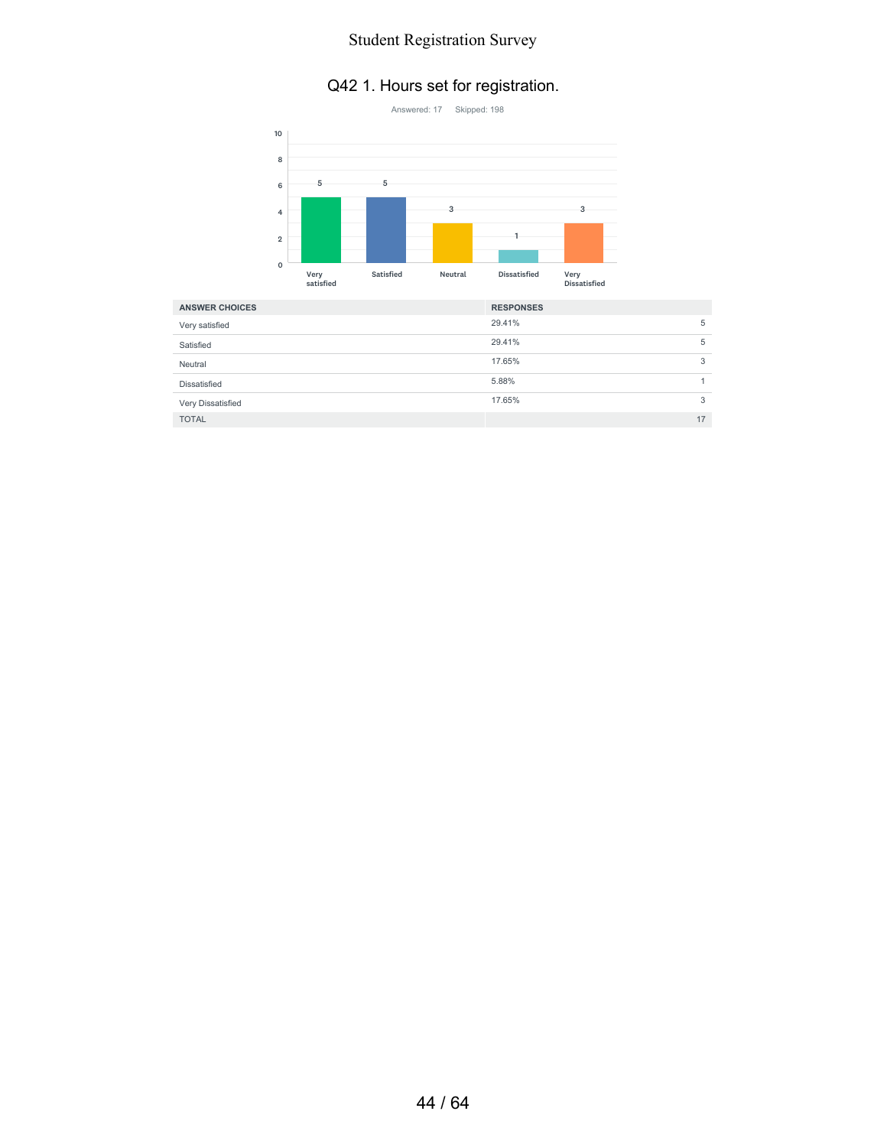#### Q42 1. Hours set for registration.



| <b>ANSWER CHOICES</b> | <b>RESPONSES</b> |   |
|-----------------------|------------------|---|
| Very satisfied        | 29.41%           | 5 |
| Satisfied             | 29.41%           | 5 |
| Neutral               | 17.65%           | 3 |
| Dissatisfied          | 5.88%            |   |
| Very Dissatisfied     | 17.65%           | 3 |
| <b>TOTAL</b>          | 17               |   |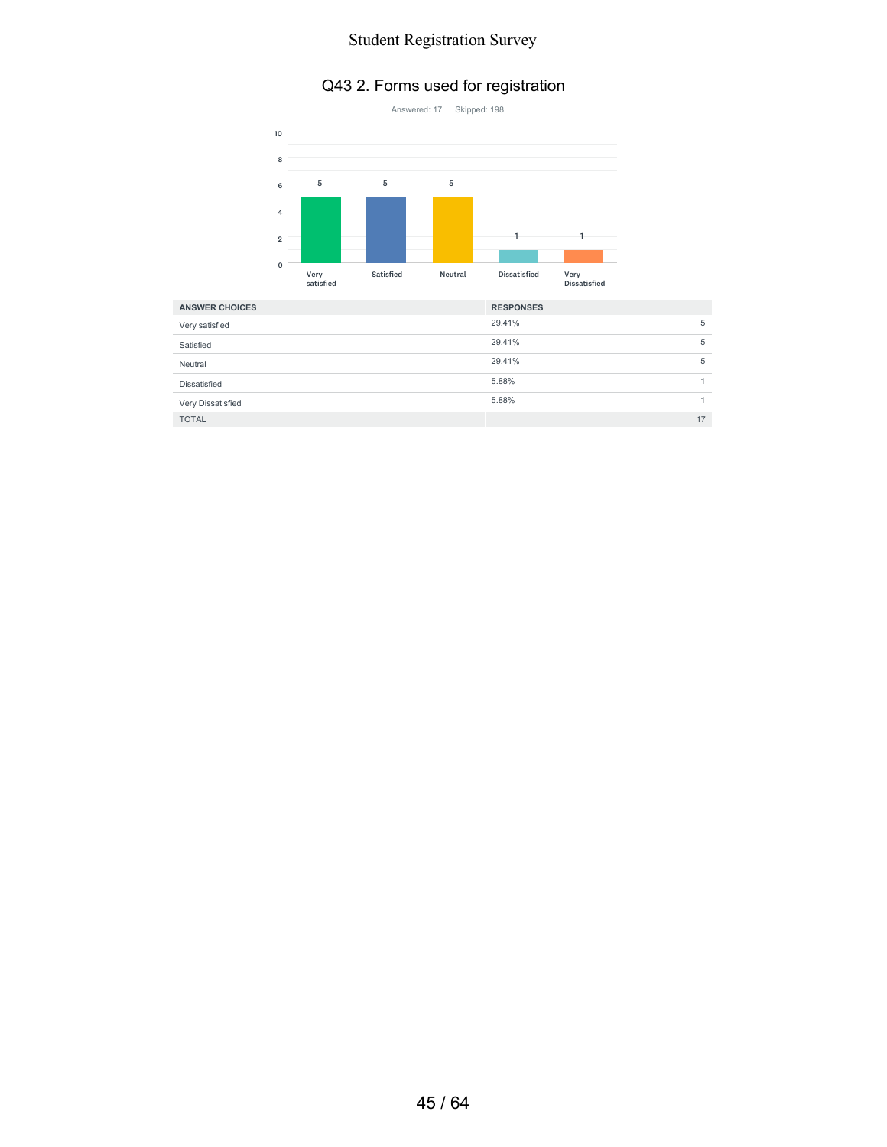# Q43 2. Forms used for registration



| <b>ANSWER CHOICES</b> | <b>RESPONSES</b> |
|-----------------------|------------------|
| Very satisfied        | 29.41%<br>5      |
| Satisfied             | 29.41%<br>5      |
| Neutral               | 29.41%<br>5      |
| Dissatisfied          | 5.88%            |
| Very Dissatisfied     | 5.88%            |
| <b>TOTAL</b>          | 17               |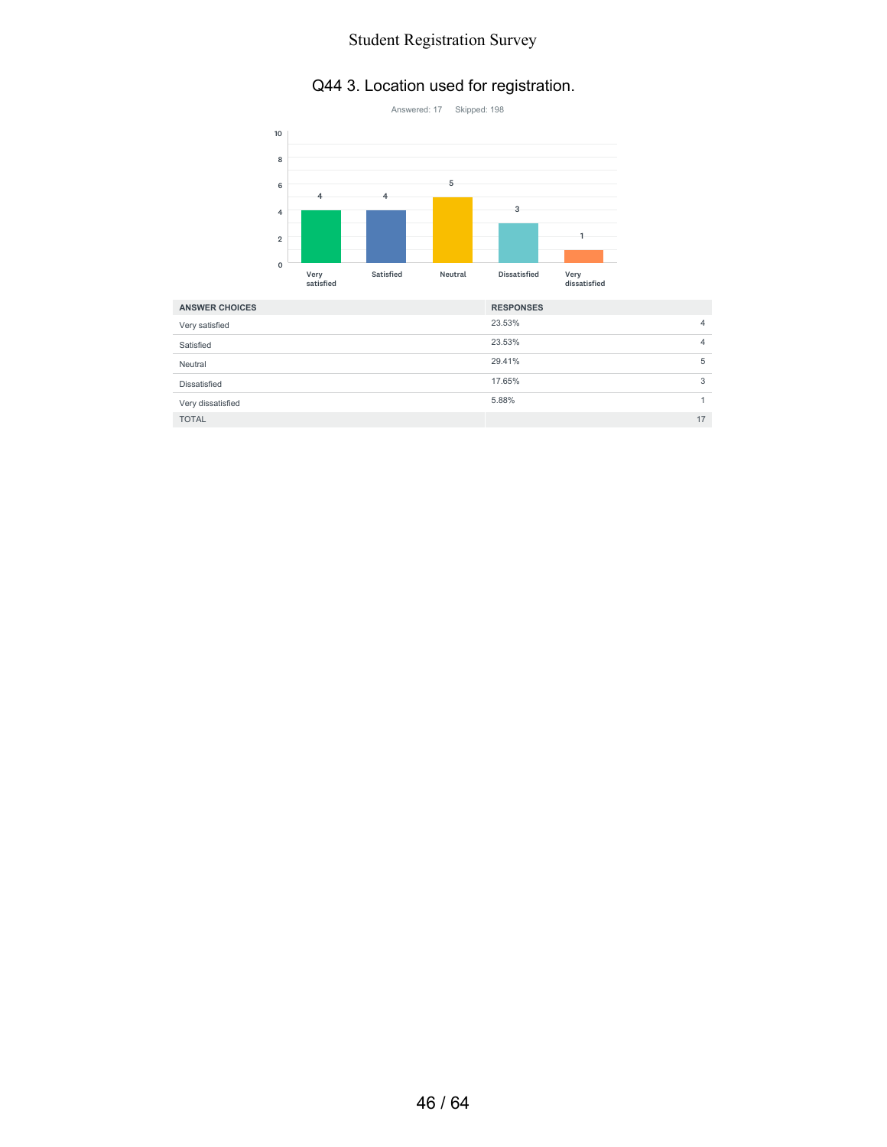# Q44 3. Location used for registration.



| <b>ANSWER CHOICES</b> | <b>RESPONSES</b> |
|-----------------------|------------------|
| Very satisfied        | 23.53%<br>4      |
| Satisfied             | 23.53%<br>4      |
| Neutral               | 29.41%<br>5      |
| Dissatisfied          | 17.65%<br>3      |
| Very dissatisfied     | 5.88%            |
| <b>TOTAL</b>          | 17               |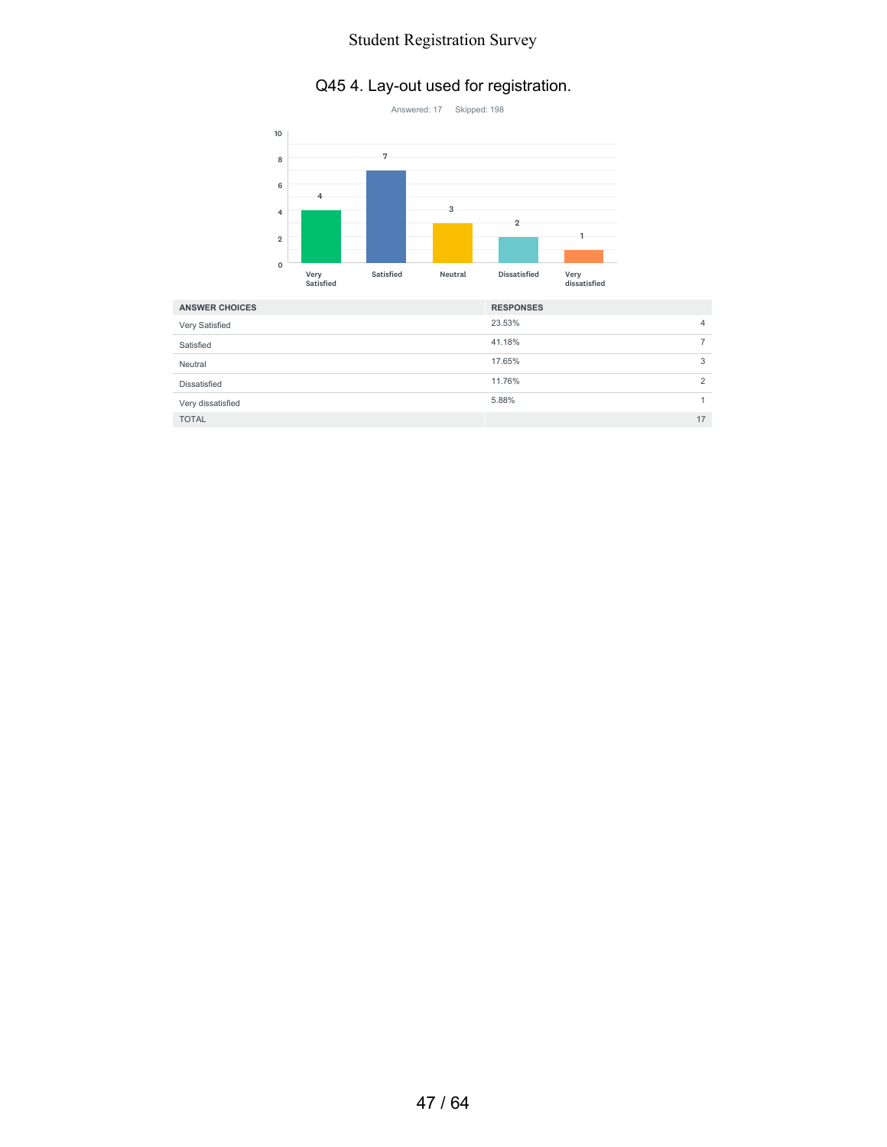# Q45 4. Lay-out used for registration.



| <b>ANSWER CHOICES</b> | <b>RESPONSES</b> |  |
|-----------------------|------------------|--|
| Very Satisfied        | 23.53%<br>4      |  |
| Satisfied             | 41.18%           |  |
| Neutral               | 17.65%<br>3      |  |
| Dissatisfied          | 11.76%<br>2      |  |
| Very dissatisfied     | 5.88%            |  |
| <b>TOTAL</b>          | 17               |  |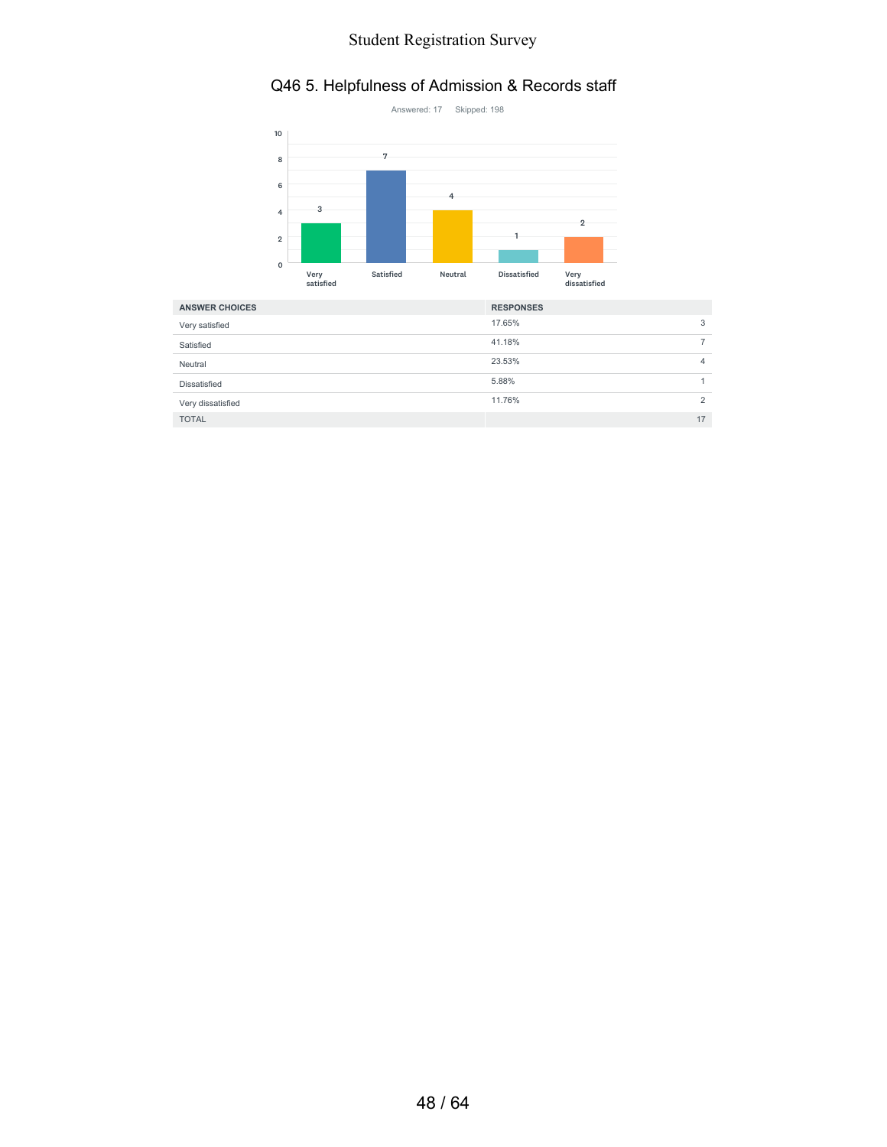# Q46 5. Helpfulness of Admission & Records staff



| <b>ANSWER CHOICES</b> | <b>RESPONSES</b> |   |
|-----------------------|------------------|---|
| Very satisfied        | 17.65%           | 3 |
| Satisfied             | 41.18%           |   |
| Neutral               | 23.53%           | 4 |
| Dissatisfied          | 5.88%            |   |
| Very dissatisfied     | 11.76%           | ↷ |
| <b>TOTAL</b>          | 17               |   |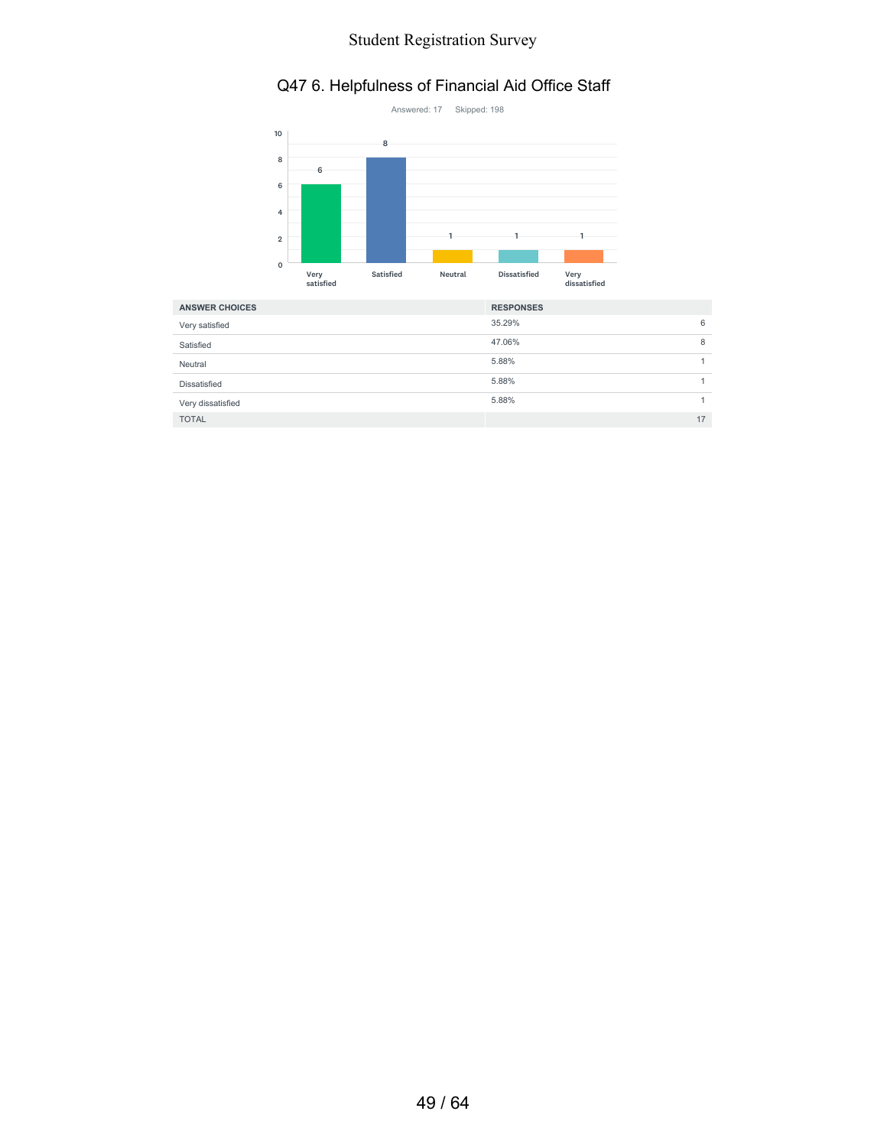# Q47 6. Helpfulness of Financial Aid Office Staff



| <b>ANSWER CHOICES</b> | <b>RESPONSES</b> |    |
|-----------------------|------------------|----|
| Very satisfied        | 35.29%           | 6  |
| Satisfied             | 47.06%           | 8  |
| Neutral               | 5.88%            |    |
| <b>Dissatisfied</b>   | 5.88%            |    |
| Very dissatisfied     | 5.88%            |    |
| <b>TOTAL</b>          |                  | 17 |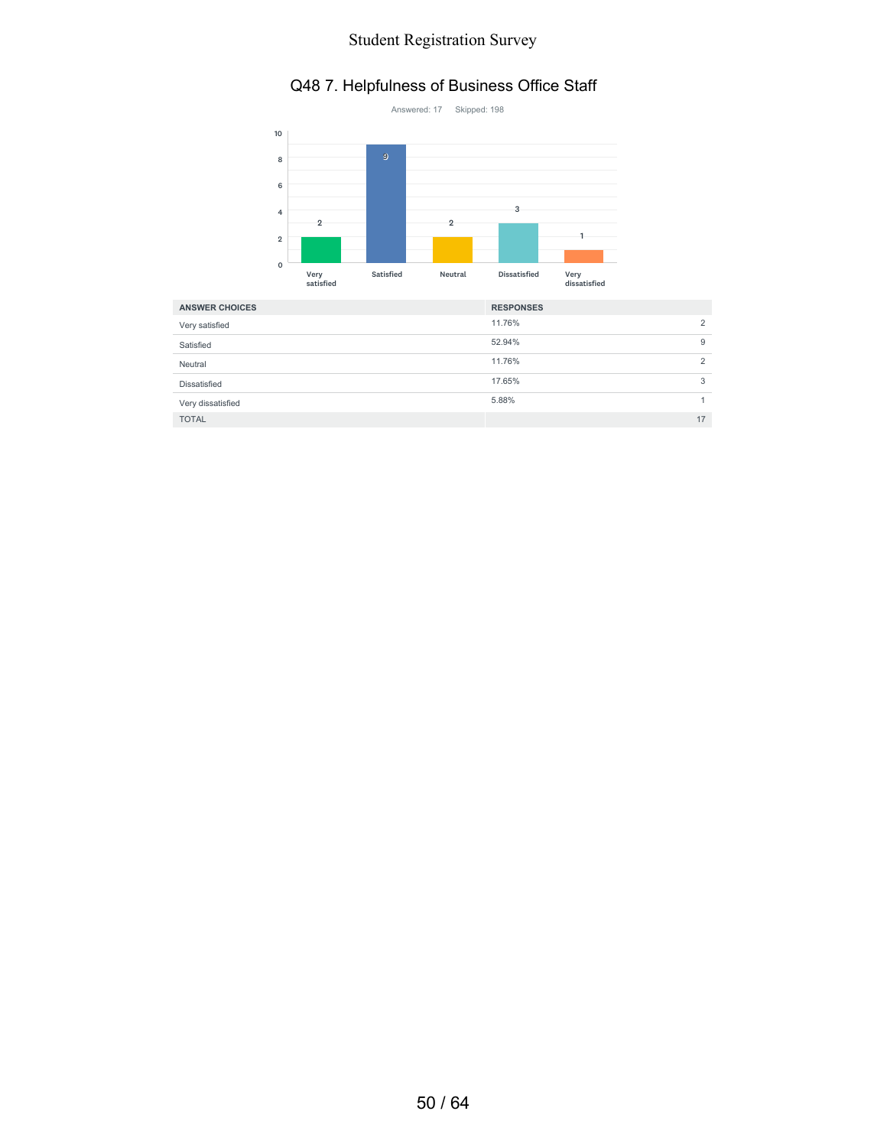#### Q48 7. Helpfulness of Business Office Staff



| <b>ANSWER CHOICES</b> | <b>RESPONSES</b> |    |
|-----------------------|------------------|----|
| Very satisfied        | 11.76%           | ↷  |
| Satisfied             | 52.94%           | 9  |
| Neutral               | 11.76%           | ↷  |
| Dissatisfied          | 17.65%           | 3  |
| Very dissatisfied     | 5.88%            |    |
| <b>TOTAL</b>          |                  | 17 |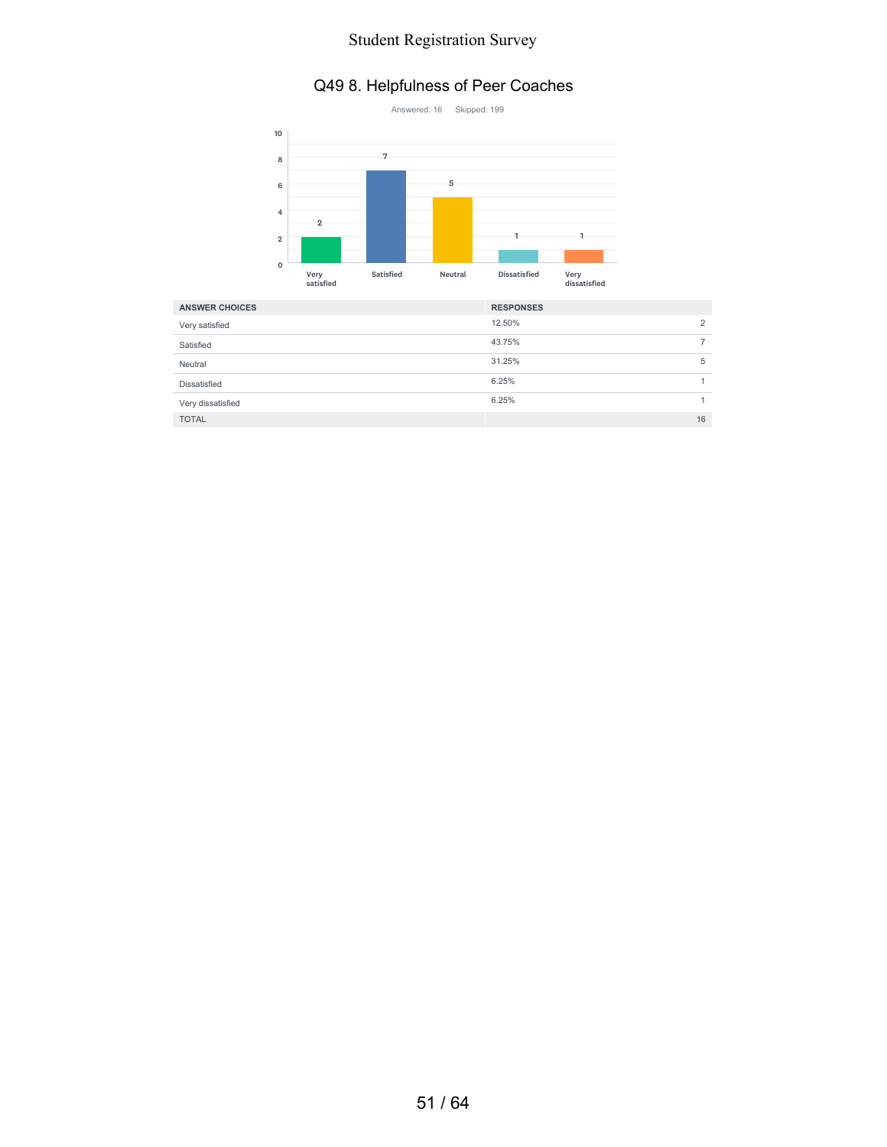#### Q49 8. Helpfulness of Peer Coaches



| <b>ANSWER CHOICES</b> | <b>RESPONSES</b> |
|-----------------------|------------------|
| Very satisfied        | 12.50%<br>2      |
| Satisfied             | 43.75%           |
| Neutral               | 31.25%<br>5      |
| Dissatisfied          | 6.25%            |
| Very dissatisfied     | 6.25%            |
| <b>TOTAL</b>          | 16               |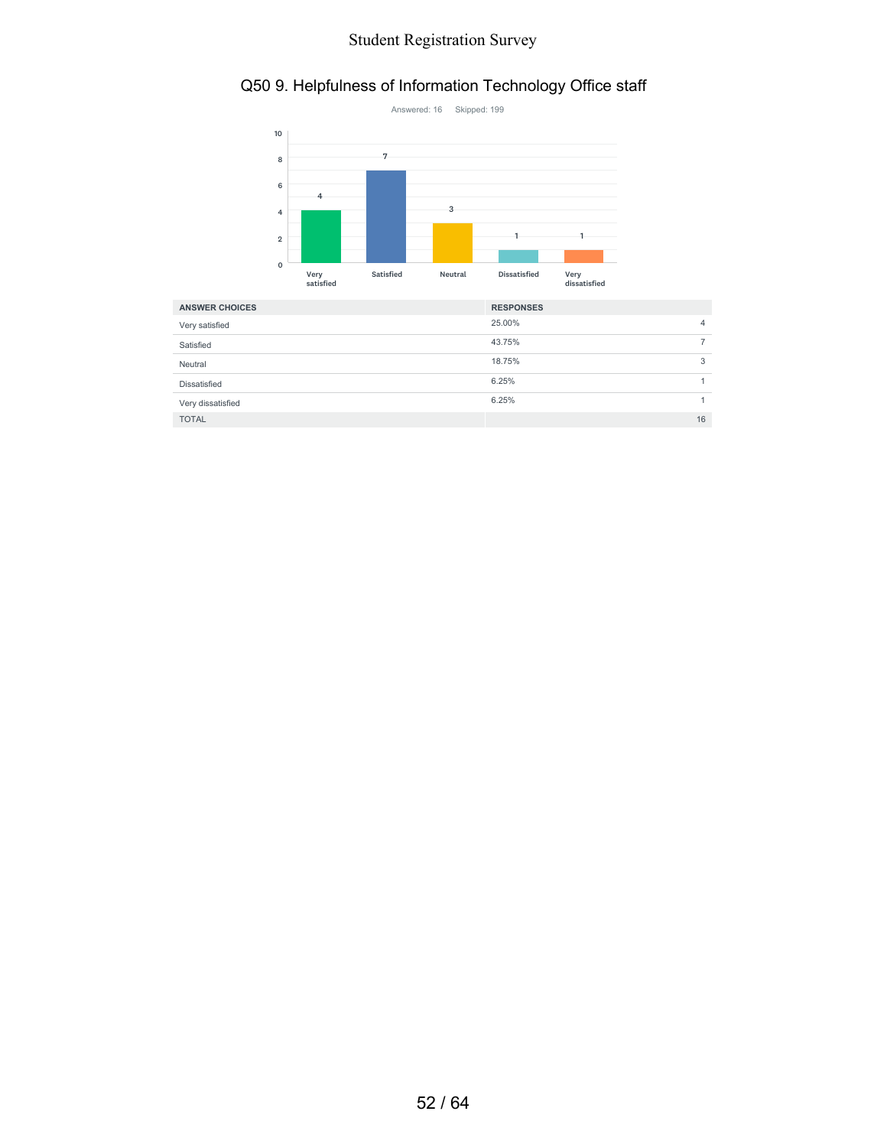# Q50 9. Helpfulness of Information Technology Office staff



| <b>ANSWER CHOICES</b> | <b>RESPONSES</b> |    |
|-----------------------|------------------|----|
| Very satisfied        | 25.00%           | 4  |
| Satisfied             | 43.75%           |    |
| Neutral               | 18.75%           | 3  |
| Dissatisfied          | 6.25%            |    |
| Very dissatisfied     | 6.25%            |    |
| <b>TOTAL</b>          |                  | 16 |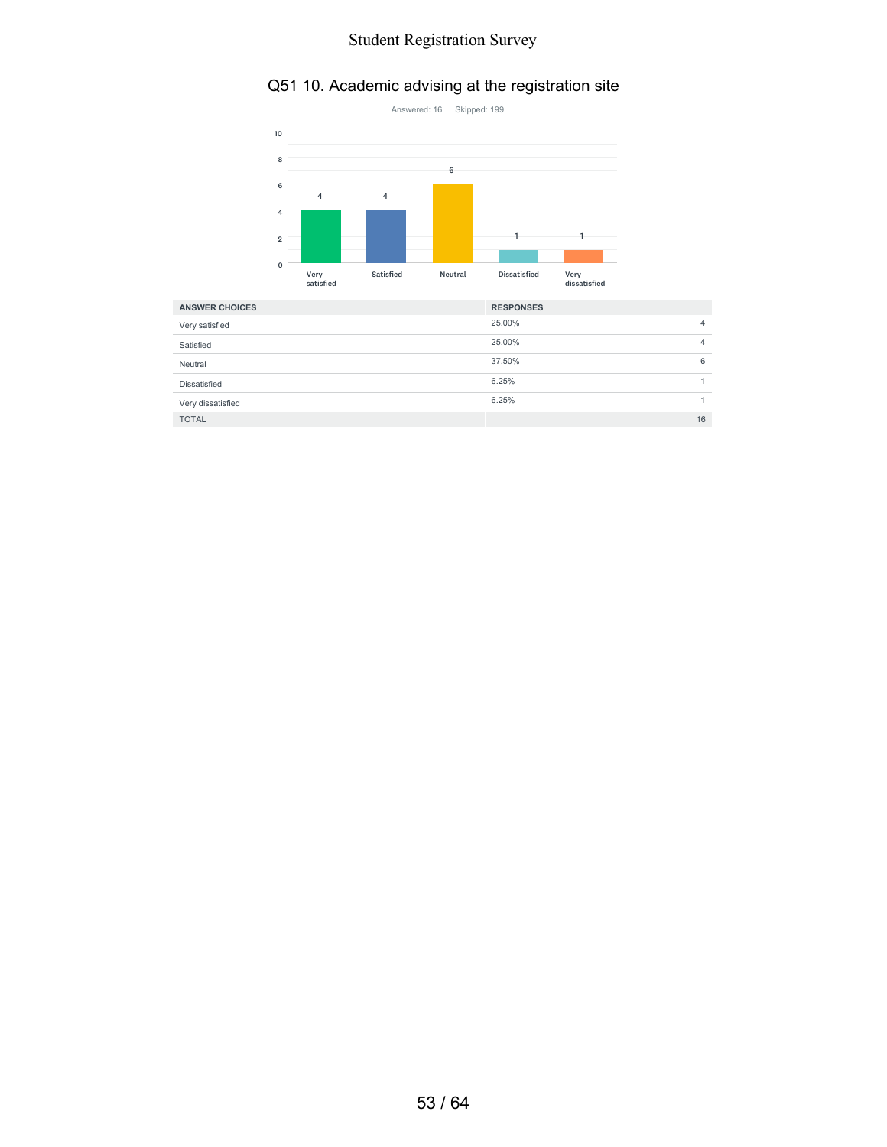# Q51 10. Academic advising at the registration site



| <b>ANSWER CHOICES</b> | <b>RESPONSES</b> |
|-----------------------|------------------|
| Very satisfied        | 25.00%<br>4      |
| Satisfied             | 25.00%<br>4      |
| Neutral               | 37.50%<br>6      |
| Dissatisfied          | 6.25%            |
| Very dissatisfied     | 6.25%            |
| <b>TOTAL</b>          | 16               |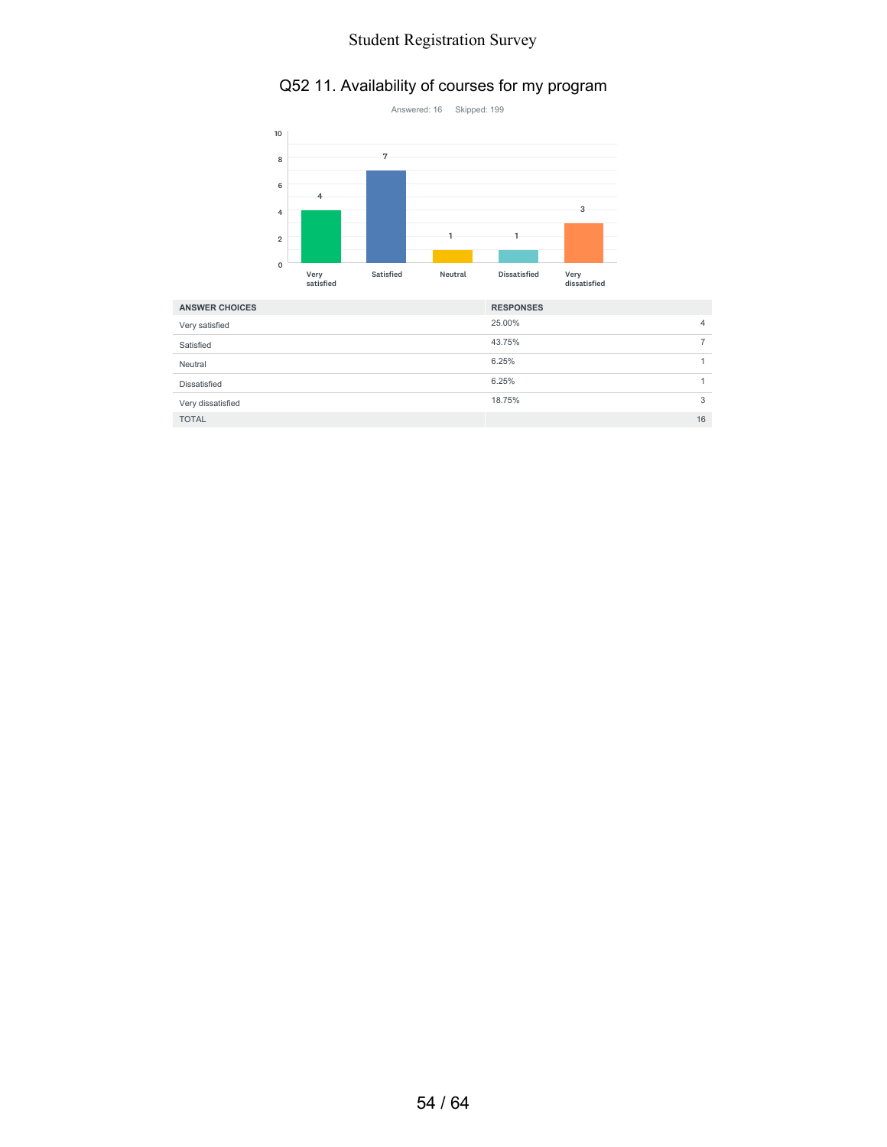# Q52 11. Availability of courses for my program



| <b>ANSWER CHOICES</b> | <b>RESPONSES</b> |  |
|-----------------------|------------------|--|
| Very satisfied        | 25.00%<br>4      |  |
| Satisfied             | 43.75%           |  |
| Neutral               | 6.25%            |  |
| Dissatisfied          | 6.25%            |  |
| Very dissatisfied     | 18.75%<br>3      |  |
| <b>TOTAL</b>          | 16               |  |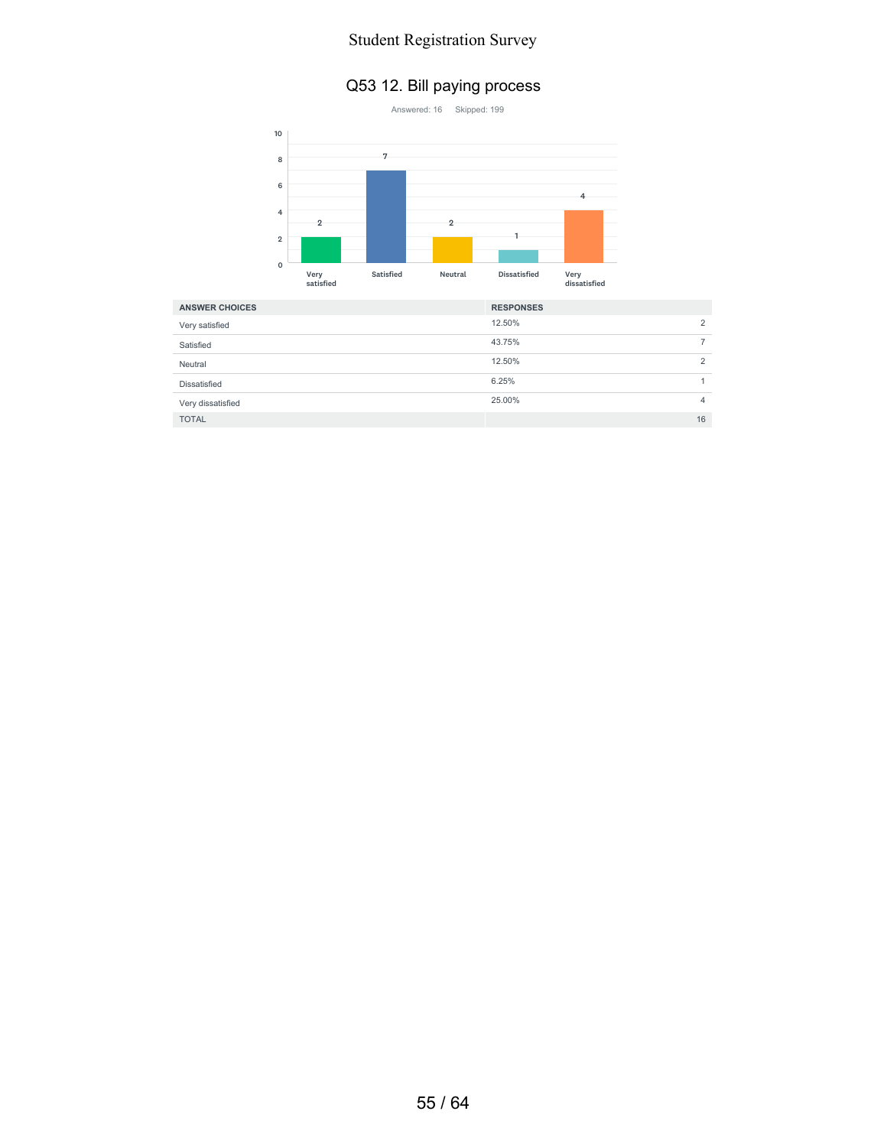#### Q53 12. Bill paying process



| <b>ANSWER CHOICES</b> | <b>RESPONSES</b> |
|-----------------------|------------------|
| Very satisfied        | 12.50%<br>2      |
| Satisfied             | 43.75%           |
| Neutral               | 12.50%<br>2      |
| Dissatisfied          | 6.25%            |
| Very dissatisfied     | 25.00%<br>4      |
| <b>TOTAL</b>          | 16               |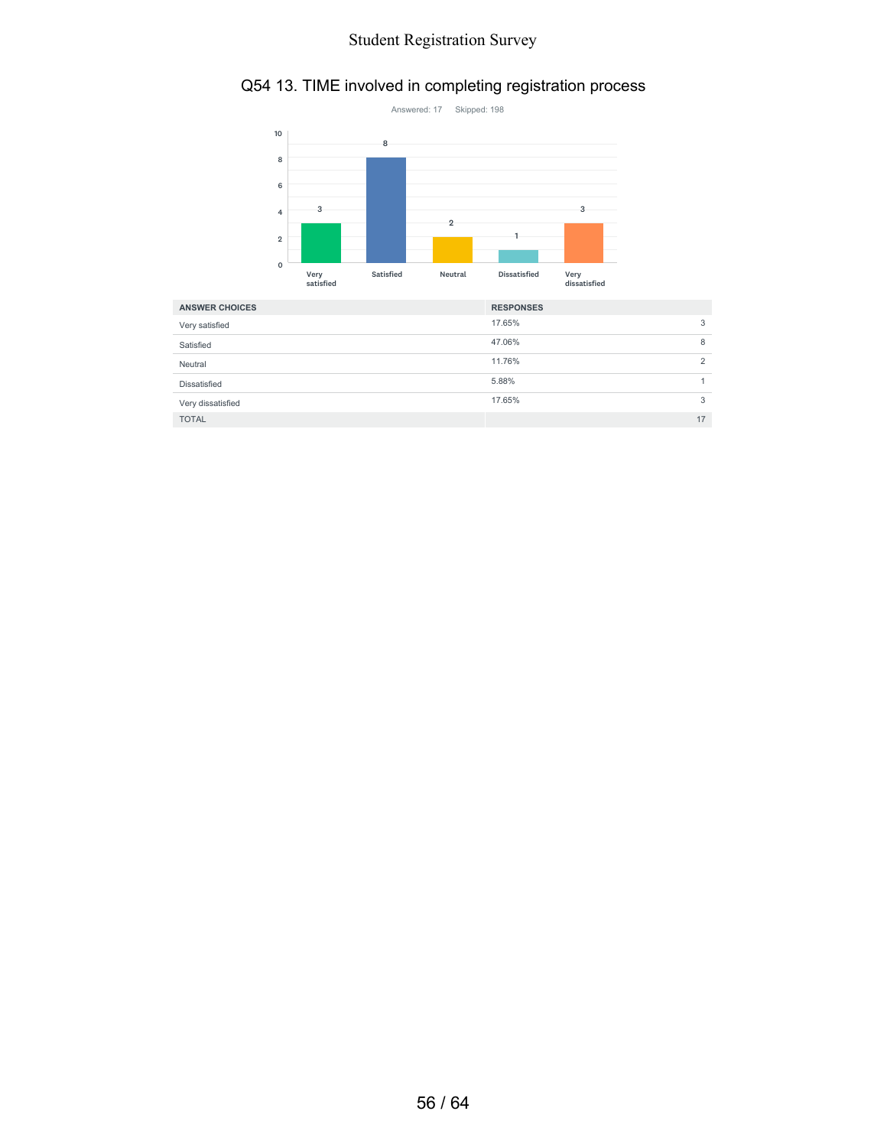# Q54 13. TIME involved in completing registration process



| <b>ANSWER CHOICES</b> | <b>RESPONSES</b> |
|-----------------------|------------------|
| Very satisfied        | 17.65%<br>3      |
| Satisfied             | 47.06%<br>8      |
| Neutral               | 11.76%<br>↷      |
| Dissatisfied          | 5.88%            |
| Very dissatisfied     | 17.65%<br>3      |
| <b>TOTAL</b>          | 17               |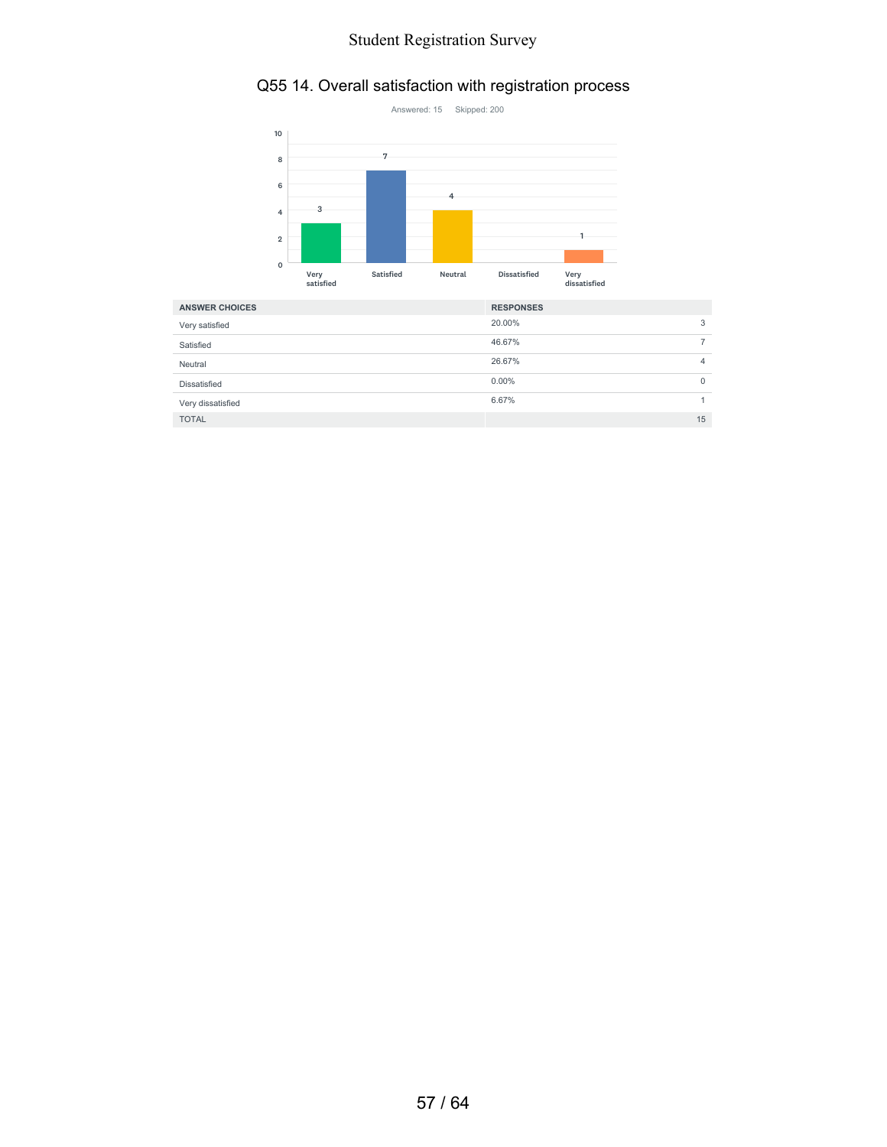# Q55 14. Overall satisfaction with registration process



| <b>ANSWER CHOICES</b> | <b>RESPONSES</b>     |   |
|-----------------------|----------------------|---|
| Very satisfied        | 20.00%<br>3          |   |
| Satisfied             | 46.67%               |   |
| Neutral               | 26.67%               | 4 |
| Dissatisfied          | $0.00\%$<br>$\Omega$ |   |
| Very dissatisfied     | 6.67%                |   |
| <b>TOTAL</b>          | 15                   |   |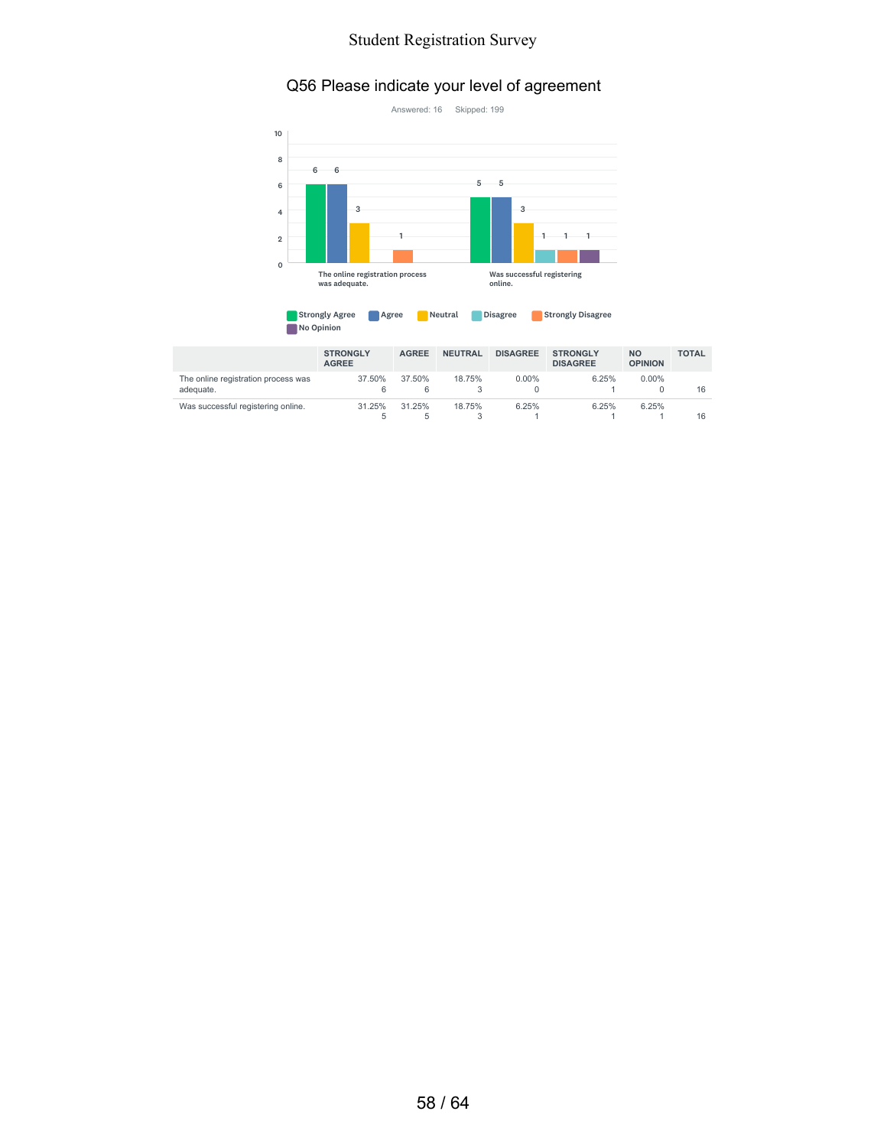#### Q56 Please indicate your level of agreement



| <b>Strongly Agree</b> | Agree | Neutral | <b>Disagree</b> | <b>Strongly Disagree</b> |
|-----------------------|-------|---------|-----------------|--------------------------|
| No Opinion            |       |         |                 |                          |

|                                                  | <b>STRONGLY</b><br><b>AGREE</b> | <b>AGREE</b> | <b>NEUTRAL</b> | <b>DISAGREE</b> | <b>STRONGLY</b><br><b>DISAGREE</b> | <b>NO</b><br><b>OPINION</b> | <b>TOTAL</b> |
|--------------------------------------------------|---------------------------------|--------------|----------------|-----------------|------------------------------------|-----------------------------|--------------|
| The online registration process was<br>adequate. | 37.50%<br>6                     | 37.50%<br>6  | 18.75%         | $0.00\%$        | 6.25%                              | $0.00\%$                    | 16           |
| Was successful registering online.               | 31.25%                          | 31.25%<br>b. | 18.75%         | 6.25%           | 6.25%                              | 6.25%                       | 16           |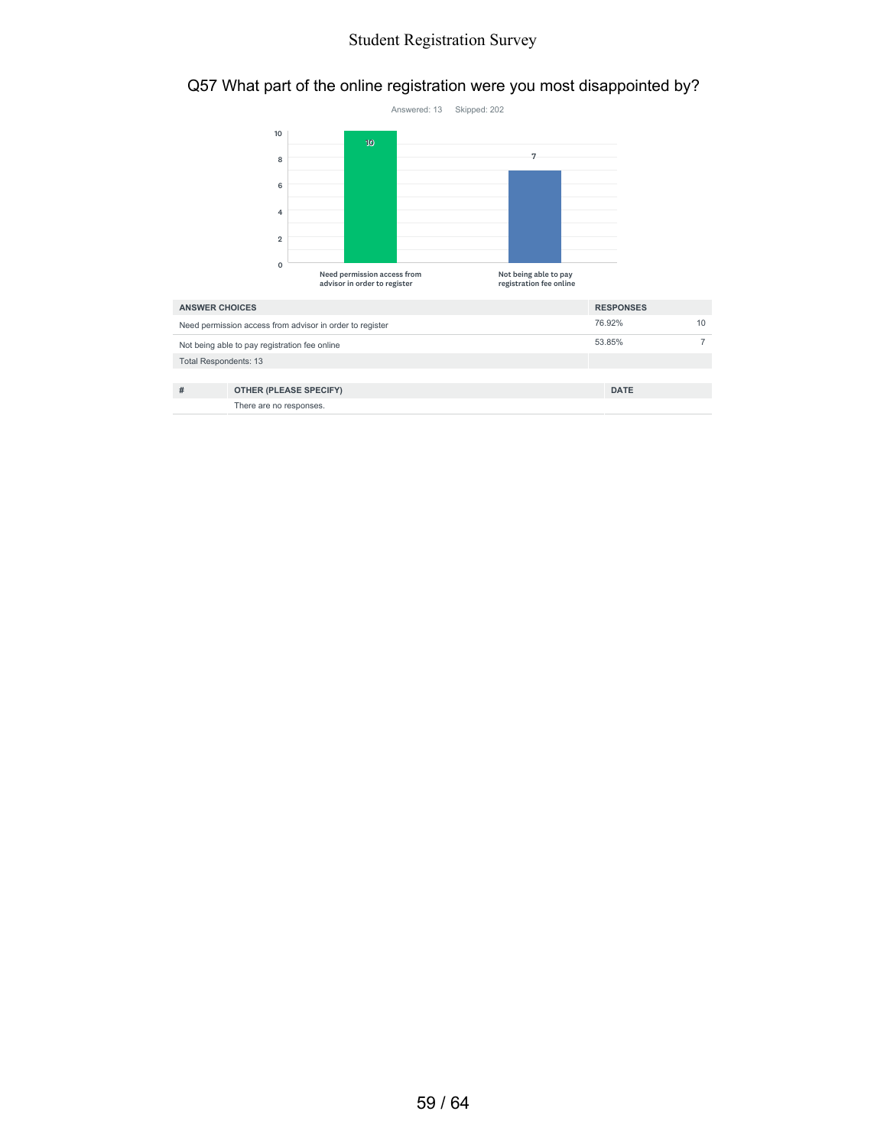# Q57 What part of the online registration were you most disappointed by?



| <b>ANSWER CHOICES</b>                                    |                         | <b>RESPONSES</b> |    |
|----------------------------------------------------------|-------------------------|------------------|----|
| Need permission access from advisor in order to register |                         | 76.92%           | 10 |
| Not being able to pay registration fee online            |                         | 53.85%           |    |
| <b>Total Respondents: 13</b>                             |                         |                  |    |
|                                                          |                         |                  |    |
| #                                                        | OTHER (PLEASE SPECIFY)  | <b>DATE</b>      |    |
|                                                          | There are no responses. |                  |    |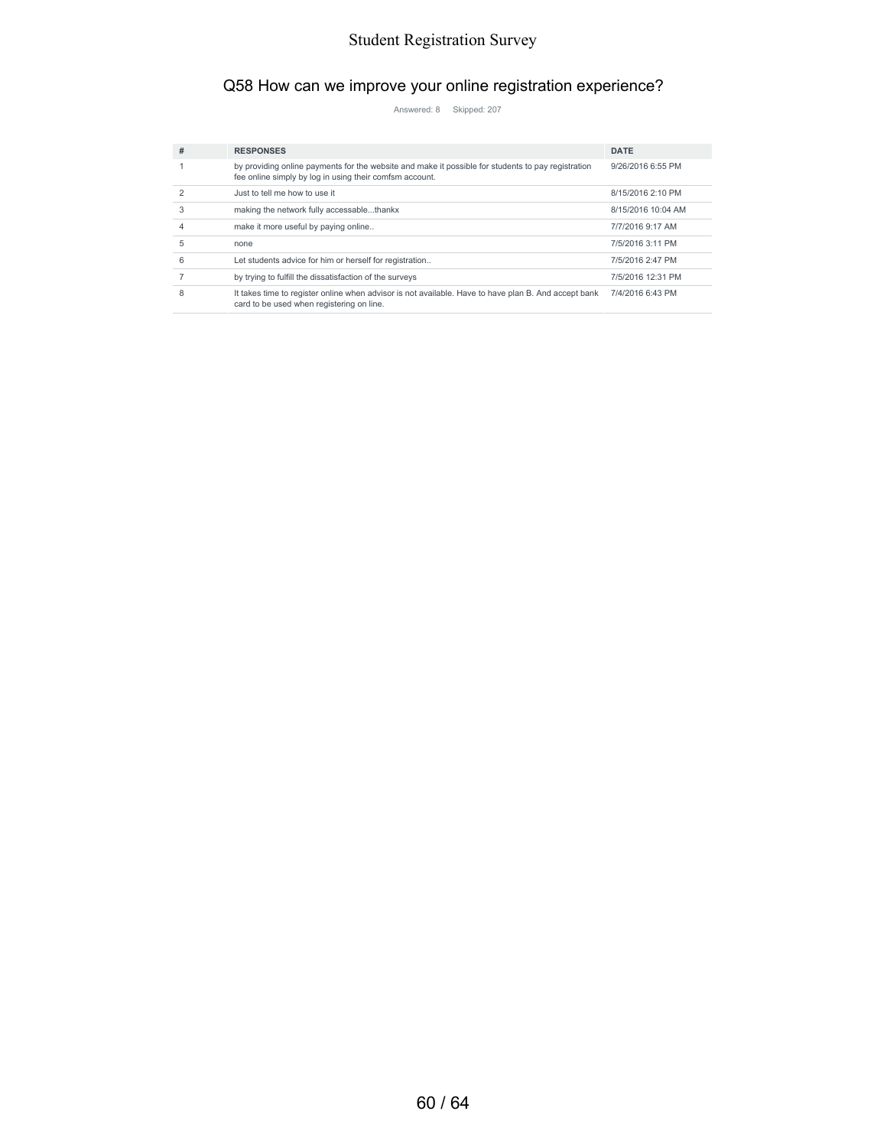# Q58 How can we improve your online registration experience?

Answered: 8 Skipped: 207

| # | <b>RESPONSES</b>                                                                                                                                              | <b>DATE</b>        |
|---|---------------------------------------------------------------------------------------------------------------------------------------------------------------|--------------------|
|   | by providing online payments for the website and make it possible for students to pay registration<br>fee online simply by log in using their comfsm account. | 9/26/2016 6:55 PM  |
|   | Just to tell me how to use it                                                                                                                                 | 8/15/2016 2:10 PM  |
| 3 | making the network fully accessablethankx                                                                                                                     | 8/15/2016 10:04 AM |
|   | make it more useful by paying online                                                                                                                          | 7/7/2016 9:17 AM   |
| 5 | none                                                                                                                                                          | 7/5/2016 3:11 PM   |
| 6 | Let students advice for him or herself for registration                                                                                                       | 7/5/2016 2:47 PM   |
|   | by trying to fulfill the dissatisfaction of the surveys                                                                                                       | 7/5/2016 12:31 PM  |
| 8 | It takes time to register online when advisor is not available. Have to have plan B. And accept bank<br>card to be used when registering on line.             | 7/4/2016 6:43 PM   |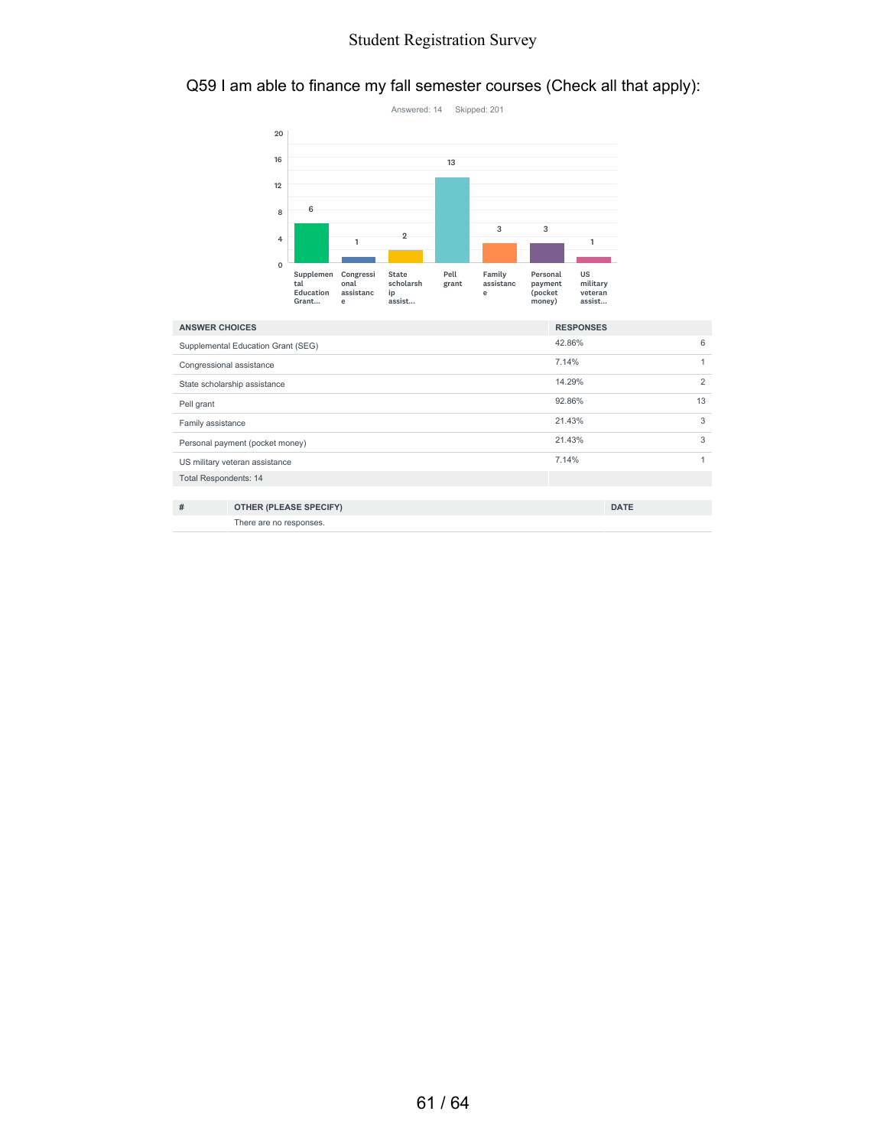#### Q59 I am able to finance my fall semester courses (Check all that apply):



| <b>ANSWER CHOICES</b>              |                               | <b>RESPONSES</b> |             |    |
|------------------------------------|-------------------------------|------------------|-------------|----|
| Supplemental Education Grant (SEG) |                               | 42.86%           |             | 6  |
| Congressional assistance           |                               | 7.14%            |             |    |
| State scholarship assistance       |                               | 14.29%           |             | 2  |
| Pell grant                         |                               | 92.86%           |             | 13 |
| Family assistance                  |                               | 21.43%           |             | 3  |
| Personal payment (pocket money)    |                               | 21.43%           |             | 3  |
| US military veteran assistance     |                               | 7.14%            |             |    |
| <b>Total Respondents: 14</b>       |                               |                  |             |    |
|                                    |                               |                  |             |    |
| #                                  | <b>OTHER (PLEASE SPECIFY)</b> |                  | <b>DATE</b> |    |
|                                    | There are no responses.       |                  |             |    |

61 / 64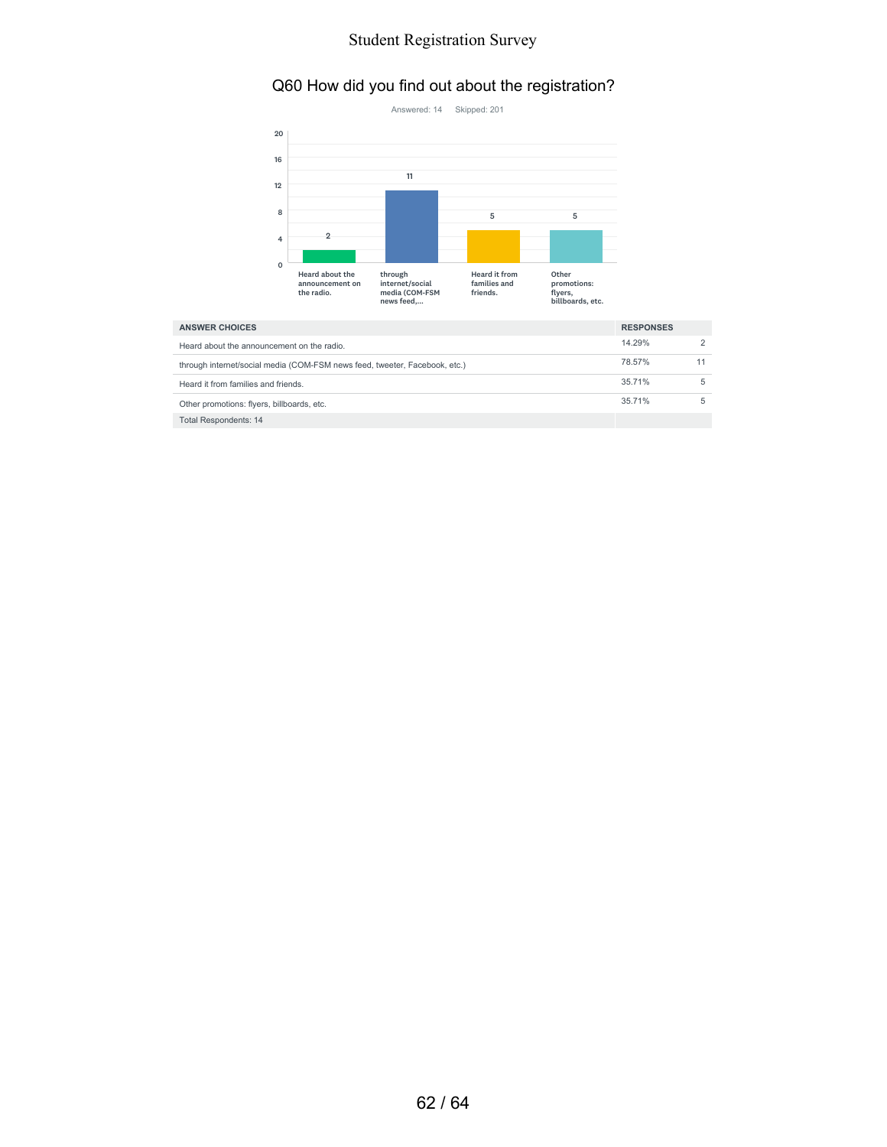# Q60 How did you find out about the registration?



| <b>ANSWER CHOICES</b>                                                      |        | <b>RESPONSES</b> |  |
|----------------------------------------------------------------------------|--------|------------------|--|
| Heard about the announcement on the radio.                                 | 14.29% |                  |  |
| through internet/social media (COM-FSM news feed, tweeter, Facebook, etc.) | 78.57% |                  |  |
| Heard it from families and friends.                                        | 35.71% |                  |  |
| Other promotions: flyers, billboards, etc.                                 | 35.71% |                  |  |
| <b>Total Respondents: 14</b>                                               |        |                  |  |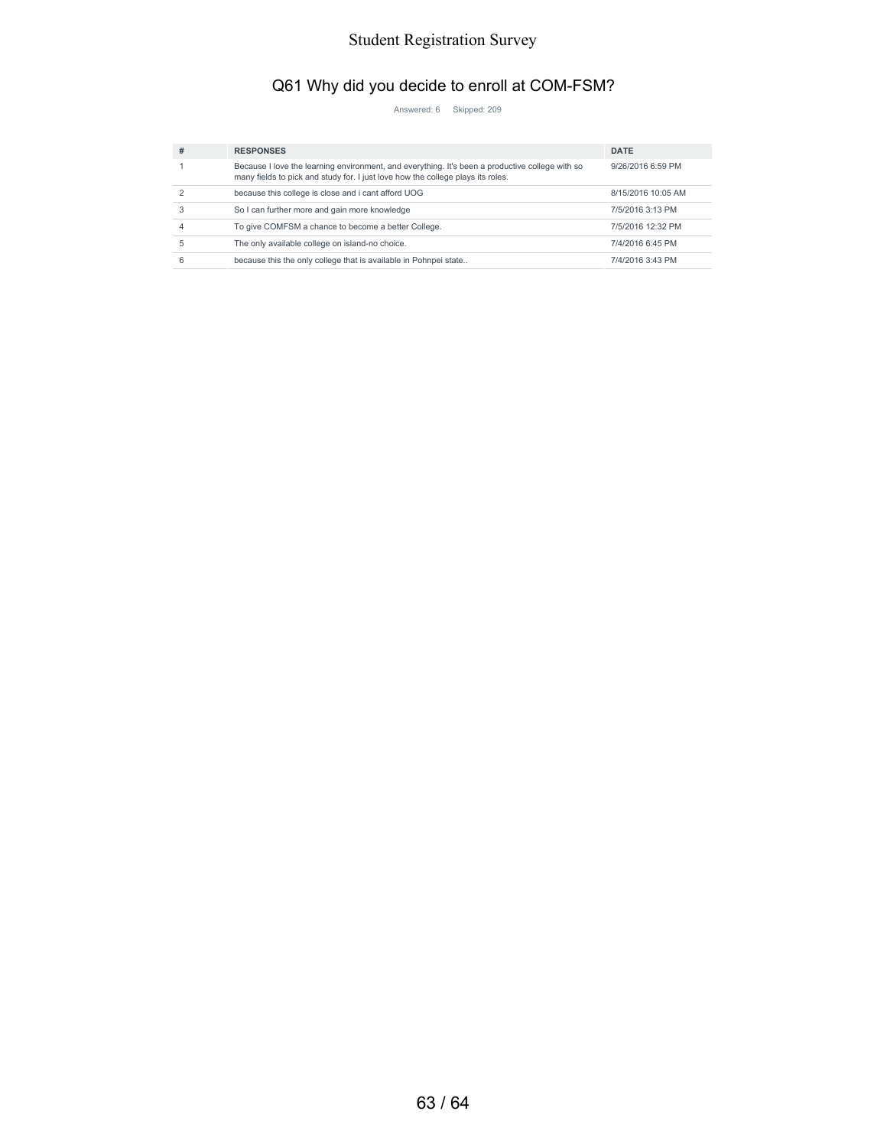# Q61 Why did you decide to enroll at COM-FSM?

Answered: 6 Skipped: 209

| # | <b>RESPONSES</b>                                                                                                                                                                   | <b>DATE</b>        |
|---|------------------------------------------------------------------------------------------------------------------------------------------------------------------------------------|--------------------|
|   | Because I love the learning environment, and everything. It's been a productive college with so<br>many fields to pick and study for. I just love how the college plays its roles. | 9/26/2016 6:59 PM  |
|   | because this college is close and i cant afford UOG                                                                                                                                | 8/15/2016 10:05 AM |
|   | So I can further more and gain more knowledge                                                                                                                                      | 7/5/2016 3:13 PM   |
|   | To give COMFSM a chance to become a better College.                                                                                                                                | 7/5/2016 12:32 PM  |
| 5 | The only available college on island-no choice.                                                                                                                                    | 7/4/2016 6:45 PM   |
| 6 | because this the only college that is available in Pohnpei state                                                                                                                   | 7/4/2016 3:43 PM   |